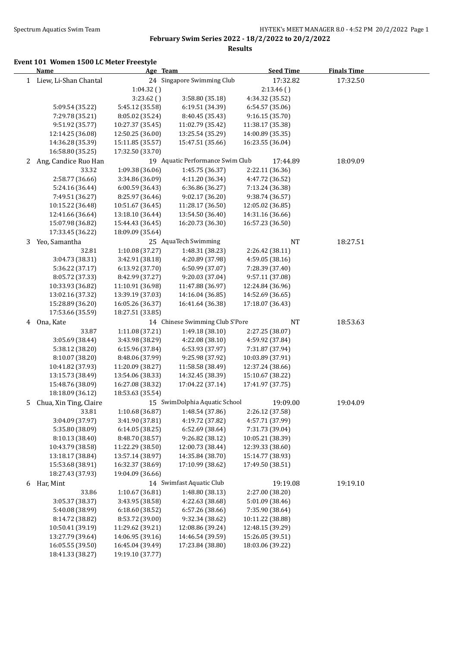$\overline{a}$ 

**February Swim Series 2022 - 18/2/2022 to 20/2/2022**

**Results**

### **Event 101 Women 1500 LC Meter Freestyle**

|    | <b>Name</b>                          | Age Team                             |                                      | <b>Seed Time</b>                     | <b>Finals Time</b> |  |
|----|--------------------------------------|--------------------------------------|--------------------------------------|--------------------------------------|--------------------|--|
|    | 1 Liew, Li-Shan Chantal              |                                      | 24 Singapore Swimming Club           | 17:32.82                             | 17:32.50           |  |
|    |                                      | 1:04.32()                            |                                      | 2:13.46()                            |                    |  |
|    |                                      | 3:23.62()                            | 3:58.80 (35.18)                      | 4:34.32 (35.52)                      |                    |  |
|    | 5:09.54 (35.22)                      | 5:45.12 (35.58)                      | 6:19.51 (34.39)                      | 6:54.57 (35.06)                      |                    |  |
|    | 7:29.78 (35.21)                      | 8:05.02 (35.24)                      | 8:40.45 (35.43)                      | 9:16.15 (35.70)                      |                    |  |
|    | 9:51.92 (35.77)                      | 10:27.37 (35.45)                     | 11:02.79 (35.42)                     | 11:38.17 (35.38)                     |                    |  |
|    | 12:14.25 (36.08)                     | 12:50.25 (36.00)                     | 13:25.54 (35.29)                     | 14:00.89 (35.35)                     |                    |  |
|    | 14:36.28 (35.39)                     | 15:11.85 (35.57)                     | 15:47.51 (35.66)                     | 16:23.55 (36.04)                     |                    |  |
|    | 16:58.80 (35.25)                     | 17:32.50 (33.70)                     |                                      |                                      |                    |  |
| 2  | Ang, Candice Ruo Han                 |                                      | 19 Aquatic Performance Swim Club     | 17:44.89                             | 18:09.09           |  |
|    | 33.32                                | 1:09.38 (36.06)                      | 1:45.75 (36.37)                      | 2:22.11 (36.36)                      |                    |  |
|    | 2:58.77 (36.66)                      | 3:34.86 (36.09)                      | 4:11.20 (36.34)                      | 4:47.72 (36.52)                      |                    |  |
|    | 5:24.16 (36.44)                      | 6:00.59 (36.43)                      | 6:36.86 (36.27)                      | 7:13.24 (36.38)                      |                    |  |
|    | 7:49.51 (36.27)                      | 8:25.97 (36.46)                      | 9:02.17 (36.20)                      | 9:38.74 (36.57)                      |                    |  |
|    | 10:15.22 (36.48)                     | 10:51.67 (36.45)                     | 11:28.17 (36.50)                     | 12:05.02 (36.85)                     |                    |  |
|    | 12:41.66 (36.64)                     | 13:18.10 (36.44)                     | 13:54.50 (36.40)                     | 14:31.16 (36.66)                     |                    |  |
|    | 15:07.98 (36.82)                     | 15:44.43 (36.45)                     | 16:20.73 (36.30)                     | 16:57.23 (36.50)                     |                    |  |
|    | 17:33.45 (36.22)                     | 18:09.09 (35.64)                     |                                      |                                      |                    |  |
| 3  | Yeo, Samantha                        |                                      | 25 AquaTech Swimming                 | NT                                   | 18:27.51           |  |
|    | 32.81                                | 1:10.08 (37.27)                      | 1:48.31 (38.23)                      | 2:26.42 (38.11)                      |                    |  |
|    | 3:04.73 (38.31)                      | 3:42.91 (38.18)                      | 4:20.89 (37.98)                      | 4:59.05 (38.16)                      |                    |  |
|    | 5:36.22 (37.17)                      | 6:13.92 (37.70)                      | 6:50.99 (37.07)                      | 7:28.39 (37.40)                      |                    |  |
|    | 8:05.72 (37.33)                      | 8:42.99 (37.27)                      | 9:20.03 (37.04)                      | 9:57.11 (37.08)                      |                    |  |
|    | 10:33.93 (36.82)                     | 11:10.91 (36.98)                     | 11:47.88 (36.97)                     | 12:24.84 (36.96)                     |                    |  |
|    |                                      |                                      |                                      |                                      |                    |  |
|    | 13:02.16 (37.32)<br>15:28.89 (36.20) | 13:39.19 (37.03)<br>16:05.26 (36.37) | 14:16.04 (36.85)<br>16:41.64 (36.38) | 14:52.69 (36.65)<br>17:18.07 (36.43) |                    |  |
|    | 17:53.66 (35.59)                     | 18:27.51 (33.85)                     |                                      |                                      |                    |  |
|    |                                      |                                      | 14 Chinese Swimming Club S'Pore      |                                      |                    |  |
| 4  | Ona, Kate                            |                                      |                                      | NT                                   | 18:53.63           |  |
|    | 33.87                                | 1:11.08 (37.21)                      | 1:49.18 (38.10)                      | 2:27.25 (38.07)                      |                    |  |
|    | 3:05.69 (38.44)                      | 3:43.98 (38.29)                      | 4:22.08 (38.10)                      | 4:59.92 (37.84)                      |                    |  |
|    | 5:38.12 (38.20)                      | 6:15.96 (37.84)                      | 6:53.93 (37.97)                      | 7:31.87 (37.94)                      |                    |  |
|    | 8:10.07 (38.20)                      | 8:48.06 (37.99)                      | 9:25.98 (37.92)                      | 10:03.89 (37.91)                     |                    |  |
|    | 10:41.82 (37.93)                     | 11:20.09 (38.27)                     | 11:58.58 (38.49)                     | 12:37.24 (38.66)                     |                    |  |
|    | 13:15.73 (38.49)                     | 13:54.06 (38.33)                     | 14:32.45 (38.39)                     | 15:10.67 (38.22)                     |                    |  |
|    | 15:48.76 (38.09)                     | 16:27.08 (38.32)                     | 17:04.22 (37.14)                     | 17:41.97 (37.75)                     |                    |  |
|    | 18:18.09 (36.12)                     | 18:53.63 (35.54)                     |                                      |                                      |                    |  |
| 5. | Chua, Xin Ting, Claire               |                                      | 15 SwimDolphia Aquatic School        | 19:09.00                             | 19:04.09           |  |
|    | 33.81                                | 1:10.68 (36.87)                      | 1:48.54 (37.86)                      | 2:26.12 (37.58)                      |                    |  |
|    | 3:04.09 (37.97)                      | 3:41.90 (37.81)                      | 4:19.72 (37.82)                      | 4:57.71 (37.99)                      |                    |  |
|    | 5:35.80 (38.09)                      | 6:14.05 (38.25)                      | 6:52.69 (38.64)                      | 7:31.73 (39.04)                      |                    |  |
|    | 8:10.13 (38.40)                      | 8:48.70 (38.57)                      | 9:26.82 (38.12)                      | 10:05.21 (38.39)                     |                    |  |
|    | 10:43.79 (38.58)                     | 11:22.29 (38.50)                     | 12:00.73 (38.44)                     | 12:39.33 (38.60)                     |                    |  |
|    | 13:18.17 (38.84)                     | 13:57.14 (38.97)                     | 14:35.84 (38.70)                     | 15:14.77 (38.93)                     |                    |  |
|    | 15:53.68 (38.91)                     | 16:32.37 (38.69)                     | 17:10.99 (38.62)                     | 17:49.50 (38.51)                     |                    |  |
|    | 18:27.43 (37.93)                     | 19:04.09 (36.66)                     |                                      |                                      |                    |  |
| 6  | Har, Mint                            |                                      | 14 Swimfast Aquatic Club             | 19:19.08                             | 19:19.10           |  |
|    | 33.86                                | 1:10.67 (36.81)                      | 1:48.80 (38.13)                      | 2:27.00 (38.20)                      |                    |  |
|    | 3:05.37 (38.37)                      | 3:43.95 (38.58)                      | 4:22.63 (38.68)                      | 5:01.09 (38.46)                      |                    |  |
|    | 5:40.08 (38.99)                      | 6:18.60(38.52)                       | 6:57.26 (38.66)                      | 7:35.90 (38.64)                      |                    |  |
|    | 8:14.72 (38.82)                      | 8:53.72 (39.00)                      | 9:32.34 (38.62)                      | 10:11.22 (38.88)                     |                    |  |
|    | 10:50.41 (39.19)                     | 11:29.62 (39.21)                     | 12:08.86 (39.24)                     | 12:48.15 (39.29)                     |                    |  |
|    | 13:27.79 (39.64)                     | 14:06.95 (39.16)                     | 14:46.54 (39.59)                     | 15:26.05 (39.51)                     |                    |  |
|    | 16:05.55 (39.50)                     | 16:45.04 (39.49)                     | 17:23.84 (38.80)                     | 18:03.06 (39.22)                     |                    |  |
|    | 18:41.33 (38.27)                     | 19:19.10 (37.77)                     |                                      |                                      |                    |  |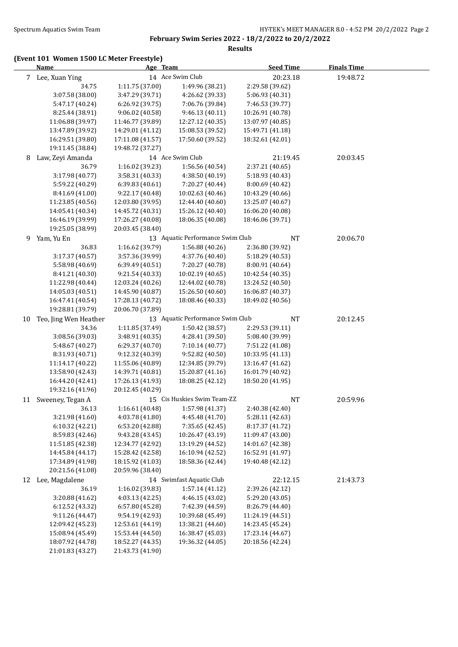**Results**

### **(Event 101 Women 1500 LC Meter Freestyle)**

|    | <u>Name</u>                        | Age Team                           |                                                | <b>Seed Time</b>                   | <b>Finals Time</b> |  |
|----|------------------------------------|------------------------------------|------------------------------------------------|------------------------------------|--------------------|--|
|    | 7 Lee, Xuan Ying                   |                                    | 14 Ace Swim Club                               | 20:23.18                           | 19:48.72           |  |
|    | 34.75                              | 1:11.75 (37.00)                    | 1:49.96 (38.21)                                | 2:29.58 (39.62)                    |                    |  |
|    | 3:07.58 (38.00)                    | 3:47.29 (39.71)                    | 4:26.62 (39.33)                                | 5:06.93 (40.31)                    |                    |  |
|    | 5:47.17 (40.24)                    | 6:26.92 (39.75)                    | 7:06.76 (39.84)                                | 7:46.53 (39.77)                    |                    |  |
|    | 8:25.44 (38.91)                    | 9:06.02 (40.58)                    | 9:46.13 (40.11)                                | 10:26.91 (40.78)                   |                    |  |
|    | 11:06.88 (39.97)                   | 11:46.77 (39.89)                   | 12:27.12 (40.35)                               | 13:07.97 (40.85)                   |                    |  |
|    | 13:47.89 (39.92)                   | 14:29.01 (41.12)                   | 15:08.53 (39.52)                               | 15:49.71 (41.18)                   |                    |  |
|    | 16:29.51 (39.80)                   | 17:11.08 (41.57)                   | 17:50.60 (39.52)                               | 18:32.61 (42.01)                   |                    |  |
|    | 19:11.45 (38.84)                   | 19:48.72 (37.27)                   |                                                |                                    |                    |  |
| 8  | Law, Zeyi Amanda                   |                                    | 14 Ace Swim Club                               | 21:19.45                           | 20:03.45           |  |
|    | 36.79                              | 1:16.02 (39.23)                    | 1:56.56 (40.54)                                | 2:37.21 (40.65)                    |                    |  |
|    | 3:17.98 (40.77)                    | 3:58.31 (40.33)                    | 4:38.50 (40.19)                                | 5:18.93 (40.43)                    |                    |  |
|    | 5:59.22 (40.29)                    | 6:39.83 (40.61)                    | 7:20.27 (40.44)                                | 8:00.69 (40.42)                    |                    |  |
|    | 8:41.69 (41.00)                    | 9:22.17 (40.48)                    | 10:02.63 (40.46)                               | 10:43.29 (40.66)                   |                    |  |
|    | 11:23.85 (40.56)                   | 12:03.80 (39.95)                   | 12:44.40 (40.60)                               | 13:25.07 (40.67)                   |                    |  |
|    | 14:05.41 (40.34)                   | 14:45.72 (40.31)                   | 15:26.12 (40.40)                               | 16:06.20 (40.08)                   |                    |  |
|    | 16:46.19 (39.99)                   | 17:26.27 (40.08)                   | 18:06.35 (40.08)                               | 18:46.06 (39.71)                   |                    |  |
|    | 19:25.05 (38.99)                   | 20:03.45 (38.40)                   |                                                |                                    |                    |  |
| 9  | Yam, Yu En                         |                                    | 13 Aquatic Performance Swim Club               | <b>NT</b>                          | 20:06.70           |  |
|    | 36.83                              | 1:16.62 (39.79)                    | 1:56.88 (40.26)                                | 2:36.80 (39.92)                    |                    |  |
|    | 3:17.37 (40.57)                    | 3:57.36 (39.99)                    | 4:37.76 (40.40)                                | 5:18.29 (40.53)                    |                    |  |
|    | 5:58.98 (40.69)                    | 6:39.49 (40.51)                    | 7:20.27 (40.78)                                | 8:00.91 (40.64)                    |                    |  |
|    | 8:41.21 (40.30)                    | 9:21.54 (40.33)                    | 10:02.19 (40.65)                               | 10:42.54 (40.35)                   |                    |  |
|    | 11:22.98 (40.44)                   | 12:03.24 (40.26)                   | 12:44.02 (40.78)                               | 13:24.52 (40.50)                   |                    |  |
|    | 14:05.03 (40.51)                   | 14:45.90 (40.87)                   | 15:26.50 (40.60)                               | 16:06.87 (40.37)                   |                    |  |
|    | 16:47.41 (40.54)                   | 17:28.13 (40.72)                   | 18:08.46 (40.33)                               | 18:49.02 (40.56)                   |                    |  |
|    | 19:28.81 (39.79)                   | 20:06.70 (37.89)                   |                                                |                                    |                    |  |
| 10 | Teo, Jing Wen Heather              |                                    | 13 Aquatic Performance Swim Club               | NT                                 | 20:12.45           |  |
|    | 34.36                              | 1:11.85 (37.49)                    | 1:50.42 (38.57)                                | 2:29.53 (39.11)                    |                    |  |
|    | 3:08.56 (39.03)                    | 3:48.91 (40.35)                    | 4:28.41 (39.50)                                | 5:08.40 (39.99)                    |                    |  |
|    | 5:48.67 (40.27)                    | 6:29.37 (40.70)                    | 7:10.14 (40.77)                                | 7:51.22 (41.08)                    |                    |  |
|    | 8:31.93 (40.71)                    | 9:12.32 (40.39)                    | 9:52.82 (40.50)                                | 10:33.95 (41.13)                   |                    |  |
|    | 11:14.17 (40.22)                   | 11:55.06 (40.89)                   | 12:34.85 (39.79)                               | 13:16.47 (41.62)                   |                    |  |
|    | 13:58.90 (42.43)                   | 14:39.71 (40.81)                   | 15:20.87 (41.16)                               | 16:01.79 (40.92)                   |                    |  |
|    | 16:44.20 (42.41)                   | 17:26.13 (41.93)                   | 18:08.25 (42.12)                               | 18:50.20 (41.95)                   |                    |  |
|    | 19:32.16 (41.96)                   | 20:12.45 (40.29)                   |                                                |                                    |                    |  |
|    | 11 Sweeney, Tegan A                |                                    | 15 Cis Huskies Swim Team-ZZ<br>1:57.98 (41.37) | NT                                 | 20:59.96           |  |
|    | 36.13                              | 1:16.61 (40.48)<br>4:03.78 (41.80) | 4:45.48 (41.70)                                | 2:40.38 (42.40)                    |                    |  |
|    | 3:21.98 (41.60)<br>6:10.32 (42.21) | 6:53.20 (42.88)                    | 7:35.65 (42.45)                                | 5:28.11 (42.63)<br>8:17.37 (41.72) |                    |  |
|    | 8:59.83 (42.46)                    | 9:43.28 (43.45)                    | 10:26.47 (43.19)                               | 11:09.47 (43.00)                   |                    |  |
|    | 11:51.85 (42.38)                   | 12:34.77 (42.92)                   | 13:19.29 (44.52)                               | 14:01.67 (42.38)                   |                    |  |
|    | 14:45.84 (44.17)                   | 15:28.42 (42.58)                   | 16:10.94 (42.52)                               | 16:52.91 (41.97)                   |                    |  |
|    | 17:34.89 (41.98)                   | 18:15.92 (41.03)                   | 18:58.36 (42.44)                               | 19:40.48 (42.12)                   |                    |  |
|    | 20:21.56 (41.08)                   | 20:59.96 (38.40)                   |                                                |                                    |                    |  |
| 12 | Lee, Magdalene                     |                                    | 14 Swimfast Aquatic Club                       | 22:12.15                           | 21:43.73           |  |
|    | 36.19                              | 1:16.02 (39.83)                    | 1:57.14 (41.12)                                | 2:39.26 (42.12)                    |                    |  |
|    | 3:20.88 (41.62)                    | 4:03.13 (42.25)                    | 4:46.15 (43.02)                                | 5:29.20 (43.05)                    |                    |  |
|    | 6:12.52 (43.32)                    | 6:57.80 (45.28)                    | 7:42.39 (44.59)                                | 8:26.79 (44.40)                    |                    |  |
|    | 9:11.26 (44.47)                    | 9:54.19 (42.93)                    | 10:39.68 (45.49)                               | 11:24.19 (44.51)                   |                    |  |
|    | 12:09.42 (45.23)                   | 12:53.61 (44.19)                   | 13:38.21 (44.60)                               | 14:23.45 (45.24)                   |                    |  |
|    | 15:08.94 (45.49)                   | 15:53.44 (44.50)                   | 16:38.47 (45.03)                               | 17:23.14 (44.67)                   |                    |  |
|    | 18:07.92 (44.78)                   | 18:52.27 (44.35)                   | 19:36.32 (44.05)                               | 20:18.56 (42.24)                   |                    |  |
|    | 21:01.83 (43.27)                   | 21:43.73 (41.90)                   |                                                |                                    |                    |  |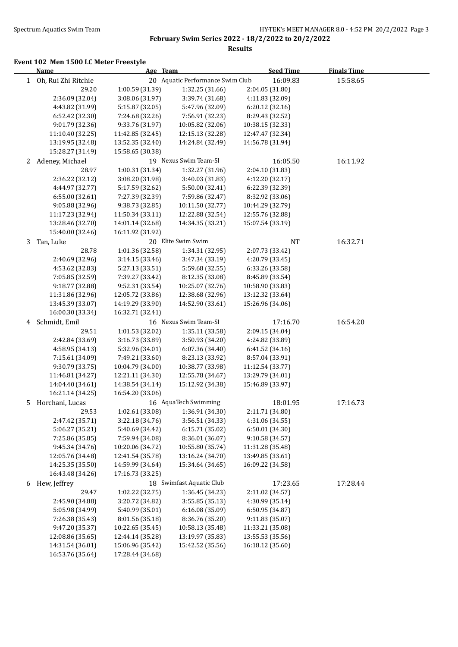$\overline{a}$ 

**February Swim Series 2022 - 18/2/2022 to 20/2/2022**

**Results**

### **Event 102 Men 1500 LC Meter Freestyle**

|              | <b>Name</b>                          | Age Team         |                                  | <b>Seed Time</b> | <b>Finals Time</b> |  |
|--------------|--------------------------------------|------------------|----------------------------------|------------------|--------------------|--|
| $\mathbf{1}$ | Oh, Rui Zhi Ritchie                  |                  | 20 Aquatic Performance Swim Club | 16:09.83         | 15:58.65           |  |
|              | 29.20                                | 1:00.59 (31.39)  | 1:32.25 (31.66)                  | 2:04.05 (31.80)  |                    |  |
|              | 2:36.09 (32.04)                      | 3:08.06 (31.97)  | 3:39.74 (31.68)                  | 4:11.83 (32.09)  |                    |  |
|              | 4:43.82 (31.99)                      | 5:15.87 (32.05)  | 5:47.96 (32.09)                  | 6:20.12 (32.16)  |                    |  |
|              | 6:52.42 (32.30)                      | 7:24.68 (32.26)  | 7:56.91 (32.23)                  | 8:29.43 (32.52)  |                    |  |
|              | 9:01.79 (32.36)                      | 9:33.76 (31.97)  | 10:05.82 (32.06)                 | 10:38.15 (32.33) |                    |  |
|              | 11:10.40 (32.25)                     | 11:42.85 (32.45) | 12:15.13 (32.28)                 | 12:47.47 (32.34) |                    |  |
|              | 13:19.95 (32.48)                     | 13:52.35 (32.40) | 14:24.84 (32.49)                 | 14:56.78 (31.94) |                    |  |
|              | 15:28.27 (31.49)                     | 15:58.65 (30.38) |                                  |                  |                    |  |
| 2            | Adeney, Michael                      |                  | 19 Nexus Swim Team-SI            | 16:05.50         | 16:11.92           |  |
|              | 28.97                                | 1:00.31 (31.34)  | 1:32.27 (31.96)                  | 2:04.10 (31.83)  |                    |  |
|              | 2:36.22 (32.12)                      | 3:08.20 (31.98)  | 3:40.03 (31.83)                  | 4:12.20 (32.17)  |                    |  |
|              | 4:44.97 (32.77)                      | 5:17.59 (32.62)  | 5:50.00 (32.41)                  | 6:22.39 (32.39)  |                    |  |
|              | 6:55.00 (32.61)                      | 7:27.39 (32.39)  | 7:59.86 (32.47)                  | 8:32.92 (33.06)  |                    |  |
|              | 9:05.88 (32.96)                      | 9:38.73 (32.85)  | 10:11.50 (32.77)                 | 10:44.29 (32.79) |                    |  |
|              | 11:17.23 (32.94)                     | 11:50.34 (33.11) | 12:22.88 (32.54)                 | 12:55.76 (32.88) |                    |  |
|              | 13:28.46 (32.70)                     | 14:01.14 (32.68) | 14:34.35 (33.21)                 | 15:07.54 (33.19) |                    |  |
|              | 15:40.00 (32.46)                     | 16:11.92 (31.92) |                                  |                  |                    |  |
| 3            | Tan, Luke                            |                  | 20 Elite Swim Swim               | <b>NT</b>        | 16:32.71           |  |
|              | 28.78                                | 1:01.36 (32.58)  | 1:34.31 (32.95)                  | 2:07.73 (33.42)  |                    |  |
|              | 2:40.69 (32.96)                      | 3:14.15(33.46)   |                                  |                  |                    |  |
|              |                                      |                  | 3:47.34 (33.19)                  | 4:20.79 (33.45)  |                    |  |
|              | 4:53.62 (32.83)                      | 5:27.13 (33.51)  | 5:59.68 (32.55)                  | 6:33.26 (33.58)  |                    |  |
|              | 7:05.85 (32.59)                      | 7:39.27 (33.42)  | 8:12.35 (33.08)                  | 8:45.89 (33.54)  |                    |  |
|              | 9:18.77 (32.88)                      | 9:52.31 (33.54)  | 10:25.07 (32.76)                 | 10:58.90 (33.83) |                    |  |
|              | 11:31.86 (32.96)                     | 12:05.72 (33.86) | 12:38.68 (32.96)                 | 13:12.32 (33.64) |                    |  |
|              | 13:45.39 (33.07)<br>16:00.30 (33.34) | 14:19.29 (33.90) | 14:52.90 (33.61)                 | 15:26.96 (34.06) |                    |  |
|              |                                      | 16:32.71 (32.41) |                                  |                  |                    |  |
| 4            | Schmidt, Emil                        |                  | 16 Nexus Swim Team-SI            | 17:16.70         | 16:54.20           |  |
|              | 29.51                                | 1:01.53 (32.02)  | 1:35.11 (33.58)                  | 2:09.15 (34.04)  |                    |  |
|              | 2:42.84 (33.69)                      | 3:16.73 (33.89)  | 3:50.93 (34.20)                  | 4:24.82 (33.89)  |                    |  |
|              | 4:58.95 (34.13)                      | 5:32.96 (34.01)  | 6:07.36 (34.40)                  | 6:41.52 (34.16)  |                    |  |
|              | 7:15.61 (34.09)                      | 7:49.21 (33.60)  | 8:23.13 (33.92)                  | 8:57.04 (33.91)  |                    |  |
|              | 9:30.79 (33.75)                      | 10:04.79 (34.00) | 10:38.77 (33.98)                 | 11:12.54 (33.77) |                    |  |
|              | 11:46.81 (34.27)                     | 12:21.11 (34.30) | 12:55.78 (34.67)                 | 13:29.79 (34.01) |                    |  |
|              | 14:04.40 (34.61)                     | 14:38.54 (34.14) | 15:12.92 (34.38)                 | 15:46.89 (33.97) |                    |  |
|              | 16:21.14 (34.25)                     | 16:54.20 (33.06) |                                  |                  |                    |  |
| 5            | Horchani, Lucas                      |                  | 16 AquaTech Swimming             | 18:01.95         | 17:16.73           |  |
|              | 29.53                                | 1:02.61 (33.08)  | 1:36.91 (34.30)                  | 2:11.71 (34.80)  |                    |  |
|              | 2:47.42 (35.71)                      | 3:22.18 (34.76)  | 3:56.51 (34.33)                  | 4:31.06 (34.55)  |                    |  |
|              | 5:06.27 (35.21)                      | 5:40.69 (34.42)  | 6:15.71 (35.02)                  | 6:50.01 (34.30)  |                    |  |
|              | 7:25.86 (35.85)                      | 7:59.94 (34.08)  | 8:36.01 (36.07)                  | 9:10.58 (34.57)  |                    |  |
|              | 9:45.34 (34.76)                      | 10:20.06 (34.72) | 10:55.80 (35.74)                 | 11:31.28 (35.48) |                    |  |
|              | 12:05.76 (34.48)                     | 12:41.54 (35.78) | 13:16.24 (34.70)                 | 13:49.85 (33.61) |                    |  |
|              | 14:25.35 (35.50)                     | 14:59.99 (34.64) | 15:34.64 (34.65)                 | 16:09.22 (34.58) |                    |  |
|              | 16:43.48 (34.26)                     | 17:16.73 (33.25) |                                  |                  |                    |  |
| 6            | Hew, Jeffrey                         |                  | 18 Swimfast Aquatic Club         | 17:23.65         | 17:28.44           |  |
|              | 29.47                                | 1:02.22 (32.75)  | 1:36.45 (34.23)                  | 2:11.02 (34.57)  |                    |  |
|              | 2:45.90 (34.88)                      | 3:20.72 (34.82)  | 3:55.85 (35.13)                  | 4:30.99 (35.14)  |                    |  |
|              | 5:05.98 (34.99)                      | 5:40.99 (35.01)  | 6:16.08(35.09)                   | 6:50.95 (34.87)  |                    |  |
|              | 7:26.38 (35.43)                      | 8:01.56 (35.18)  | 8:36.76 (35.20)                  | 9:11.83 (35.07)  |                    |  |
|              | 9:47.20 (35.37)                      | 10:22.65 (35.45) | 10:58.13 (35.48)                 | 11:33.21 (35.08) |                    |  |
|              | 12:08.86 (35.65)                     | 12:44.14 (35.28) | 13:19.97 (35.83)                 | 13:55.53 (35.56) |                    |  |
|              | 14:31.54 (36.01)                     | 15:06.96 (35.42) | 15:42.52 (35.56)                 | 16:18.12 (35.60) |                    |  |
|              | 16:53.76 (35.64)                     | 17:28.44 (34.68) |                                  |                  |                    |  |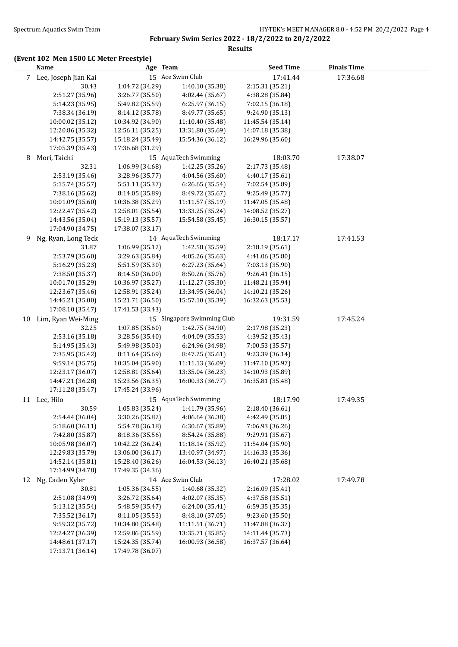### **(Event 102 Men 1500 LC Meter Freestyle)**

**Results**

| <b>Seed Time</b><br><b>Name</b><br>Age Team<br><b>Finals Time</b>                              |  |
|------------------------------------------------------------------------------------------------|--|
| 15 Ace Swim Club<br>17:41.44<br>17:36.68<br>7 Lee, Joseph Jian Kai                             |  |
| 2:15.31 (35.21)<br>30.43<br>1:04.72 (34.29)<br>1:40.10 (35.38)                                 |  |
| 2:51.27 (35.96)<br>3:26.77 (35.50)<br>4:02.44 (35.67)<br>4:38.28 (35.84)                       |  |
| 5:14.23 (35.95)<br>5:49.82 (35.59)<br>6:25.97(36.15)<br>7:02.15 (36.18)                        |  |
| 7:38.34 (36.19)<br>9:24.90 (35.13)<br>8:14.12 (35.78)<br>8:49.77 (35.65)                       |  |
| 11:45.54 (35.14)<br>10:00.02 (35.12)<br>11:10.40 (35.48)<br>10:34.92 (34.90)                   |  |
| 14:07.18 (35.38)<br>12:20.86 (35.32)<br>12:56.11 (35.25)<br>13:31.80 (35.69)                   |  |
| 16:29.96 (35.60)<br>14:42.75 (35.57)<br>15:18.24 (35.49)<br>15:54.36 (36.12)                   |  |
| 17:05.39 (35.43)<br>17:36.68 (31.29)                                                           |  |
| 15 AquaTech Swimming<br>Mori, Taichi<br>18:03.70<br>17:38.07<br>8                              |  |
| 32.31<br>1:42.25 (35.26)<br>1:06.99 (34.68)<br>2:17.73 (35.48)                                 |  |
| 3:28.96 (35.77)<br>4:04.56 (35.60)<br>2:53.19 (35.46)<br>4:40.17 (35.61)                       |  |
| 5:15.74 (35.57)<br>5:51.11 (35.37)<br>6:26.65 (35.54)<br>7:02.54 (35.89)                       |  |
| 7:38.16 (35.62)<br>8:14.05 (35.89)<br>8:49.72 (35.67)<br>9:25.49 (35.77)                       |  |
| 10:01.09 (35.60)<br>10:36.38 (35.29)<br>11:11.57 (35.19)<br>11:47.05 (35.48)                   |  |
| 12:22.47 (35.42)<br>12:58.01 (35.54)<br>13:33.25 (35.24)<br>14:08.52 (35.27)                   |  |
| 14:43.56 (35.04)<br>16:30.15 (35.57)<br>15:19.13 (35.57)<br>15:54.58 (35.45)                   |  |
| 17:04.90 (34.75)<br>17:38.07 (33.17)                                                           |  |
| 14 AquaTech Swimming<br>Ng, Ryan, Long Teck<br>18:17.17<br>17:41.53<br>9                       |  |
| 31.87<br>1:06.99 (35.12)<br>1:42.58 (35.59)<br>2:18.19 (35.61)                                 |  |
| 2:53.79 (35.60)<br>4:05.26 (35.63)<br>3:29.63 (35.84)<br>4:41.06 (35.80)                       |  |
| 5:16.29 (35.23)<br>5:51.59 (35.30)<br>6:27.23 (35.64)<br>7:03.13 (35.90)                       |  |
| 8:50.26 (35.76)<br>7:38.50 (35.37)<br>8:14.50 (36.00)<br>9:26.41 (36.15)                       |  |
| 10:01.70 (35.29)<br>10:36.97 (35.27)<br>11:12.27 (35.30)<br>11:48.21 (35.94)                   |  |
| 13:34.95 (36.04)<br>14:10.21 (35.26)<br>12:23.67 (35.46)<br>12:58.91 (35.24)                   |  |
| 16:32.63 (35.53)<br>14:45.21 (35.00)<br>15:21.71 (36.50)<br>15:57.10 (35.39)                   |  |
| 17:08.10 (35.47)<br>17:41.53 (33.43)                                                           |  |
| Lim, Ryan Wei-Ming<br>15 Singapore Swimming Club<br>19:31.59<br>17:45.24<br>10                 |  |
| 1:07.85 (35.60)<br>1:42.75 (34.90)<br>2:17.98 (35.23)<br>32.25                                 |  |
| 2:53.16 (35.18)<br>4:04.09 (35.53)<br>3:28.56 (35.40)<br>4:39.52 (35.43)                       |  |
| 5:14.95 (35.43)<br>6:24.96 (34.98)<br>7:00.53 (35.57)<br>5:49.98 (35.03)                       |  |
| 8:47.25 (35.61)<br>9:23.39 (36.14)<br>7:35.95 (35.42)<br>8:11.64 (35.69)                       |  |
| 9:59.14 (35.75)<br>10:35.04 (35.90)<br>11:11.13 (36.09)<br>11:47.10 (35.97)                    |  |
| 14:10.93 (35.89)<br>12:23.17 (36.07)<br>12:58.81 (35.64)<br>13:35.04 (36.23)                   |  |
| 14:47.21 (36.28)<br>15:23.56 (36.35)<br>16:00.33 (36.77)<br>16:35.81 (35.48)                   |  |
| 17:11.28 (35.47)<br>17:45.24 (33.96)                                                           |  |
| 11 Lee, Hilo<br>15 AquaTech Swimming<br>18:17.90<br>17:49.35                                   |  |
| 30.59<br>1:05.83 (35.24)<br>1:41.79 (35.96)<br>2:18.40 (36.61)                                 |  |
| 3:30.26 (35.82)<br>4:06.64 (36.38)<br>4:42.49 (35.85)<br>2:54.44 (36.04)                       |  |
| 5:18.60 (36.11)<br>5:54.78 (36.18)<br>6:30.67 (35.89)<br>7:06.93 (36.26)                       |  |
| 7:42.80 (35.87)<br>8:18.36 (35.56)<br>8:54.24 (35.88)<br>9:29.91 (35.67)                       |  |
| 10:05.98 (36.07)<br>10:42.22 (36.24)<br>11:18.14 (35.92)<br>11:54.04 (35.90)                   |  |
| 13:06.00 (36.17)<br>12:29.83 (35.79)<br>13:40.97 (34.97)<br>14:16.33 (35.36)                   |  |
|                                                                                                |  |
| 14:52.14 (35.81)<br>15:28.40 (36.26)<br>16:04.53 (36.13)<br>16:40.21 (35.68)                   |  |
| 17:14.99 (34.78)<br>17:49.35 (34.36)                                                           |  |
|                                                                                                |  |
| Ng, Caden Kyler<br>14 Ace Swim Club<br>17:28.02<br>17:49.78<br>12<br>30.81<br>1:40.68 (35.32)  |  |
| 1:05.36 (34.55)<br>2:16.09 (35.41)<br>3:26.72 (35.64)<br>4:02.07 (35.35)<br>4:37.58 (35.51)    |  |
| 2:51.08 (34.99)<br>6:24.00 (35.41)<br>5:13.12 (35.54)<br>5:48.59 (35.47)<br>6:59.35 (35.35)    |  |
| 7:35.52 (36.17)<br>8:11.05 (35.53)<br>8:48.10 (37.05)                                          |  |
| 9:23.60 (35.50)<br>9:59.32 (35.72)<br>10:34.80 (35.48)<br>11:11.51 (36.71)<br>11:47.88 (36.37) |  |
| 13:35.71 (35.85)<br>14:11.44 (35.73)<br>12:24.27 (36.39)<br>12:59.86 (35.59)                   |  |
| 14:48.61 (37.17)<br>16:00.93 (36.58)<br>16:37.57 (36.64)<br>15:24.35 (35.74)                   |  |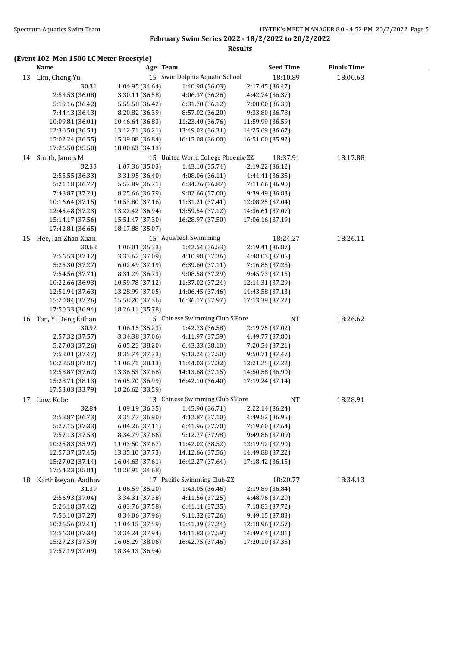**February Swim Series 2022 - 18/2/2022 to 20/2/2022 Results**

**(Event 102 Men 1500 LC Meter Freestyle)**

|    | <b>Name</b>         | Age Team         |                                    | <b>Seed Time</b> | <b>Finals Time</b> |  |
|----|---------------------|------------------|------------------------------------|------------------|--------------------|--|
| 13 | Lim, Cheng Yu       |                  | 15 SwimDolphia Aquatic School      | 18:10.89         | 18:00.63           |  |
|    | 30.31               | 1:04.95 (34.64)  | 1:40.98 (36.03)                    | 2:17.45 (36.47)  |                    |  |
|    | 2:53.53 (36.08)     | 3:30.11 (36.58)  | 4:06.37 (36.26)                    | 4:42.74 (36.37)  |                    |  |
|    | 5:19.16 (36.42)     | 5:55.58 (36.42)  | 6:31.70 (36.12)                    | 7:08.00 (36.30)  |                    |  |
|    | 7:44.43 (36.43)     | 8:20.82 (36.39)  | 8:57.02 (36.20)                    | 9:33.80 (36.78)  |                    |  |
|    | 10:09.81 (36.01)    | 10:46.64 (36.83) | 11:23.40 (36.76)                   | 11:59.99 (36.59) |                    |  |
|    | 12:36.50 (36.51)    | 13:12.71 (36.21) | 13:49.02 (36.31)                   | 14:25.69 (36.67) |                    |  |
|    | 15:02.24 (36.55)    | 15:39.08 (36.84) | 16:15.08 (36.00)                   | 16:51.00 (35.92) |                    |  |
|    | 17:26.50 (35.50)    | 18:00.63 (34.13) |                                    |                  |                    |  |
| 14 | Smith, James M      |                  | 15 United World College Phoenix-ZZ | 18:37.91         | 18:17.88           |  |
|    | 32.33               | 1:07.36 (35.03)  | 1:43.10 (35.74)                    | 2:19.22 (36.12)  |                    |  |
|    | 2:55.55 (36.33)     | 3:31.95 (36.40)  | 4:08.06 (36.11)                    | 4:44.41 (36.35)  |                    |  |
|    | 5:21.18 (36.77)     | 5:57.89 (36.71)  | 6:34.76 (36.87)                    | 7:11.66 (36.90)  |                    |  |
|    | 7:48.87 (37.21)     | 8:25.66 (36.79)  | 9:02.66 (37.00)                    | 9:39.49 (36.83)  |                    |  |
|    | 10:16.64 (37.15)    | 10:53.80 (37.16) | 11:31.21 (37.41)                   | 12:08.25 (37.04) |                    |  |
|    | 12:45.48 (37.23)    | 13:22.42 (36.94) | 13:59.54 (37.12)                   | 14:36.61 (37.07) |                    |  |
|    | 15:14.17 (37.56)    | 15:51.47 (37.30) | 16:28.97 (37.50)                   | 17:06.16 (37.19) |                    |  |
|    | 17:42.81 (36.65)    | 18:17.88 (35.07) |                                    |                  |                    |  |
| 15 | Hee, Ian Zhao Xuan  |                  | 15 AquaTech Swimming               | 18:24.27         | 18:26.11           |  |
|    | 30.68               | 1:06.01 (35.33)  | 1:42.54 (36.53)                    | 2:19.41 (36.87)  |                    |  |
|    | 2:56.53 (37.12)     | 3:33.62 (37.09)  | 4:10.98 (37.36)                    | 4:48.03 (37.05)  |                    |  |
|    | 5:25.30 (37.27)     | 6:02.49 (37.19)  | 6:39.60 (37.11)                    | 7:16.85 (37.25)  |                    |  |
|    | 7:54.56 (37.71)     | 8:31.29 (36.73)  | 9:08.58 (37.29)                    | 9:45.73 (37.15)  |                    |  |
|    | 10:22.66 (36.93)    | 10:59.78 (37.12) | 11:37.02 (37.24)                   | 12:14.31 (37.29) |                    |  |
|    | 12:51.94 (37.63)    | 13:28.99 (37.05) | 14:06.45 (37.46)                   | 14:43.58 (37.13) |                    |  |
|    | 15:20.84 (37.26)    | 15:58.20 (37.36) | 16:36.17 (37.97)                   | 17:13.39 (37.22) |                    |  |
|    | 17:50.33 (36.94)    | 18:26.11 (35.78) |                                    |                  |                    |  |
| 16 | Tan, Yi Deng Eithan |                  | 15 Chinese Swimming Club S'Pore    | <b>NT</b>        | 18:26.62           |  |
|    | 30.92               | 1:06.15(35.23)   | 1:42.73 (36.58)                    | 2:19.75 (37.02)  |                    |  |
|    | 2:57.32 (37.57)     | 3:34.38 (37.06)  | 4:11.97 (37.59)                    | 4:49.77 (37.80)  |                    |  |
|    | 5:27.03 (37.26)     | 6:05.23 (38.20)  | 6:43.33 (38.10)                    | 7:20.54 (37.21)  |                    |  |
|    | 7:58.01 (37.47)     | 8:35.74 (37.73)  | 9:13.24 (37.50)                    | 9:50.71 (37.47)  |                    |  |
|    | 10:28.58 (37.87)    | 11:06.71 (38.13) | 11:44.03 (37.32)                   | 12:21.25 (37.22) |                    |  |
|    | 12:58.87 (37.62)    | 13:36.53 (37.66) | 14:13.68 (37.15)                   | 14:50.58 (36.90) |                    |  |
|    | 15:28.71 (38.13)    | 16:05.70 (36.99) | 16:42.10 (36.40)                   | 17:19.24 (37.14) |                    |  |
|    | 17:53.03 (33.79)    | 18:26.62 (33.59) |                                    |                  |                    |  |
|    | 17 Low, Kobe        |                  | 13 Chinese Swimming Club S'Pore    | NT               | 18:28.91           |  |
|    | 32.84               | 1:09.19 (36.35)  | 1:45.90 (36.71)                    | 2:22.14 (36.24)  |                    |  |
|    | 2:58.87 (36.73)     | 3:35.77 (36.90)  | 4:12.87 (37.10)                    | 4:49.82 (36.95)  |                    |  |
|    | 5:27.15 (37.33)     | 6:04.26 (37.11)  | 6:41.96 (37.70)                    | 7:19.60 (37.64)  |                    |  |
|    | 7:57.13 (37.53)     | 8:34.79 (37.66)  | 9:12.77 (37.98)                    | 9:49.86 (37.09)  |                    |  |
|    | 10:25.83 (35.97)    | 11:03.50 (37.67) | 11:42.02 (38.52)                   | 12:19.92 (37.90) |                    |  |
|    | 12:57.37 (37.45)    | 13:35.10 (37.73) | 14:12.66 (37.56)                   | 14:49.88 (37.22) |                    |  |
|    | 15:27.02 (37.14)    | 16:04.63 (37.61) | 16:42.27 (37.64)                   | 17:18.42 (36.15) |                    |  |
|    | 17:54.23 (35.81)    | 18:28.91 (34.68) |                                    |                  |                    |  |
| 18 | Karthikeyan, Aadhav |                  | 17 Pacific Swimming Club-ZZ        | 18:20.77         | 18:34.13           |  |
|    | 31.39               | 1:06.59 (35.20)  | 1:43.05 (36.46)                    | 2:19.89 (36.84)  |                    |  |
|    | 2:56.93 (37.04)     | 3:34.31 (37.38)  | 4:11.56 (37.25)                    | 4:48.76 (37.20)  |                    |  |
|    | 5:26.18 (37.42)     | 6:03.76 (37.58)  | 6:41.11(37.35)                     | 7:18.83 (37.72)  |                    |  |
|    | 7:56.10 (37.27)     | 8:34.06 (37.96)  | 9:11.32 (37.26)                    | 9:49.15 (37.83)  |                    |  |
|    | 10:26.56 (37.41)    | 11:04.15 (37.59) | 11:41.39 (37.24)                   | 12:18.96 (37.57) |                    |  |
|    | 12:56.30 (37.34)    | 13:34.24 (37.94) | 14:11.83 (37.59)                   | 14:49.64 (37.81) |                    |  |
|    | 15:27.23 (37.59)    | 16:05.29 (38.06) | 16:42.75 (37.46)                   | 17:20.10 (37.35) |                    |  |
|    | 17:57.19 (37.09)    | 18:34.13 (36.94) |                                    |                  |                    |  |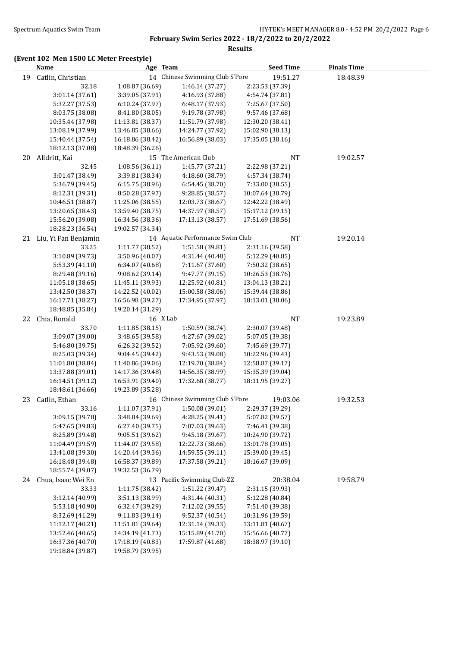# **(Event 102 Men 1500 LC Meter Freestyle)**

**Results**

|    | Name                 | Age Team         |                                  | <b>Seed Time</b> | <b>Finals Time</b> |  |
|----|----------------------|------------------|----------------------------------|------------------|--------------------|--|
| 19 | Catlin, Christian    |                  | 14 Chinese Swimming Club S'Pore  | 19:51.27         | 18:48.39           |  |
|    | 32.18                | 1:08.87 (36.69)  | 1:46.14 (37.27)                  | 2:23.53 (37.39)  |                    |  |
|    | 3:01.14 (37.61)      | 3:39.05 (37.91)  | 4:16.93 (37.88)                  | 4:54.74 (37.81)  |                    |  |
|    | 5:32.27 (37.53)      | 6:10.24(37.97)   | 6:48.17 (37.93)                  | 7:25.67 (37.50)  |                    |  |
|    | 8:03.75 (38.08)      | 8:41.80 (38.05)  | 9:19.78 (37.98)                  | 9:57.46 (37.68)  |                    |  |
|    | 10:35.44 (37.98)     | 11:13.81 (38.37) | 11:51.79 (37.98)                 | 12:30.20 (38.41) |                    |  |
|    | 13:08.19 (37.99)     | 13:46.85 (38.66) | 14:24.77 (37.92)                 | 15:02.90 (38.13) |                    |  |
|    | 15:40.44 (37.54)     | 16:18.86 (38.42) | 16:56.89 (38.03)                 | 17:35.05 (38.16) |                    |  |
|    | 18:12.13 (37.08)     | 18:48.39 (36.26) |                                  |                  |                    |  |
| 20 | Alldritt, Kai        |                  | 15 The American Club             | <b>NT</b>        | 19:02.57           |  |
|    | 32.45                | 1:08.56 (36.11)  | 1:45.77 (37.21)                  | 2:22.98 (37.21)  |                    |  |
|    | 3:01.47 (38.49)      | 3:39.81 (38.34)  | 4:18.60 (38.79)                  | 4:57.34 (38.74)  |                    |  |
|    | 5:36.79 (39.45)      | 6:15.75 (38.96)  | 6:54.45 (38.70)                  | 7:33.00 (38.55)  |                    |  |
|    | 8:12.31 (39.31)      | 8:50.28 (37.97)  | 9:28.85 (38.57)                  | 10:07.64 (38.79) |                    |  |
|    | 10:46.51 (38.87)     | 11:25.06 (38.55) | 12:03.73 (38.67)                 | 12:42.22 (38.49) |                    |  |
|    | 13:20.65 (38.43)     | 13:59.40 (38.75) | 14:37.97 (38.57)                 | 15:17.12 (39.15) |                    |  |
|    | 15:56.20 (39.08)     | 16:34.56 (38.36) | 17:13.13 (38.57)                 | 17:51.69 (38.56) |                    |  |
|    | 18:28.23 (36.54)     | 19:02.57 (34.34) |                                  |                  |                    |  |
| 21 | Liu, Yi Fan Benjamin |                  | 14 Aquatic Performance Swim Club | NT               | 19:20.14           |  |
|    | 33.25                | 1:11.77 (38.52)  | 1:51.58 (39.81)                  | 2:31.16 (39.58)  |                    |  |
|    | 3:10.89 (39.73)      | 3:50.96 (40.07)  | 4:31.44 (40.48)                  | 5:12.29 (40.85)  |                    |  |
|    | 5:53.39 (41.10)      | 6:34.07 (40.68)  | 7:11.67 (37.60)                  | 7:50.32 (38.65)  |                    |  |
|    | 8:29.48 (39.16)      | 9:08.62 (39.14)  | 9:47.77 (39.15)                  | 10:26.53 (38.76) |                    |  |
|    | 11:05.18 (38.65)     | 11:45.11 (39.93) | 12:25.92 (40.81)                 | 13:04.13 (38.21) |                    |  |
|    | 13:42.50 (38.37)     | 14:22.52 (40.02) | 15:00.58 (38.06)                 | 15:39.44 (38.86) |                    |  |
|    | 16:17.71 (38.27)     | 16:56.98 (39.27) | 17:34.95 (37.97)                 | 18:13.01 (38.06) |                    |  |
|    | 18:48.85 (35.84)     | 19:20.14 (31.29) |                                  |                  |                    |  |
| 22 | Chia, Ronald         | 16 X Lab         |                                  | <b>NT</b>        | 19:23.89           |  |
|    | 33.70                | 1:11.85(38.15)   | 1:50.59 (38.74)                  | 2:30.07 (39.48)  |                    |  |
|    | 3:09.07 (39.00)      | 3:48.65 (39.58)  | 4:27.67 (39.02)                  | 5:07.05 (39.38)  |                    |  |
|    | 5:46.80 (39.75)      | 6:26.32 (39.52)  | 7:05.92 (39.60)                  | 7:45.69 (39.77)  |                    |  |
|    | 8:25.03 (39.34)      | 9:04.45 (39.42)  | 9:43.53 (39.08)                  | 10:22.96 (39.43) |                    |  |
|    | 11:01.80 (38.84)     | 11:40.86 (39.06) | 12:19.70 (38.84)                 | 12:58.87 (39.17) |                    |  |
|    | 13:37.88 (39.01)     | 14:17.36 (39.48) | 14:56.35 (38.99)                 | 15:35.39 (39.04) |                    |  |
|    | 16:14.51 (39.12)     | 16:53.91 (39.40) | 17:32.68 (38.77)                 | 18:11.95 (39.27) |                    |  |
|    | 18:48.61 (36.66)     | 19:23.89 (35.28) |                                  |                  |                    |  |
| 23 | Catlin, Ethan        |                  | 16 Chinese Swimming Club S'Pore  | 19:03.06         | 19:32.53           |  |
|    | 33.16                | 1:11.07 (37.91)  | 1:50.08 (39.01)                  | 2:29.37 (39.29)  |                    |  |
|    | 3:09.15 (39.78)      | 3:48.84 (39.69)  | 4:28.25 (39.41)                  | 5:07.82 (39.57)  |                    |  |
|    | 5:47.65 (39.83)      | 6:27.40 (39.75)  | 7:07.03 (39.63)                  | 7:46.41 (39.38)  |                    |  |
|    | 8:25.89 (39.48)      | 9:05.51 (39.62)  | 9:45.18 (39.67)                  | 10:24.90 (39.72) |                    |  |
|    | 11:04.49 (39.59)     | 11:44.07 (39.58) | 12:22.73 (38.66)                 | 13:01.78 (39.05) |                    |  |
|    | 13:41.08 (39.30)     | 14:20.44 (39.36) | 14:59.55 (39.11)                 | 15:39.00 (39.45) |                    |  |
|    | 16:18.48 (39.48)     | 16:58.37 (39.89) | 17:37.58 (39.21)                 | 18:16.67 (39.09) |                    |  |
|    | 18:55.74 (39.07)     | 19:32.53 (36.79) |                                  |                  |                    |  |
| 24 | Chua, Isaac Wei En   |                  | 13 Pacific Swimming Club-ZZ      | 20:38.04         | 19:58.79           |  |
|    | 33.33                | 1:11.75 (38.42)  | 1:51.22 (39.47)                  | 2:31.15 (39.93)  |                    |  |
|    | 3:12.14 (40.99)      | 3:51.13 (38.99)  | 4:31.44 (40.31)                  | 5:12.28 (40.84)  |                    |  |
|    | 5:53.18 (40.90)      | 6:32.47 (39.29)  | 7:12.02 (39.55)                  | 7:51.40 (39.38)  |                    |  |
|    | 8:32.69 (41.29)      | 9:11.83 (39.14)  | 9:52.37 (40.54)                  | 10:31.96 (39.59) |                    |  |
|    | 11:12.17 (40.21)     | 11:51.81 (39.64) | 12:31.14 (39.33)                 | 13:11.81 (40.67) |                    |  |
|    | 13:52.46 (40.65)     | 14:34.19 (41.73) | 15:15.89 (41.70)                 | 15:56.66 (40.77) |                    |  |
|    | 16:37.36 (40.70)     | 17:18.19 (40.83) | 17:59.87 (41.68)                 | 18:38.97 (39.10) |                    |  |
|    | 19:18.84 (39.87)     | 19:58.79 (39.95) |                                  |                  |                    |  |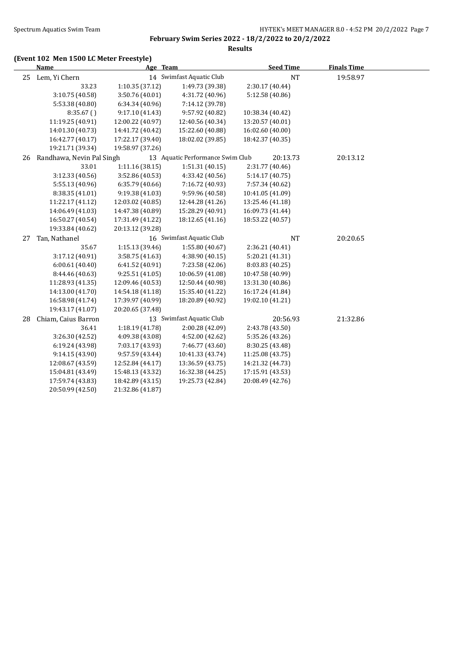**Results**

### **(Event 102 Men 1500 LC Meter Freestyle)**

|    | Name                      | Age Team         |                                  | <b>Seed Time</b> | <b>Finals Time</b> |  |
|----|---------------------------|------------------|----------------------------------|------------------|--------------------|--|
|    | 25 Lem, Yi Chern          |                  | 14 Swimfast Aquatic Club         | <b>NT</b>        | 19:58.97           |  |
|    | 33.23                     | 1:10.35(37.12)   | 1:49.73 (39.38)                  | 2:30.17 (40.44)  |                    |  |
|    | 3:10.75 (40.58)           | 3:50.76 (40.01)  | 4:31.72 (40.96)                  | 5:12.58 (40.86)  |                    |  |
|    | 5:53.38 (40.80)           | 6:34.34 (40.96)  | 7:14.12 (39.78)                  |                  |                    |  |
|    | 8:35.67(                  | 9:17.10(41.43)   | 9:57.92 (40.82)                  | 10:38.34 (40.42) |                    |  |
|    | 11:19.25 (40.91)          | 12:00.22 (40.97) | 12:40.56 (40.34)                 | 13:20.57 (40.01) |                    |  |
|    | 14:01.30 (40.73)          | 14:41.72 (40.42) | 15:22.60 (40.88)                 | 16:02.60 (40.00) |                    |  |
|    | 16:42.77 (40.17)          | 17:22.17 (39.40) | 18:02.02 (39.85)                 | 18:42.37 (40.35) |                    |  |
|    | 19:21.71 (39.34)          | 19:58.97 (37.26) |                                  |                  |                    |  |
| 26 | Randhawa, Nevin Pal Singh |                  | 13 Aquatic Performance Swim Club | 20:13.73         | 20:13.12           |  |
|    | 33.01                     | 1:11.16(38.15)   | 1:51.31 (40.15)                  | 2:31.77 (40.46)  |                    |  |
|    | 3:12.33 (40.56)           | 3:52.86 (40.53)  | 4:33.42 (40.56)                  | 5:14.17 (40.75)  |                    |  |
|    | 5:55.13 (40.96)           | 6:35.79 (40.66)  | 7:16.72 (40.93)                  | 7:57.34 (40.62)  |                    |  |
|    | 8:38.35 (41.01)           | 9:19.38 (41.03)  | 9:59.96 (40.58)                  | 10:41.05 (41.09) |                    |  |
|    | 11:22.17 (41.12)          | 12:03.02 (40.85) | 12:44.28 (41.26)                 | 13:25.46 (41.18) |                    |  |
|    | 14:06.49 (41.03)          | 14:47.38 (40.89) | 15:28.29 (40.91)                 | 16:09.73 (41.44) |                    |  |
|    | 16:50.27 (40.54)          | 17:31.49 (41.22) | 18:12.65 (41.16)                 | 18:53.22 (40.57) |                    |  |
|    | 19:33.84 (40.62)          | 20:13.12 (39.28) |                                  |                  |                    |  |
| 27 | Tan, Nathanel             |                  | 16 Swimfast Aquatic Club         | NT               | 20:20.65           |  |
|    | 35.67                     | 1:15.13 (39.46)  | 1:55.80 (40.67)                  | 2:36.21 (40.41)  |                    |  |
|    | 3:17.12 (40.91)           | 3:58.75 (41.63)  | 4:38.90 (40.15)                  | 5:20.21 (41.31)  |                    |  |
|    | 6:00.61(40.40)            | 6:41.52 (40.91)  | 7:23.58 (42.06)                  | 8:03.83 (40.25)  |                    |  |
|    | 8:44.46 (40.63)           | 9:25.51 (41.05)  | 10:06.59 (41.08)                 | 10:47.58 (40.99) |                    |  |
|    | 11:28.93 (41.35)          | 12:09.46 (40.53) | 12:50.44 (40.98)                 | 13:31.30 (40.86) |                    |  |
|    | 14:13.00 (41.70)          | 14:54.18 (41.18) | 15:35.40 (41.22)                 | 16:17.24 (41.84) |                    |  |
|    | 16:58.98 (41.74)          | 17:39.97 (40.99) | 18:20.89 (40.92)                 | 19:02.10 (41.21) |                    |  |
|    | 19:43.17 (41.07)          | 20:20.65 (37.48) |                                  |                  |                    |  |
| 28 | Chiam, Caius Barron       |                  | 13 Swimfast Aquatic Club         | 20:56.93         | 21:32.86           |  |
|    | 36.41                     | 1:18.19 (41.78)  | 2:00.28 (42.09)                  | 2:43.78 (43.50)  |                    |  |
|    | 3:26.30 (42.52)           | 4:09.38 (43.08)  | 4:52.00 (42.62)                  | 5:35.26 (43.26)  |                    |  |
|    | 6:19.24 (43.98)           | 7:03.17 (43.93)  | 7:46.77 (43.60)                  | 8:30.25 (43.48)  |                    |  |
|    | 9:14.15 (43.90)           | 9:57.59 (43.44)  | 10:41.33 (43.74)                 | 11:25.08 (43.75) |                    |  |
|    | 12:08.67 (43.59)          | 12:52.84 (44.17) | 13:36.59 (43.75)                 | 14:21.32 (44.73) |                    |  |
|    | 15:04.81 (43.49)          | 15:48.13 (43.32) | 16:32.38 (44.25)                 | 17:15.91 (43.53) |                    |  |
|    | 17:59.74 (43.83)          | 18:42.89 (43.15) | 19:25.73 (42.84)                 | 20:08.49 (42.76) |                    |  |
|    | 20:50.99 (42.50)          | 21:32.86 (41.87) |                                  |                  |                    |  |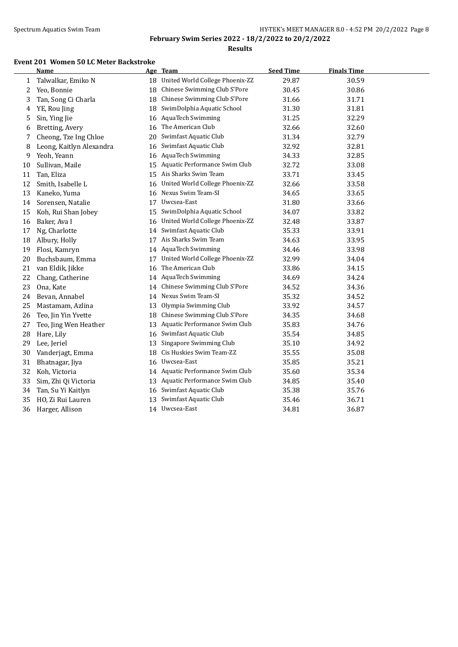**Results**

#### **Event 201 Women 50 LC Meter Backstroke**

|              | <b>Name</b>              |    | Age Team                           | <b>Seed Time</b> | <b>Finals Time</b> |  |
|--------------|--------------------------|----|------------------------------------|------------------|--------------------|--|
| $\mathbf{1}$ | Talwalkar, Emiko N       |    | 18 United World College Phoenix-ZZ | 29.87            | 30.59              |  |
| 2            | Yeo, Bonnie              | 18 | Chinese Swimming Club S'Pore       | 30.45            | 30.86              |  |
| 3            | Tan, Song Ci Charla      | 18 | Chinese Swimming Club S'Pore       | 31.66            | 31.71              |  |
| 4            | YE, Rou Jing             | 18 | SwimDolphia Aquatic School         | 31.30            | 31.81              |  |
| 5            | Sin, Ying Jie            | 16 | <b>AquaTech Swimming</b>           | 31.25            | 32.29              |  |
| 6            | Bretting, Avery          | 16 | The American Club                  | 32.66            | 32.60              |  |
| 7            | Cheong, Tze Ing Chloe    | 20 | Swimfast Aquatic Club              | 31.34            | 32.79              |  |
| 8            | Leong, Kaitlyn Alexandra | 16 | Swimfast Aquatic Club              | 32.92            | 32.81              |  |
| 9            | Yeoh, Yeann              | 16 | AquaTech Swimming                  | 34.33            | 32.85              |  |
| 10           | Sullivan, Maile          | 15 | Aquatic Performance Swim Club      | 32.72            | 33.08              |  |
| 11           | Tan, Eliza               | 15 | Ais Sharks Swim Team               | 33.71            | 33.45              |  |
| 12           | Smith, Isabelle L        | 16 | United World College Phoenix-ZZ    | 32.66            | 33.58              |  |
| 13           | Kaneko, Yuma             | 16 | Nexus Swim Team-SI                 | 34.65            | 33.65              |  |
| 14           | Sorensen, Natalie        | 17 | Uwcsea-East                        | 31.80            | 33.66              |  |
| 15           | Koh, Rui Shan Jobey      | 15 | SwimDolphia Aquatic School         | 34.07            | 33.82              |  |
| 16           | Baker, Ava I             | 16 | United World College Phoenix-ZZ    | 32.48            | 33.87              |  |
| 17           | Ng, Charlotte            | 14 | Swimfast Aquatic Club              | 35.33            | 33.91              |  |
| 18           | Albury, Holly            | 17 | Ais Sharks Swim Team               | 34.63            | 33.95              |  |
| 19           | Flosi, Kamryn            | 14 | <b>AquaTech Swimming</b>           | 34.46            | 33.98              |  |
| 20           | Buchsbaum, Emma          | 17 | United World College Phoenix-ZZ    | 32.99            | 34.04              |  |
| 21           | van Eldik, Jikke         | 16 | The American Club                  | 33.86            | 34.15              |  |
| 22           | Chang, Catherine         | 14 | <b>AquaTech Swimming</b>           | 34.69            | 34.24              |  |
| 23           | Ona, Kate                | 14 | Chinese Swimming Club S'Pore       | 34.52            | 34.36              |  |
| 24           | Bevan, Annabel           | 14 | Nexus Swim Team-SI                 | 35.32            | 34.52              |  |
| 25           | Mastamam, Azlina         | 13 | Olympia Swimming Club              | 33.92            | 34.57              |  |
| 26           | Teo, Jin Yin Yvette      | 18 | Chinese Swimming Club S'Pore       | 34.35            | 34.68              |  |
| 27           | Teo, Jing Wen Heather    | 13 | Aquatic Performance Swim Club      | 35.83            | 34.76              |  |
| 28           | Hare, Lily               | 16 | Swimfast Aquatic Club              | 35.54            | 34.85              |  |
| 29           | Lee, Jeriel              | 13 | Singapore Swimming Club            | 35.10            | 34.92              |  |
| 30           | Vanderjagt, Emma         | 18 | Cis Huskies Swim Team-ZZ           | 35.55            | 35.08              |  |
| 31           | Bhatnagar, Jiya          | 16 | Uwcsea-East                        | 35.85            | 35.21              |  |
| 32           | Koh, Victoria            | 14 | Aquatic Performance Swim Club      | 35.60            | 35.34              |  |
| 33           | Sim, Zhi Qi Victoria     | 13 | Aquatic Performance Swim Club      | 34.85            | 35.40              |  |
| 34           | Tan, Su Yi Kaitlyn       | 16 | Swimfast Aquatic Club              | 35.38            | 35.76              |  |
| 35           | HO, Zi Rui Lauren        | 13 | Swimfast Aquatic Club              | 35.46            | 36.71              |  |
| 36           | Harger, Allison          | 14 | Uwcsea-East                        | 34.81            | 36.87              |  |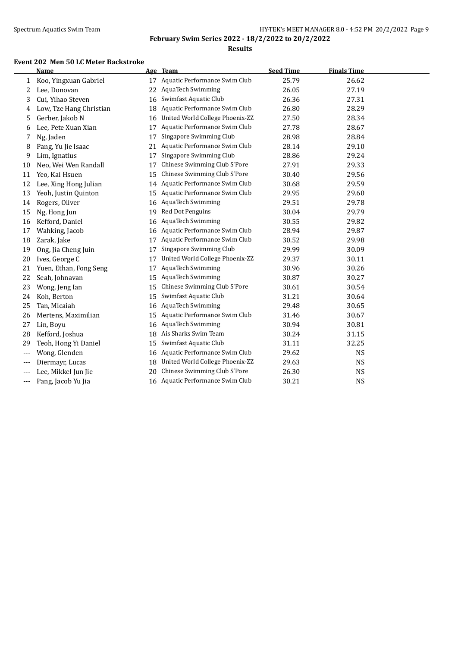l.

**February Swim Series 2022 - 18/2/2022 to 20/2/2022**

**Results**

#### **Event 202 Men 50 LC Meter Backstroke**

|              | <b>Name</b>             |    | Age Team                        | <b>Seed Time</b> | <b>Finals Time</b> |  |
|--------------|-------------------------|----|---------------------------------|------------------|--------------------|--|
| $\mathbf{1}$ | Koo, Yingxuan Gabriel   | 17 | Aquatic Performance Swim Club   | 25.79            | 26.62              |  |
| 2            | Lee, Donovan            | 22 | <b>AquaTech Swimming</b>        | 26.05            | 27.19              |  |
| 3            | Cui, Yihao Steven       | 16 | Swimfast Aquatic Club           | 26.36            | 27.31              |  |
| 4            | Low, Tze Hang Christian | 18 | Aquatic Performance Swim Club   | 26.80            | 28.29              |  |
| 5            | Gerber, Jakob N         | 16 | United World College Phoenix-ZZ | 27.50            | 28.34              |  |
| 6            | Lee, Pete Xuan Xian     | 17 | Aquatic Performance Swim Club   | 27.78            | 28.67              |  |
| 7            | Ng, Jaden               | 17 | Singapore Swimming Club         | 28.98            | 28.84              |  |
| 8            | Pang, Yu Jie Isaac      | 21 | Aquatic Performance Swim Club   | 28.14            | 29.10              |  |
| 9            | Lim, Ignatius           | 17 | Singapore Swimming Club         | 28.86            | 29.24              |  |
| 10           | Neo, Wei Wen Randall    | 17 | Chinese Swimming Club S'Pore    | 27.91            | 29.33              |  |
| 11           | Yeo, Kai Hsuen          | 15 | Chinese Swimming Club S'Pore    | 30.40            | 29.56              |  |
| 12           | Lee, Xing Hong Julian   | 14 | Aquatic Performance Swim Club   | 30.68            | 29.59              |  |
| 13           | Yeoh, Justin Quinton    | 15 | Aquatic Performance Swim Club   | 29.95            | 29.60              |  |
| 14           | Rogers, Oliver          | 16 | <b>AquaTech Swimming</b>        | 29.51            | 29.78              |  |
| 15           | Ng, Hong Jun            | 19 | Red Dot Penguins                | 30.04            | 29.79              |  |
| 16           | Kefford, Daniel         | 16 | <b>AquaTech Swimming</b>        | 30.55            | 29.82              |  |
| 17           | Wahking, Jacob          | 16 | Aquatic Performance Swim Club   | 28.94            | 29.87              |  |
| 18           | Zarak, Jake             | 17 | Aquatic Performance Swim Club   | 30.52            | 29.98              |  |
| 19           | Ong, Jia Cheng Juin     | 17 | Singapore Swimming Club         | 29.99            | 30.09              |  |
| 20           | Ives, George C          | 17 | United World College Phoenix-ZZ | 29.37            | 30.11              |  |
| 21           | Yuen, Ethan, Fong Seng  | 17 | <b>AquaTech Swimming</b>        | 30.96            | 30.26              |  |
| 22           | Seah, Johnavan          | 15 | AquaTech Swimming               | 30.87            | 30.27              |  |
| 23           | Wong, Jeng Ian          | 15 | Chinese Swimming Club S'Pore    | 30.61            | 30.54              |  |
| 24           | Koh, Berton             | 15 | Swimfast Aquatic Club           | 31.21            | 30.64              |  |
| 25           | Tan, Micaiah            | 16 | AquaTech Swimming               | 29.48            | 30.65              |  |
| 26           | Mertens, Maximilian     | 15 | Aquatic Performance Swim Club   | 31.46            | 30.67              |  |
| 27           | Lin, Boyu               | 16 | <b>AquaTech Swimming</b>        | 30.94            | 30.81              |  |
| 28           | Kefford, Joshua         | 18 | Ais Sharks Swim Team            | 30.24            | 31.15              |  |
| 29           | Teoh, Hong Yi Daniel    | 15 | Swimfast Aquatic Club           | 31.11            | 32.25              |  |
|              | Wong, Glenden           | 16 | Aquatic Performance Swim Club   | 29.62            | <b>NS</b>          |  |
|              | Diermayr, Lucas         | 18 | United World College Phoenix-ZZ | 29.63            | <b>NS</b>          |  |
|              | Lee, Mikkel Jun Jie     | 20 | Chinese Swimming Club S'Pore    | 26.30            | <b>NS</b>          |  |
| $---$        | Pang, Jacob Yu Jia      | 16 | Aquatic Performance Swim Club   | 30.21            | <b>NS</b>          |  |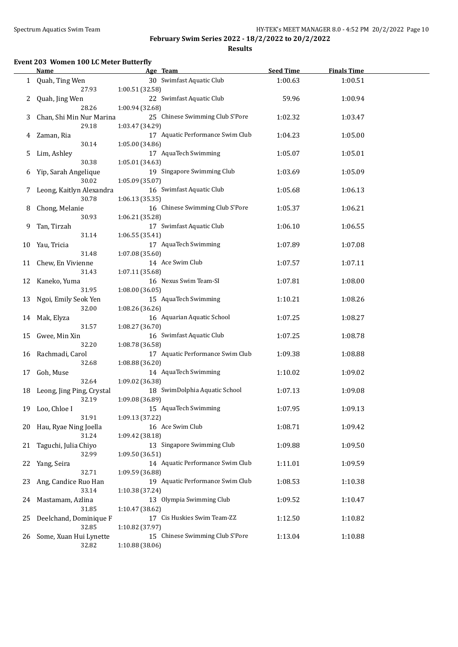**Results**

### **Event 203 Women 100 LC Meter Butterfly**

|    | Name                      | Age Team                                    | <b>Seed Time</b> | <b>Finals Time</b> |  |
|----|---------------------------|---------------------------------------------|------------------|--------------------|--|
| 1  | Quah, Ting Wen            | 30 Swimfast Aquatic Club                    | 1:00.63          | 1:00.51            |  |
|    | 27.93                     | 1:00.51 (32.58)                             |                  |                    |  |
| 2  | Quah, Jing Wen            | 22 Swimfast Aquatic Club                    | 59.96            | 1:00.94            |  |
|    | 28.26                     | 1:00.94 (32.68)                             |                  |                    |  |
| 3  | Chan, Shi Min Nur Marina  | 25 Chinese Swimming Club S'Pore             | 1:02.32          | 1:03.47            |  |
|    | 29.18                     | 1:03.47 (34.29)                             |                  |                    |  |
| 4  | Zaman, Ria                | 17 Aquatic Performance Swim Club            | 1:04.23          | 1:05.00            |  |
|    | 30.14                     | 1:05.00 (34.86)                             |                  |                    |  |
| 5  | Lim, Ashley               | 17 AquaTech Swimming                        | 1:05.07          | 1:05.01            |  |
|    | 30.38                     | 1:05.01 (34.63)                             |                  |                    |  |
|    | Yip, Sarah Angelique      | 19 Singapore Swimming Club                  |                  |                    |  |
| 6  | 30.02                     |                                             | 1:03.69          | 1:05.09            |  |
|    |                           | 1:05.09 (35.07)                             |                  |                    |  |
| 7  | Leong, Kaitlyn Alexandra  | 16 Swimfast Aquatic Club                    | 1:05.68          | 1:06.13            |  |
|    | 30.78                     | 1:06.13(35.35)                              |                  |                    |  |
| 8  | Chong, Melanie            | 16 Chinese Swimming Club S'Pore             | 1:05.37          | 1:06.21            |  |
|    | 30.93                     | 1:06.21 (35.28)                             |                  |                    |  |
| 9  | Tan, Tirzah               | 17 Swimfast Aquatic Club                    | 1:06.10          | 1:06.55            |  |
|    | 31.14                     | 1:06.55 (35.41)                             |                  |                    |  |
| 10 | Yau, Tricia               | 17 AquaTech Swimming                        | 1:07.89          | 1:07.08            |  |
|    | 31.48                     | 1:07.08 (35.60)                             |                  |                    |  |
| 11 | Chew, En Vivienne         | 14 Ace Swim Club                            | 1:07.57          | 1:07.11            |  |
|    | 31.43                     | 1:07.11 (35.68)                             |                  |                    |  |
| 12 | Kaneko, Yuma              | 16 Nexus Swim Team-SI                       | 1:07.81          | 1:08.00            |  |
|    | 31.95                     | 1:08.00(36.05)                              |                  |                    |  |
| 13 | Ngoi, Emily Seok Yen      | 15 AquaTech Swimming                        | 1:10.21          | 1:08.26            |  |
|    | 32.00                     | 1:08.26 (36.26)                             |                  |                    |  |
|    | 14 Mak, Elyza             | 16 Aquarian Aquatic School                  | 1:07.25          | 1:08.27            |  |
|    | 31.57                     | 1:08.27 (36.70)                             |                  |                    |  |
| 15 | Gwee, Min Xin             | 16 Swimfast Aquatic Club                    | 1:07.25          | 1:08.78            |  |
|    | 32.20                     | 1:08.78 (36.58)                             |                  |                    |  |
| 16 | Rachmadi, Carol           | 17 Aquatic Performance Swim Club            | 1:09.38          | 1:08.88            |  |
|    | 32.68                     | 1:08.88 (36.20)                             |                  |                    |  |
| 17 | Goh, Muse                 | 14 AquaTech Swimming                        | 1:10.02          | 1:09.02            |  |
|    | 32.64                     | 1:09.02 (36.38)                             |                  |                    |  |
| 18 | Leong, Jing Ping, Crystal | 18 SwimDolphia Aquatic School               | 1:07.13          | 1:09.08            |  |
|    | 32.19                     | 1:09.08 (36.89)                             |                  |                    |  |
|    | 19 Loo, Chloe I           | 15 AquaTech Swimming                        | 1:07.95          | 1:09.13            |  |
|    | 31.91                     | 1:09.13 (37.22)                             |                  |                    |  |
| 20 | Hau, Ryae Ning Joella     | 16 Ace Swim Club                            | 1:08.71          | 1:09.42            |  |
|    | 31.24                     | 1:09.42 (38.18)                             |                  |                    |  |
| 21 | Taguchi, Julia Chiyo      | 13 Singapore Swimming Club                  | 1:09.88          | 1:09.50            |  |
|    | 32.99                     | 1:09.50 (36.51)                             |                  |                    |  |
| 22 | Yang, Seira               | 14 Aquatic Performance Swim Club            | 1:11.01          | 1:09.59            |  |
|    | 32.71                     | 1:09.59 (36.88)                             |                  |                    |  |
| 23 | Ang, Candice Ruo Han      | 19 Aquatic Performance Swim Club            | 1:08.53          | 1:10.38            |  |
|    | 33.14                     |                                             |                  |                    |  |
|    |                           | 1:10.38 (37.24)<br>13 Olympia Swimming Club |                  |                    |  |
| 24 | Mastamam, Azlina          |                                             | 1:09.52          | 1:10.47            |  |
|    | 31.85                     | 1:10.47 (38.62)                             |                  |                    |  |
| 25 | Deelchand, Dominique F    | 17 Cis Huskies Swim Team-ZZ                 | 1:12.50          | 1:10.82            |  |
|    | 32.85                     | 1:10.82 (37.97)                             |                  |                    |  |
| 26 | Some, Xuan Hui Lynette    | 15 Chinese Swimming Club S'Pore             | 1:13.04          | 1:10.88            |  |
|    | 32.82                     | 1:10.88 (38.06)                             |                  |                    |  |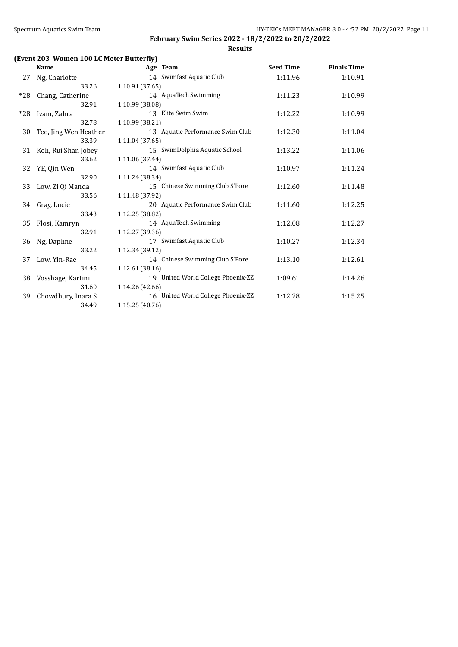**Results**

### **(Event 203 Women 100 LC Meter Butterfly)**

|     | <b>Name</b>            | Age Team                           | <b>Seed Time</b> | <b>Finals Time</b> |  |
|-----|------------------------|------------------------------------|------------------|--------------------|--|
| 27  | Ng, Charlotte          | 14 Swimfast Aquatic Club           | 1:11.96          | 1:10.91            |  |
|     | 33.26                  | 1:10.91(37.65)                     |                  |                    |  |
| *28 | Chang, Catherine       | 14 AquaTech Swimming               | 1:11.23          | 1:10.99            |  |
|     | 32.91                  | 1:10.99 (38.08)                    |                  |                    |  |
| *28 | Izam, Zahra            | 13 Elite Swim Swim                 | 1:12.22          | 1:10.99            |  |
|     | 32.78                  | 1:10.99 (38.21)                    |                  |                    |  |
| 30  | Teo, Jing Wen Heather  | 13 Aquatic Performance Swim Club   | 1:12.30          | 1:11.04            |  |
|     | 33.39                  | 1:11.04(37.65)                     |                  |                    |  |
|     | 31 Koh, Rui Shan Jobey | 15 SwimDolphia Aquatic School      | 1:13.22          | 1:11.06            |  |
|     | 33.62                  | 1:11.06 (37.44)                    |                  |                    |  |
| 32  | YE, Qin Wen            | 14 Swimfast Aquatic Club           | 1:10.97          | 1:11.24            |  |
|     | 32.90                  | 1:11.24 (38.34)                    |                  |                    |  |
| 33  | Low, Zi Qi Manda       | 15 Chinese Swimming Club S'Pore    | 1:12.60          | 1:11.48            |  |
|     | 33.56                  | 1:11.48 (37.92)                    |                  |                    |  |
| 34  | Gray, Lucie            | 20 Aquatic Performance Swim Club   | 1:11.60          | 1:12.25            |  |
|     | 33.43                  | 1:12.25 (38.82)                    |                  |                    |  |
| 35  | Flosi, Kamryn          | 14 AquaTech Swimming               | 1:12.08          | 1:12.27            |  |
|     | 32.91                  | 1:12.27 (39.36)                    |                  |                    |  |
| 36  | Ng, Daphne             | 17 Swimfast Aquatic Club           | 1:10.27          | 1:12.34            |  |
|     | 33.22                  | 1:12.34 (39.12)                    |                  |                    |  |
| 37  | Low, Yin-Rae           | 14 Chinese Swimming Club S'Pore    | 1:13.10          | 1:12.61            |  |
|     | 34.45                  | 1:12.61(38.16)                     |                  |                    |  |
| 38  | Vosshage, Kartini      | 19 United World College Phoenix-ZZ | 1:09.61          | 1:14.26            |  |
|     | 31.60                  | 1:14.26(42.66)                     |                  |                    |  |
| 39  | Chowdhury, Inara S     | 16 United World College Phoenix-ZZ | 1:12.28          | 1:15.25            |  |
|     | 34.49                  | 1:15.25 (40.76)                    |                  |                    |  |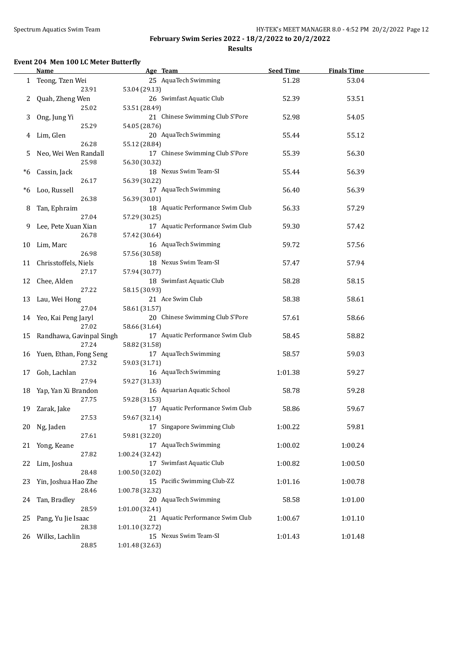$\overline{a}$ 

**February Swim Series 2022 - 18/2/2022 to 20/2/2022**

**Results**

### **Event 204 Men 100 LC Meter Butterfly**

|      | Name                        |                 | Age Team                         | <b>Seed Time</b> | <b>Finals Time</b> |  |
|------|-----------------------------|-----------------|----------------------------------|------------------|--------------------|--|
|      | 1 Teong, Tzen Wei           |                 | 25 AquaTech Swimming             | 51.28            | 53.04              |  |
|      | 23.91                       | 53.04 (29.13)   |                                  |                  |                    |  |
| 2    | Quah, Zheng Wen             |                 | 26 Swimfast Aquatic Club         | 52.39            | 53.51              |  |
|      | 25.02                       | 53.51 (28.49)   |                                  |                  |                    |  |
|      |                             |                 | 21 Chinese Swimming Club S'Pore  |                  | 54.05              |  |
| 3    | Ong, Jung Yi                |                 |                                  | 52.98            |                    |  |
|      | 25.29                       | 54.05 (28.76)   |                                  |                  |                    |  |
| 4    | Lim, Glen                   |                 | 20 AquaTech Swimming             | 55.44            | 55.12              |  |
|      | 26.28                       | 55.12 (28.84)   |                                  |                  |                    |  |
| 5    | Neo, Wei Wen Randall        |                 | 17 Chinese Swimming Club S'Pore  | 55.39            | 56.30              |  |
|      | 25.98                       | 56.30 (30.32)   |                                  |                  |                    |  |
| *6   | Cassin, Jack                |                 | 18 Nexus Swim Team-SI            | 55.44            | 56.39              |  |
|      | 26.17                       | 56.39 (30.22)   |                                  |                  |                    |  |
| $*6$ | Loo, Russell                |                 | 17 AquaTech Swimming             | 56.40            | 56.39              |  |
|      | 26.38                       | 56.39 (30.01)   |                                  |                  |                    |  |
| 8    | Tan, Ephraim                |                 | 18 Aquatic Performance Swim Club | 56.33            | 57.29              |  |
|      | 27.04                       | 57.29 (30.25)   |                                  |                  |                    |  |
|      | 9 Lee, Pete Xuan Xian       |                 | 17 Aquatic Performance Swim Club | 59.30            | 57.42              |  |
|      | 26.78                       | 57.42 (30.64)   |                                  |                  |                    |  |
|      |                             |                 |                                  |                  |                    |  |
| 10   | Lim, Marc                   |                 | 16 AquaTech Swimming             | 59.72            | 57.56              |  |
|      | 26.98                       | 57.56 (30.58)   |                                  |                  |                    |  |
|      | 11 Chrisstoffels, Niels     |                 | 18 Nexus Swim Team-SI            | 57.47            | 57.94              |  |
|      | 27.17                       | 57.94 (30.77)   |                                  |                  |                    |  |
| 12   | Chee, Alden                 |                 | 18 Swimfast Aquatic Club         | 58.28            | 58.15              |  |
|      | 27.22                       | 58.15 (30.93)   |                                  |                  |                    |  |
|      | 13 Lau, Wei Hong            |                 | 21 Ace Swim Club                 | 58.38            | 58.61              |  |
|      | 27.04                       | 58.61 (31.57)   |                                  |                  |                    |  |
|      | 14 Yeo, Kai Peng Jaryl      |                 | 20 Chinese Swimming Club S'Pore  | 57.61            | 58.66              |  |
|      | 27.02                       | 58.66 (31.64)   |                                  |                  |                    |  |
|      | 15 Randhawa, Gavinpal Singh |                 | 17 Aquatic Performance Swim Club | 58.45            | 58.82              |  |
|      | 27.24                       | 58.82 (31.58)   |                                  |                  |                    |  |
|      | 16 Yuen, Ethan, Fong Seng   |                 | 17 AquaTech Swimming             | 58.57            | 59.03              |  |
|      | 27.32                       | 59.03 (31.71)   |                                  |                  |                    |  |
| 17   | Goh, Lachlan                |                 | 16 AquaTech Swimming             | 1:01.38          | 59.27              |  |
|      | 27.94                       | 59.27 (31.33)   |                                  |                  |                    |  |
|      | 18 Yap, Yan Xi Brandon      |                 | 16 Aquarian Aquatic School       | 58.78            | 59.28              |  |
|      | 27.75                       | 59.28 (31.53)   |                                  |                  |                    |  |
|      |                             |                 | 17 Aquatic Performance Swim Club | 58.86            | 59.67              |  |
|      | 19 Zarak, Jake<br>27.53     | 59.67 (32.14)   |                                  |                  |                    |  |
|      |                             |                 | 17 Singapore Swimming Club       |                  |                    |  |
| 20   | Ng, Jaden                   |                 |                                  | 1:00.22          | 59.81              |  |
|      | 27.61                       | 59.81 (32.20)   |                                  |                  |                    |  |
| 21   | Yong, Keane                 |                 | 17 AquaTech Swimming             | 1:00.02          | 1:00.24            |  |
|      | 27.82                       | 1:00.24 (32.42) |                                  |                  |                    |  |
| 22   | Lim, Joshua                 |                 | 17 Swimfast Aquatic Club         | 1:00.82          | 1:00.50            |  |
|      | 28.48                       | 1:00.50 (32.02) |                                  |                  |                    |  |
| 23   | Yin, Joshua Hao Zhe         |                 | 15 Pacific Swimming Club-ZZ      | 1:01.16          | 1:00.78            |  |
|      | 28.46                       | 1:00.78 (32.32) |                                  |                  |                    |  |
| 24   | Tan, Bradley                |                 | 20 AquaTech Swimming             | 58.58            | 1:01.00            |  |
|      | 28.59                       | 1:01.00 (32.41) |                                  |                  |                    |  |
| 25   | Pang, Yu Jie Isaac          |                 | 21 Aquatic Performance Swim Club | 1:00.67          | 1:01.10            |  |
|      | 28.38                       | 1:01.10 (32.72) |                                  |                  |                    |  |
| 26   | Wilks, Lachlin              |                 | 15 Nexus Swim Team-SI            | 1:01.43          | 1:01.48            |  |
|      | 28.85                       | 1:01.48 (32.63) |                                  |                  |                    |  |
|      |                             |                 |                                  |                  |                    |  |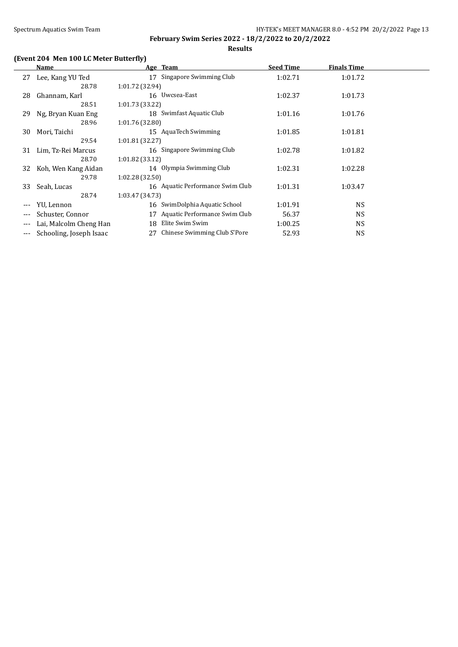**February Swim Series 2022 - 18/2/2022 to 20/2/2022 Results**

### **(Event 204 Men 100 LC Meter Butterfly)**

|       | Name                    | Age Team                            | <b>Seed Time</b> | <b>Finals Time</b> |  |
|-------|-------------------------|-------------------------------------|------------------|--------------------|--|
| 27    | Lee, Kang YU Ted        | Singapore Swimming Club<br>17       | 1:02.71          | 1:01.72            |  |
|       | 28.78                   | 1:01.72 (32.94)                     |                  |                    |  |
| 28    | Ghannam, Karl           | 16 Uwcsea-East                      | 1:02.37          | 1:01.73            |  |
|       | 28.51                   | 1:01.73(33.22)                      |                  |                    |  |
| 29    | Ng, Bryan Kuan Eng      | 18 Swimfast Aquatic Club            | 1:01.16          | 1:01.76            |  |
|       | 28.96                   | 1:01.76 (32.80)                     |                  |                    |  |
| 30    | Mori, Taichi            | 15 AquaTech Swimming                | 1:01.85          | 1:01.81            |  |
|       | 29.54                   | 1:01.81(32.27)                      |                  |                    |  |
| 31    | Lim, Tz-Rei Marcus      | 16 Singapore Swimming Club          | 1:02.78          | 1:01.82            |  |
|       | 28.70                   | 1:01.82(33.12)                      |                  |                    |  |
| 32    | Koh, Wen Kang Aidan     | 14 Olympia Swimming Club            | 1:02.31          | 1:02.28            |  |
|       | 29.78                   | 1:02.28(32.50)                      |                  |                    |  |
| 33    | Seah, Lucas             | 16 Aquatic Performance Swim Club    | 1:01.31          | 1:03.47            |  |
|       | 28.74                   | 1:03.47 (34.73)                     |                  |                    |  |
| $---$ | YU, Lennon              | SwimDolphia Aquatic School<br>16    | 1:01.91          | <b>NS</b>          |  |
| ---   | Schuster, Connor        | Aquatic Performance Swim Club<br>17 | 56.37            | NS.                |  |
| $---$ | Lai, Malcolm Cheng Han  | Elite Swim Swim<br>18               | 1:00.25          | <b>NS</b>          |  |
| $---$ | Schooling, Joseph Isaac | Chinese Swimming Club S'Pore<br>27  | 52.93            | <b>NS</b>          |  |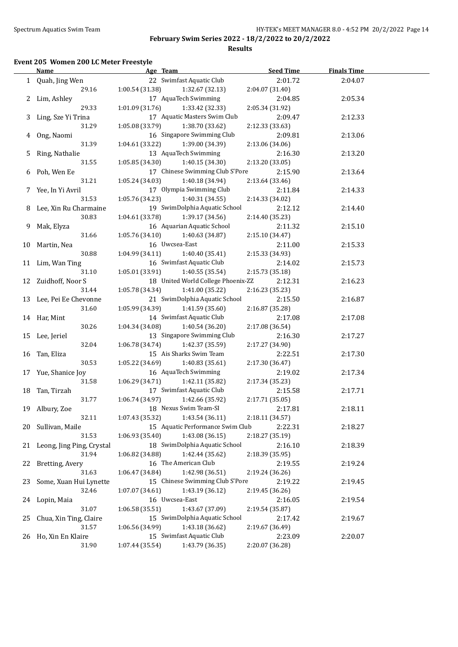l.

**February Swim Series 2022 - 18/2/2022 to 20/2/2022**

**Results**

### **Event 205 Women 200 LC Meter Freestyle**

|    | Name                         | Age Team                           | <b>Seed Time</b> | <b>Finals Time</b> |  |
|----|------------------------------|------------------------------------|------------------|--------------------|--|
|    | 1 Quah, Jing Wen             | 22 Swimfast Aquatic Club           | 2:01.72          | 2:04.07            |  |
|    | 29.16                        | 1:00.54 (31.38)<br>1:32.67 (32.13) | 2:04.07 (31.40)  |                    |  |
|    | 2 Lim, Ashley                | 17 AquaTech Swimming               | 2:04.85          | 2:05.34            |  |
|    | 29.33                        | 1:01.09 (31.76)<br>1:33.42 (32.33) | 2:05.34 (31.92)  |                    |  |
|    | 3 Ling, Sze Yi Trina         | 17 Aquatic Masters Swim Club       | 2:09.47          | 2:12.33            |  |
|    | 31.29                        | 1:38.70 (33.62)<br>1:05.08 (33.79) | 2:12.33 (33.63)  |                    |  |
|    | 4 Ong, Naomi                 | 16 Singapore Swimming Club         | 2:09.81          | 2:13.06            |  |
|    | 31.39                        | 1:04.61 (33.22)<br>1:39.00 (34.39) | 2:13.06 (34.06)  |                    |  |
| 5. | Ring, Nathalie               | 13 AquaTech Swimming               | 2:16.30          | 2:13.20            |  |
|    | 31.55                        | 1:05.85 (34.30)<br>1:40.15 (34.30) | 2:13.20 (33.05)  |                    |  |
|    | 6 Poh, Wen Ee                | 17 Chinese Swimming Club S'Pore    | 2:15.90          | 2:13.64            |  |
|    | 31.21                        | 1:05.24 (34.03)<br>1:40.18 (34.94) | 2:13.64 (33.46)  |                    |  |
|    | 7 Yee, In Yi Avril           | 17 Olympia Swimming Club           | 2:11.84          | 2:14.33            |  |
|    | 31.53                        | 1:05.76 (34.23)<br>1:40.31 (34.55) | 2:14.33 (34.02)  |                    |  |
|    | 8 Lee, Xin Ru Charmaine      | 19 SwimDolphia Aquatic School      | 2:12.12          | 2:14.40            |  |
|    | 30.83                        | 1:04.61(33.78)<br>1:39.17 (34.56)  | 2:14.40 (35.23)  |                    |  |
| 9. | Mak, Elyza                   | 16 Aquarian Aquatic School         | 2:11.32          | 2:15.10            |  |
|    | 31.66                        | 1:05.76(34.10)<br>1:40.63 (34.87)  | 2:15.10 (34.47)  |                    |  |
|    | 10 Martin, Nea               | 16 Uwcsea-East                     | 2:11.00          | 2:15.33            |  |
|    | 30.88                        | 1:04.99(34.11)<br>1:40.40 (35.41)  | 2:15.33 (34.93)  |                    |  |
|    | 11 Lim, Wan Ting             | 16 Swimfast Aquatic Club           | 2:14.02          | 2:15.73            |  |
|    | 31.10                        | 1:05.01(33.91)<br>1:40.55 (35.54)  | 2:15.73 (35.18)  |                    |  |
| 12 | Zuidhoff, Noor S             | 18 United World College Phoenix-ZZ | 2:12.31          | 2:16.23            |  |
|    | 31.44                        | 1:05.78 (34.34)<br>1:41.00 (35.22) | 2:16.23 (35.23)  |                    |  |
|    | 13 Lee, Pei Ee Chevonne      | 21 SwimDolphia Aquatic School      | 2:15.50          | 2:16.87            |  |
|    | 31.60                        | 1:41.59 (35.60)<br>1:05.99 (34.39) | 2:16.87 (35.28)  |                    |  |
|    | 14 Har, Mint                 | 14 Swimfast Aquatic Club           | 2:17.08          | 2:17.08            |  |
|    | 30.26                        | 1:04.34 (34.08)<br>1:40.54 (36.20) | 2:17.08 (36.54)  |                    |  |
| 15 | Lee, Jeriel                  | 13 Singapore Swimming Club         | 2:16.30          | 2:17.27            |  |
|    | 32.04                        | 1:06.78 (34.74)<br>1:42.37 (35.59) | 2:17.27 (34.90)  |                    |  |
| 16 | Tan, Eliza                   | 15 Ais Sharks Swim Team            | 2:22.51          | 2:17.30            |  |
|    | 30.53                        | 1:05.22 (34.69)<br>1:40.83 (35.61) | 2:17.30 (36.47)  |                    |  |
|    | 17 Yue, Shanice Joy          | 16 AquaTech Swimming               | 2:19.02          | 2:17.34            |  |
|    | 31.58                        | 1:42.11 (35.82)<br>1:06.29 (34.71) | 2:17.34 (35.23)  |                    |  |
| 18 | Tan, Tirzah                  | 17 Swimfast Aquatic Club           | 2:15.58          | 2:17.71            |  |
|    | 31.77                        | 1:42.66 (35.92)<br>1:06.74 (34.97) | 2:17.71 (35.05)  |                    |  |
|    | 19 Albury, Zoe               | 18 Nexus Swim Team-SI              | 2:17.81          | 2:18.11            |  |
|    | 32.11                        | 1:43.54 (36.11)<br>1:07.43 (35.32) | 2:18.11 (34.57)  |                    |  |
|    | 20 Sullivan, Maile           | 15 Aquatic Performance Swim Club   | 2:22.31          | 2:18.27            |  |
|    | 31.53                        | 1:43.08 (36.15)<br>1:06.93 (35.40) | 2:18.27 (35.19)  |                    |  |
|    | 21 Leong, Jing Ping, Crystal | 18 SwimDolphia Aquatic School      | 2:16.10          | 2:18.39            |  |
|    | 31.94                        | 1:42.44 (35.62)<br>1:06.82 (34.88) | 2:18.39 (35.95)  |                    |  |
| 22 | Bretting, Avery              | 16 The American Club               | 2:19.55          | 2:19.24            |  |
|    | 31.63                        | 1:06.47 (34.84)<br>1:42.98 (36.51) | 2:19.24 (36.26)  |                    |  |
| 23 | Some, Xuan Hui Lynette       | 15 Chinese Swimming Club S'Pore    | 2:19.22          | 2:19.45            |  |
|    | 32.46                        | 1:43.19 (36.12)<br>1:07.07 (34.61) | 2:19.45 (36.26)  |                    |  |
| 24 | Lopin, Maia                  | 16 Uwcsea-East                     | 2:16.05          | 2:19.54            |  |
|    | 31.07                        | 1:43.67 (37.09)<br>1:06.58 (35.51) | 2:19.54 (35.87)  |                    |  |
| 25 | Chua, Xin Ting, Claire       | 15 SwimDolphia Aquatic School      | 2:17.42          | 2:19.67            |  |
|    | 31.57                        | 1:43.18 (36.62)<br>1:06.56 (34.99) | 2:19.67 (36.49)  |                    |  |
| 26 | Ho, Xin En Klaire            | 15 Swimfast Aquatic Club           | 2:23.09          | 2:20.07            |  |
|    | 31.90                        | 1:07.44 (35.54)<br>1:43.79 (36.35) | 2:20.07 (36.28)  |                    |  |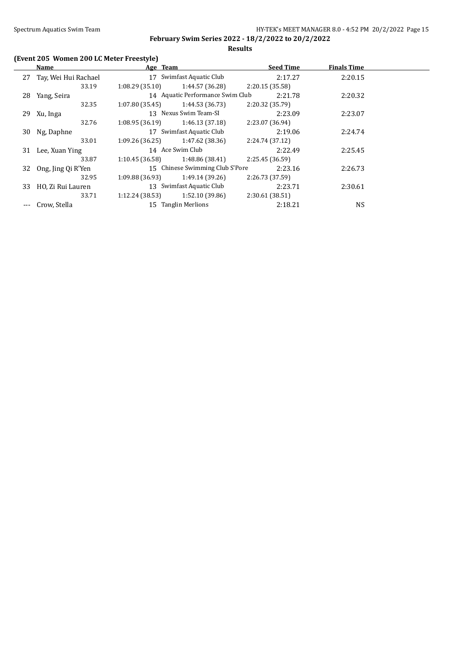**Results**

### **(Event 205 Women 200 LC Meter Freestyle)**

|    | Name                 | Age Team        |                                  | <b>Seed Time</b> | <b>Finals Time</b> |  |
|----|----------------------|-----------------|----------------------------------|------------------|--------------------|--|
| 27 | Tay, Wei Hui Rachael | 17              | Swimfast Aquatic Club            | 2:17.27          | 2:20.15            |  |
|    | 33.19                | 1:08.29(35.10)  | 1:44.57 (36.28)                  | 2:20.15(35.58)   |                    |  |
| 28 | Yang, Seira          |                 | 14 Aquatic Performance Swim Club | 2:21.78          | 2:20.32            |  |
|    | 32.35                | 1:07.80 (35.45) | 1:44.53 (36.73)                  | 2:20.32 (35.79)  |                    |  |
| 29 | Xu, Inga             |                 | 13 Nexus Swim Team-SI            | 2:23.09          | 2:23.07            |  |
|    | 32.76                | 1:08.95 (36.19) | 1:46.13 (37.18)                  | 2:23.07 (36.94)  |                    |  |
| 30 | Ng, Daphne           |                 | 17 Swimfast Aquatic Club         | 2:19.06          | 2:24.74            |  |
|    | 33.01                | 1:09.26(36.25)  | 1:47.62 (38.36)                  | 2:24.74 (37.12)  |                    |  |
| 31 | Lee, Xuan Ying       |                 | 14 Ace Swim Club                 | 2:22.49          | 2:25.45            |  |
|    | 33.87                | 1:10.45(36.58)  | 1:48.86 (38.41)                  | 2:25.45 (36.59)  |                    |  |
| 32 | Ong, Jing Qi R'Yen   |                 | 15 Chinese Swimming Club S'Pore  | 2:23.16          | 2:26.73            |  |
|    | 32.95                | 1:09.88 (36.93) | 1:49.14 (39.26)                  | 2:26.73 (37.59)  |                    |  |
| 33 | HO, Zi Rui Lauren    |                 | 13 Swimfast Aquatic Club         | 2:23.71          | 2:30.61            |  |
|    | 33.71                | 1:12.24 (38.53) | 1:52.10 (39.86)                  | 2:30.61(38.51)   |                    |  |
|    | Crow, Stella         |                 | 15 Tanglin Merlions              | 2:18.21          | <b>NS</b>          |  |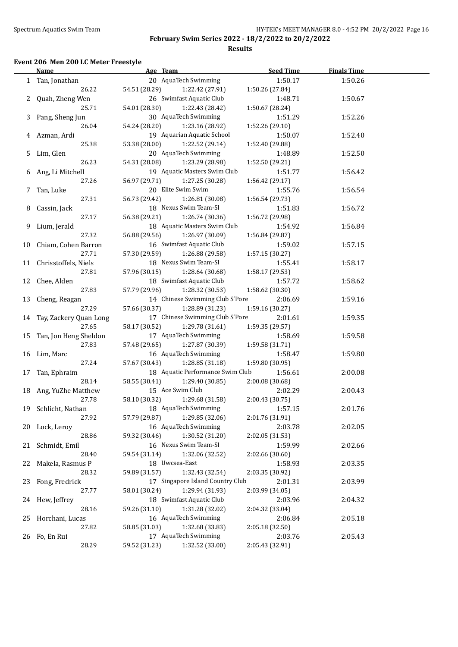l.

**February Swim Series 2022 - 18/2/2022 to 20/2/2022**

**Results**

### **Event 206 Men 200 LC Meter Freestyle**

|    | <u>Name</u>             | Age Team                         | <b>Seed Time</b> | <b>Finals Time</b> |  |
|----|-------------------------|----------------------------------|------------------|--------------------|--|
|    | 1 Tan, Jonathan         | 20 AquaTech Swimming             | 1:50.17          | 1:50.26            |  |
|    | 26.22                   | 54.51 (28.29)<br>1:22.42 (27.91) | 1:50.26 (27.84)  |                    |  |
| 2  | Quah, Zheng Wen         | 26 Swimfast Aquatic Club         | 1:48.71          | 1:50.67            |  |
|    | 25.71                   | 54.01 (28.30)<br>1:22.43 (28.42) | 1:50.67 (28.24)  |                    |  |
| 3  | Pang, Sheng Jun         | 30 AquaTech Swimming             | 1:51.29          | 1:52.26            |  |
|    | 26.04                   | 54.24 (28.20)<br>1:23.16 (28.92) | 1:52.26 (29.10)  |                    |  |
|    | 4 Azman, Ardi           | 19 Aquarian Aquatic School       | 1:50.07          | 1:52.40            |  |
|    | 25.38                   | 53.38 (28.00)<br>1:22.52 (29.14) | 1:52.40 (29.88)  |                    |  |
| 5  | Lim, Glen               | 20 AquaTech Swimming             | 1:48.89          | 1:52.50            |  |
|    | 26.23                   | 54.31 (28.08)<br>1:23.29 (28.98) | 1:52.50 (29.21)  |                    |  |
| 6  | Ang, Li Mitchell        | 19 Aquatic Masters Swim Club     | 1:51.77          | 1:56.42            |  |
|    | 27.26                   | 1:27.25 (30.28)<br>56.97 (29.71) | 1:56.42 (29.17)  |                    |  |
| 7. | Tan, Luke               | 20 Elite Swim Swim               | 1:55.76          | 1:56.54            |  |
|    | 27.31                   | 56.73 (29.42)<br>1:26.81 (30.08) | 1:56.54 (29.73)  |                    |  |
| 8  | Cassin, Jack            | 18 Nexus Swim Team-SI            | 1:51.83          | 1:56.72            |  |
|    | 27.17                   | 56.38 (29.21)<br>1:26.74 (30.36) | 1:56.72 (29.98)  |                    |  |
| 9  | Lium, Jerald            | 18 Aquatic Masters Swim Club     | 1:54.92          | 1:56.84            |  |
|    | 27.32                   | 56.88 (29.56)<br>1:26.97 (30.09) | 1:56.84 (29.87)  |                    |  |
|    | 10 Chiam, Cohen Barron  | 16 Swimfast Aquatic Club         | 1:59.02          | 1:57.15            |  |
|    | 27.71                   | 57.30 (29.59)<br>1:26.88 (29.58) | 1:57.15 (30.27)  |                    |  |
|    | 11 Chrisstoffels, Niels | 18 Nexus Swim Team-SI            | 1:55.41          | 1:58.17            |  |
|    | 27.81                   | 57.96 (30.15)<br>1:28.64 (30.68) | 1:58.17 (29.53)  |                    |  |
| 12 | Chee, Alden             | 18 Swimfast Aquatic Club         | 1:57.72          | 1:58.62            |  |
|    | 27.83                   | 57.79 (29.96)<br>1:28.32 (30.53) | 1:58.62 (30.30)  |                    |  |
| 13 | Cheng, Reagan           | 14 Chinese Swimming Club S'Pore  | 2:06.69          | 1:59.16            |  |
|    | 27.29                   | 57.66 (30.37)<br>1:28.89 (31.23) | 1:59.16 (30.27)  |                    |  |
| 14 | Tay, Zackery Quan Long  | 17 Chinese Swimming Club S'Pore  | 2:01.61          | 1:59.35            |  |
|    | 27.65                   | 58.17 (30.52)<br>1:29.78 (31.61) | 1:59.35 (29.57)  |                    |  |
| 15 | Tan, Jon Heng Sheldon   | 17 AquaTech Swimming             | 1:58.69          | 1:59.58            |  |
|    | 27.83                   | 57.48 (29.65)<br>1:27.87 (30.39) | 1:59.58 (31.71)  |                    |  |
| 16 | Lim, Marc               | 16 AquaTech Swimming             | 1:58.47          | 1:59.80            |  |
|    | 27.24                   | 57.67 (30.43)<br>1:28.85 (31.18) | 1:59.80 (30.95)  |                    |  |
| 17 | Tan, Ephraim            | 18 Aquatic Performance Swim Club | 1:56.61          | 2:00.08            |  |
|    | 28.14                   | 58.55 (30.41)<br>1:29.40 (30.85) | 2:00.08 (30.68)  |                    |  |
|    | 18 Ang, YuZhe Matthew   | 15 Ace Swim Club                 | 2:02.29          | 2:00.43            |  |
|    | 27.78                   | 58.10 (30.32)<br>1:29.68 (31.58) | 2:00.43 (30.75)  |                    |  |
| 19 | Schlicht, Nathan        | 18 AquaTech Swimming             | 1:57.15          | 2:01.76            |  |
|    | 27.92                   | 1:29.85 (32.06)<br>57.79 (29.87) | 2:01.76 (31.91)  |                    |  |
|    | 20 Lock, Leroy          | 16 AquaTech Swimming             | 2:03.78          | 2:02.05            |  |
|    | 28.86                   | 59.32 (30.46)<br>1:30.52 (31.20) | 2:02.05 (31.53)  |                    |  |
| 21 | Schmidt, Emil           | 16 Nexus Swim Team-SI            | 1:59.99          | 2:02.66            |  |
|    | 28.40                   | 1:32.06 (32.52)<br>59.54 (31.14) | 2:02.66 (30.60)  |                    |  |
| 22 | Makela, Rasmus P        | 18 Uwcsea-East                   | 1:58.93          | 2:03.35            |  |
|    | 28.32                   | 1:32.43 (32.54)<br>59.89 (31.57) | 2:03.35 (30.92)  |                    |  |
| 23 | Fong, Fredrick          | 17 Singapore Island Country Club | 2:01.31          | 2:03.99            |  |
|    | 27.77                   | 1:29.94 (31.93)<br>58.01 (30.24) | 2:03.99 (34.05)  |                    |  |
| 24 | Hew, Jeffrey            | 18 Swimfast Aquatic Club         | 2:03.96          | 2:04.32            |  |
|    | 28.16                   | 59.26 (31.10)<br>1:31.28 (32.02) | 2:04.32 (33.04)  |                    |  |
| 25 | Horchani, Lucas         | 16 AquaTech Swimming             | 2:06.84          | 2:05.18            |  |
|    | 27.82                   | 58.85 (31.03)<br>1:32.68 (33.83) | 2:05.18 (32.50)  |                    |  |
| 26 | Fo, En Rui              | 17 AquaTech Swimming             | 2:03.76          | 2:05.43            |  |
|    | 28.29                   | 59.52 (31.23)<br>1:32.52 (33.00) | 2:05.43 (32.91)  |                    |  |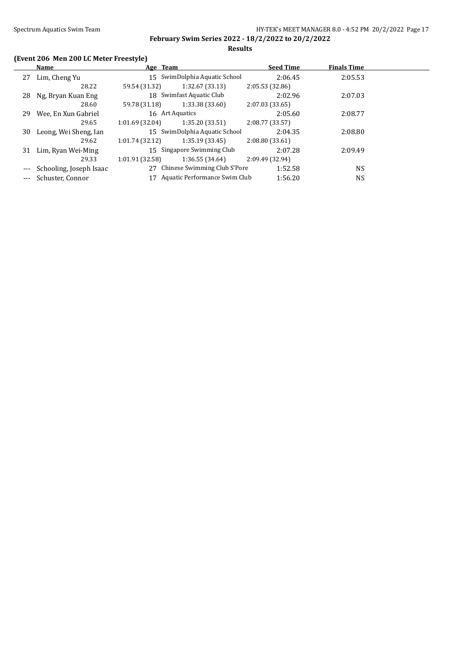**February Swim Series 2022 - 18/2/2022 to 20/2/2022 Results**

### **(Event 206 Men 200 LC Meter Freestyle)**

|    | Name                    | Age Team       |                               | <b>Seed Time</b> | <b>Finals Time</b> |  |
|----|-------------------------|----------------|-------------------------------|------------------|--------------------|--|
| 27 | Lim, Cheng Yu           |                | 15 SwimDolphia Aquatic School | 2:06.45          | 2:05.53            |  |
|    | 28.22                   | 59.54 (31.32)  | 1:32.67 (33.13)               | 2:05.53(32.86)   |                    |  |
| 28 | Ng, Bryan Kuan Eng      |                | 18 Swimfast Aquatic Club      | 2:02.96          | 2:07.03            |  |
|    | 28.60                   | 59.78 (31.18)  | 1:33.38 (33.60)               | 2:07.03(33.65)   |                    |  |
| 29 | Wee, En Xun Gabriel     |                | 16 Art Aquatics               | 2:05.60          | 2:08.77            |  |
|    | 29.65                   | 1:01.69(32.04) | 1:35.20(33.51)                | 2:08.77 (33.57)  |                    |  |
| 30 | Leong, Wei Sheng, Ian   |                | 15 SwimDolphia Aquatic School | 2:04.35          | 2:08.80            |  |
|    | 29.62                   | 1:01.74(32.12) | 1:35.19(33.45)                | 2:08.80(33.61)   |                    |  |
| 31 | Lim, Ryan Wei-Ming      |                | 15 Singapore Swimming Club    | 2:07.28          | 2:09.49            |  |
|    | 29.33                   | 1:01.91(32.58) | 1:36.55(34.64)                | 2:09.49 (32.94)  |                    |  |
|    | Schooling, Joseph Isaac | 27             | Chinese Swimming Club S'Pore  | 1:52.58          | <b>NS</b>          |  |
|    | Schuster, Connor        |                | Aquatic Performance Swim Club | 1:56.20          | <b>NS</b>          |  |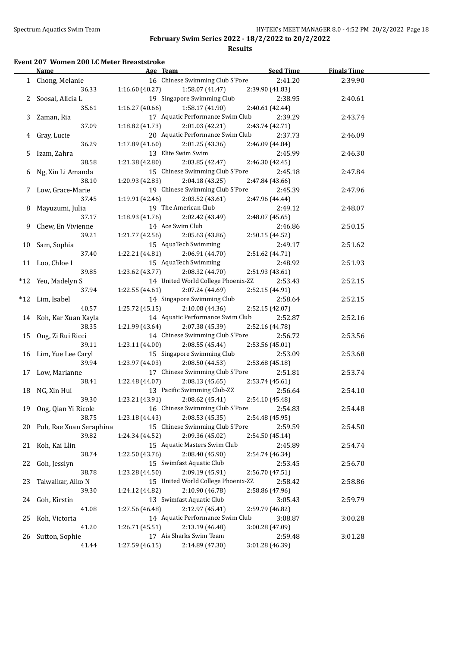**Results**

#### **Event 207 Women 200 LC Meter Breaststroke**

|    | <b>Name</b>                | Age Team and the state of the state of the state of the state of the state of the state of the state of the state of the state of the state of the state of the state of the state of the state of the state of the state of t | <b>Seed Time</b> | <b>Finals Time</b> |  |
|----|----------------------------|--------------------------------------------------------------------------------------------------------------------------------------------------------------------------------------------------------------------------------|------------------|--------------------|--|
|    | 1 Chong, Melanie           | 16 Chinese Swimming Club S'Pore                                                                                                                                                                                                | 2:41.20          | 2:39.90            |  |
|    | 36.33                      | 1:16.60(40.27)<br>1:58.07 (41.47)                                                                                                                                                                                              | 2:39.90 (41.83)  |                    |  |
|    | 2 Soosai, Alicia L         | 19 Singapore Swimming Club                                                                                                                                                                                                     | 2:38.95          | 2:40.61            |  |
|    | 35.61                      | 1:16.27(40.66)<br>1:58.17 (41.90)                                                                                                                                                                                              | 2:40.61 (42.44)  |                    |  |
|    | 3 Zaman, Ria               | 17 Aquatic Performance Swim Club                                                                                                                                                                                               | 2:39.29          | 2:43.74            |  |
|    | 37.09                      | 1:18.82(41.73)<br>2:01.03 (42.21)                                                                                                                                                                                              | 2:43.74 (42.71)  |                    |  |
|    | 4 Gray, Lucie              | 20 Aquatic Performance Swim Club                                                                                                                                                                                               | 2:37.73          | 2:46.09            |  |
|    | 36.29                      | 1:17.89 (41.60)<br>2:01.25 (43.36)                                                                                                                                                                                             | 2:46.09 (44.84)  |                    |  |
|    |                            | 13 Elite Swim Swim                                                                                                                                                                                                             | 2:45.99          |                    |  |
|    | 5 Izam, Zahra<br>38.58     | 1:21.38(42.80)                                                                                                                                                                                                                 | 2:46.30 (42.45)  | 2:46.30            |  |
|    |                            | 2:03.85 (42.47)                                                                                                                                                                                                                |                  |                    |  |
|    | 6 Ng, Xin Li Amanda        | 15 Chinese Swimming Club S'Pore                                                                                                                                                                                                | 2:45.18          | 2:47.84            |  |
|    | 38.10                      | 1:20.93 (42.83)<br>2:04.18 (43.25)                                                                                                                                                                                             | 2:47.84 (43.66)  |                    |  |
|    | 7 Low, Grace-Marie         | 19 Chinese Swimming Club S'Pore                                                                                                                                                                                                | 2:45.39          | 2:47.96            |  |
|    | 37.45                      | 1:19.91 (42.46)<br>2:03.52 (43.61)                                                                                                                                                                                             | 2:47.96 (44.44)  |                    |  |
|    | 8 Mayuzumi, Julia          | 19 The American Club                                                                                                                                                                                                           | 2:49.12          | 2:48.07            |  |
|    | 37.17                      | 1:18.93 (41.76)<br>2:02.42 (43.49)                                                                                                                                                                                             | 2:48.07 (45.65)  |                    |  |
|    | 9 Chew, En Vivienne        | 14 Ace Swim Club                                                                                                                                                                                                               | 2:46.86          | 2:50.15            |  |
|    | 39.21                      | 1:21.77 (42.56)<br>2:05.63(43.86)                                                                                                                                                                                              | 2:50.15(44.52)   |                    |  |
|    | 10 Sam, Sophia             | 15 AquaTech Swimming                                                                                                                                                                                                           | 2:49.17          | 2:51.62            |  |
|    | 37.40                      | 1:22.21 (44.81)<br>2:06.91 (44.70)                                                                                                                                                                                             | 2:51.62 (44.71)  |                    |  |
|    | 11 Loo, Chloe I            | 15 AquaTech Swimming                                                                                                                                                                                                           | 2:48.92          | 2:51.93            |  |
|    | 39.85                      | 1:23.62 (43.77)<br>2:08.32 (44.70)                                                                                                                                                                                             | 2:51.93 (43.61)  |                    |  |
|    | *12 Yeu, Madelyn S         | 14 United World College Phoenix-ZZ                                                                                                                                                                                             | 2:53.43          | 2:52.15            |  |
|    | 37.94                      | 1:22.55(44.61)<br>2:07.24 (44.69)                                                                                                                                                                                              | 2:52.15 (44.91)  |                    |  |
|    | *12 Lim, Isabel            | 14 Singapore Swimming Club                                                                                                                                                                                                     | 2:58.64          | 2:52.15            |  |
|    | 40.57                      | 1:25.72(45.15)<br>2:10.08 (44.36)                                                                                                                                                                                              | 2:52.15 (42.07)  |                    |  |
|    | 14 Koh, Kar Xuan Kayla     | 14 Aquatic Performance Swim Club                                                                                                                                                                                               | 2:52.87          | 2:52.16            |  |
|    | 38.35                      | 1:21.99 (43.64)<br>2:07.38 (45.39)                                                                                                                                                                                             | 2:52.16 (44.78)  |                    |  |
|    | 15 Ong, Zi Rui Ricci       | 14 Chinese Swimming Club S'Pore                                                                                                                                                                                                | 2:56.72          | 2:53.56            |  |
|    | 39.11                      | 1:23.11(44.00)<br>2:08.55 (45.44)                                                                                                                                                                                              | 2:53.56 (45.01)  |                    |  |
|    | 16 Lim, Yue Lee Caryl      | 15 Singapore Swimming Club                                                                                                                                                                                                     | 2:53.09          | 2:53.68            |  |
|    | 39.94                      | 1:23.97 (44.03)<br>2:08.50 (44.53)                                                                                                                                                                                             | 2:53.68 (45.18)  |                    |  |
|    | 17 Low, Marianne           | 17 Chinese Swimming Club S'Pore                                                                                                                                                                                                | 2:51.81          | 2:53.74            |  |
|    |                            |                                                                                                                                                                                                                                |                  |                    |  |
|    | 38.41                      | 1:22.48 (44.07)<br>2:08.13(45.65)                                                                                                                                                                                              | 2:53.74 (45.61)  |                    |  |
|    | 18 NG, Xin Hui             | 13 Pacific Swimming Club-ZZ                                                                                                                                                                                                    | 2:56.64          | 2:54.10            |  |
|    | 39.30                      | 2:08.62 (45.41)<br>1:23.21(43.91)                                                                                                                                                                                              | 2:54.10 (45.48)  |                    |  |
|    | 19 Ong, Qian Yi Ricole     | 16 Chinese Swimming Club S'Pore                                                                                                                                                                                                | 2:54.83          | 2:54.48            |  |
|    | 38.75                      | 1:23.18 (44.43)<br>2:08.53 (45.35)                                                                                                                                                                                             | 2:54.48 (45.95)  |                    |  |
|    | 20 Poh, Rae Xuan Seraphina | 15 Chinese Swimming Club S'Pore                                                                                                                                                                                                | 2:59.59          | 2:54.50            |  |
|    | 39.82                      | 1:24.34 (44.52)<br>2:09.36 (45.02)                                                                                                                                                                                             | 2:54.50 (45.14)  |                    |  |
| 21 | Koh, Kai Llin              | 15 Aquatic Masters Swim Club                                                                                                                                                                                                   | 2:45.89          | 2:54.74            |  |
|    | 38.74                      | 2:08.40 (45.90)<br>1:22.50 (43.76)                                                                                                                                                                                             | 2:54.74 (46.34)  |                    |  |
| 22 | Goh, Jesslyn               | 15 Swimfast Aquatic Club                                                                                                                                                                                                       | 2:53.45          | 2:56.70            |  |
|    | 38.78                      | 2:09.19 (45.91)<br>1:23.28 (44.50)                                                                                                                                                                                             | 2:56.70 (47.51)  |                    |  |
| 23 | Talwalkar, Aiko N          | 15 United World College Phoenix-ZZ                                                                                                                                                                                             | 2:58.42          | 2:58.86            |  |
|    | 39.30                      | 2:10.90 (46.78)<br>1:24.12 (44.82)                                                                                                                                                                                             | 2:58.86 (47.96)  |                    |  |
| 24 | Goh, Kirstin               | 13 Swimfast Aquatic Club                                                                                                                                                                                                       | 3:05.43          | 2:59.79            |  |
|    | 41.08                      | 2:12.97 (45.41)<br>1:27.56 (46.48)                                                                                                                                                                                             | 2:59.79 (46.82)  |                    |  |
| 25 | Koh, Victoria              | 14 Aquatic Performance Swim Club                                                                                                                                                                                               | 3:08.87          | 3:00.28            |  |
|    | 41.20                      | 2:13.19 (46.48)<br>1:26.71 (45.51)                                                                                                                                                                                             | 3:00.28 (47.09)  |                    |  |
| 26 | Sutton, Sophie             | 17 Ais Sharks Swim Team                                                                                                                                                                                                        | 2:59.48          | 3:01.28            |  |
|    | 41.44                      | 1:27.59 (46.15)<br>2:14.89 (47.30)                                                                                                                                                                                             | 3:01.28 (46.39)  |                    |  |
|    |                            |                                                                                                                                                                                                                                |                  |                    |  |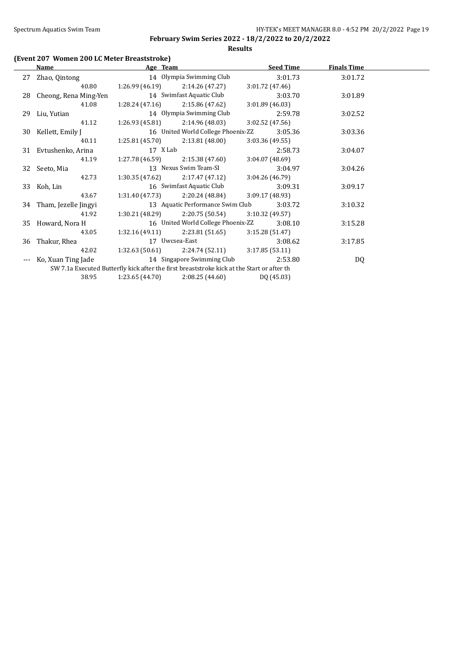### **Results**

### **(Event 207 Women 200 LC Meter Breaststroke)**

|    | Name                    | Age Team        |                                                                                            |                 | <b>Seed Time</b> | <b>Finals Time</b> |  |
|----|-------------------------|-----------------|--------------------------------------------------------------------------------------------|-----------------|------------------|--------------------|--|
| 27 | Zhao, Qintong           |                 | 14 Olympia Swimming Club                                                                   |                 | 3:01.73          | 3:01.72            |  |
|    | 40.80                   | 1:26.99 (46.19) | 2:14.26(47.27)                                                                             | 3:01.72 (47.46) |                  |                    |  |
| 28 | Cheong, Rena Ming-Yen   |                 | 14 Swimfast Aquatic Club                                                                   |                 | 3:03.70          | 3:01.89            |  |
|    | 41.08                   | 1:28.24 (47.16) | 2:15.86 (47.62)                                                                            | 3:01.89(46.03)  |                  |                    |  |
| 29 | Liu, Yutian             |                 | 14 Olympia Swimming Club                                                                   |                 | 2:59.78          | 3:02.52            |  |
|    | 41.12                   | 1:26.93 (45.81) | 2:14.96(48.03)                                                                             | 3:02.52(47.56)  |                  |                    |  |
|    | 30 Kellett, Emily J     |                 | 16 United World College Phoenix-ZZ                                                         |                 | 3:05.36          | 3:03.36            |  |
|    | 40.11                   | 1:25.81(45.70)  | 2:13.81 (48.00)                                                                            | 3:03.36 (49.55) |                  |                    |  |
|    | 31 Evtushenko, Arina    | 17 X Lab        |                                                                                            |                 | 2:58.73          | 3:04.07            |  |
|    | 41.19                   | 1:27.78 (46.59) | 2:15.38 (47.60)                                                                            | 3:04.07(48.69)  |                  |                    |  |
|    | 32 Seeto, Mia           |                 | 13 Nexus Swim Team-SI                                                                      |                 | 3:04.97          | 3:04.26            |  |
|    | 42.73                   |                 | $1:30.35(47.62)$ $2:17.47(47.12)$                                                          | 3:04.26(46.79)  |                  |                    |  |
|    | 33 Koh, Lin             |                 | 16 Swimfast Aquatic Club                                                                   |                 | 3:09.31          | 3:09.17            |  |
|    | 43.67                   | 1:31.40 (47.73) | 2:20.24 (48.84)                                                                            | 3:09.17(48.93)  |                  |                    |  |
|    | 34 Tham, Jezelle Jingyi |                 | 13 Aquatic Performance Swim Club                                                           |                 | 3:03.72          | 3:10.32            |  |
|    | 41.92                   | 1:30.21 (48.29) | 2:20.75 (50.54)                                                                            | 3:10.32(49.57)  |                  |                    |  |
|    | 35 Howard, Nora H       |                 | 16 United World College Phoenix-ZZ                                                         |                 | 3:08.10          | 3:15.28            |  |
|    | 43.05                   | 1:32.16(49.11)  | 2:23.81 (51.65)                                                                            | 3:15.28(51.47)  |                  |                    |  |
|    | 36 Thakur, Rhea         |                 | 17 Uwcsea-East                                                                             |                 | 3:08.62          | 3:17.85            |  |
|    | 42.02                   | 1:32.63(50.61)  | 2:24.74 (52.11)                                                                            | 3:17.85(53.11)  |                  |                    |  |
|    | Ko, Xuan Ting Jade      |                 | 14 Singapore Swimming Club                                                                 |                 | 2:53.80          | DQ                 |  |
|    |                         |                 | SW 7.1a Executed Butterfly kick after the first breaststroke kick at the Start or after th |                 |                  |                    |  |
|    | 38.95                   | 1:23.65 (44.70) | 2:08.25(44.60)                                                                             | DQ (45.03)      |                  |                    |  |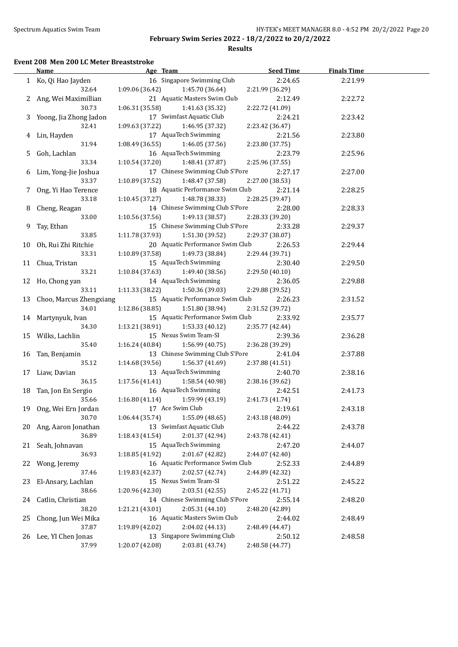l.

**February Swim Series 2022 - 18/2/2022 to 20/2/2022**

**Results**

### **Event 208 Men 200 LC Meter Breaststroke**

|    | <b>Name</b>                | Age Team                           | <b>Seed Time</b> | <b>Finals Time</b> |  |
|----|----------------------------|------------------------------------|------------------|--------------------|--|
|    | 1 Ko, Qi Hao Jayden        | 16 Singapore Swimming Club         | 2:24.65          | 2:21.99            |  |
|    | 32.64                      | 1:09.06 (36.42)<br>1:45.70 (36.64) | 2:21.99 (36.29)  |                    |  |
|    | 2 Ang, Wei Maximillian     | 21 Aquatic Masters Swim Club       | 2:12.49          | 2:22.72            |  |
|    | 30.73                      | 1:06.31 (35.58)<br>1:41.63 (35.32) | 2:22.72 (41.09)  |                    |  |
|    | 3 Yoong, Jia Zhong Jadon   | 17 Swimfast Aquatic Club           | 2:24.21          | 2:23.42            |  |
|    | 32.41                      | 1:09.63 (37.22)<br>1:46.95 (37.32) | 2:23.42 (36.47)  |                    |  |
|    | 4 Lin, Hayden              | 17 AquaTech Swimming               | 2:21.56          | 2:23.80            |  |
|    | 31.94                      | 1:46.05 (37.56)<br>1:08.49(36.55)  | 2:23.80 (37.75)  |                    |  |
| 5  | Goh, Lachlan               | 16 AquaTech Swimming               | 2:23.79          | 2:25.96            |  |
|    | 33.34                      | 1:10.54(37.20)<br>1:48.41 (37.87)  | 2:25.96 (37.55)  |                    |  |
|    | 6 Lim, Yong-Jie Joshua     | 17 Chinese Swimming Club S'Pore    | 2:27.17          | 2:27.00            |  |
|    | 33.37                      | 1:10.89(37.52)<br>1:48.47 (37.58)  | 2:27.00 (38.53)  |                    |  |
|    | 7 Ong, Yi Hao Terence      | 18 Aquatic Performance Swim Club   | 2:21.14          | 2:28.25            |  |
|    | 33.18                      | 1:10.45 (37.27)<br>1:48.78 (38.33) | 2:28.25 (39.47)  |                    |  |
|    | 8 Cheng, Reagan            | 14 Chinese Swimming Club S'Pore    | 2:28.00          | 2:28.33            |  |
|    | 33.00                      | 1:10.56(37.56)<br>1:49.13 (38.57)  | 2:28.33 (39.20)  |                    |  |
| 9  | Tay, Ethan                 | 15 Chinese Swimming Club S'Pore    | 2:33.28          | 2:29.37            |  |
|    | 33.85                      | 1:11.78(37.93)<br>1:51.30 (39.52)  | 2:29.37 (38.07)  |                    |  |
|    | 10 Oh, Rui Zhi Ritchie     | 20 Aquatic Performance Swim Club   | 2:26.53          | 2:29.44            |  |
|    | 33.31                      | 1:10.89 (37.58)<br>1:49.73 (38.84) | 2:29.44 (39.71)  |                    |  |
|    | 11 Chua, Tristan           | 15 AquaTech Swimming               | 2:30.40          | 2:29.50            |  |
|    | 33.21                      | 1:10.84(37.63)<br>1:49.40 (38.56)  | 2:29.50 (40.10)  |                    |  |
|    | 12 Ho, Chong yan           | 14 AquaTech Swimming               | 2:36.05          | 2:29.88            |  |
|    | 33.11                      | 1:11.33 (38.22)<br>1:50.36 (39.03) | 2:29.88 (39.52)  |                    |  |
|    | 13 Choo, Marcus Zhengxiang | 15 Aquatic Performance Swim Club   | 2:26.23          | 2:31.52            |  |
|    | 34.01                      | 1:12.86 (38.85)<br>1:51.80 (38.94) | 2:31.52 (39.72)  |                    |  |
|    | 14 Martynyuk, Ivan         | 15 Aquatic Performance Swim Club   | 2:33.92          | 2:35.77            |  |
|    | 34.30                      | 1:53.33 (40.12)<br>1:13.21 (38.91) | 2:35.77 (42.44)  |                    |  |
|    | 15 Wilks, Lachlin          | 15 Nexus Swim Team-SI              | 2:39.36          | 2:36.28            |  |
|    | 35.40                      | 1:16.24 (40.84)<br>1:56.99 (40.75) | 2:36.28 (39.29)  |                    |  |
|    | 16 Tan, Benjamin           | 13 Chinese Swimming Club S'Pore    | 2:41.04          | 2:37.88            |  |
|    | 35.12                      | 1:14.68 (39.56)<br>1:56.37 (41.69) | 2:37.88 (41.51)  |                    |  |
| 17 | Liaw, Davian               | 13 AquaTech Swimming               | 2:40.70          | 2:38.16            |  |
|    | 36.15                      | 1:17.56(41.41)<br>1:58.54 (40.98)  | 2:38.16 (39.62)  |                    |  |
|    | 18 Tan, Jon En Sergio      | 16 AquaTech Swimming               | 2:42.51          | 2:41.73            |  |
|    | 35.66                      | 1:16.80(41.14)<br>1:59.99 (43.19)  | 2:41.73 (41.74)  |                    |  |
|    | 19 Ong, Wei Ern Jordan     | 17 Ace Swim Club                   | 2:19.61          | 2:43.18            |  |
|    | 30.70                      | 1:06.44 (35.74)<br>1:55.09 (48.65) | 2:43.18 (48.09)  |                    |  |
| 20 | Ang, Aaron Jonathan        | 13 Swimfast Aquatic Club           | 2:44.22          | 2:43.78            |  |
|    | 36.89                      | 2:01.37 (42.94)<br>1:18.43(41.54)  | 2:43.78 (42.41)  |                    |  |
| 21 | Seah, Johnavan             | 15 AquaTech Swimming               | 2:47.20          | 2:44.07            |  |
|    | 36.93                      | 2:01.67 (42.82)<br>1:18.85 (41.92) | 2:44.07 (42.40)  |                    |  |
| 22 | Wong, Jeremy               | 16 Aquatic Performance Swim Club   | 2:52.33          | 2:44.89            |  |
|    | 37.46                      | 2:02.57 (42.74)<br>1:19.83 (42.37) | 2:44.89 (42.32)  |                    |  |
| 23 | El-Ansary, Lachlan         | 15 Nexus Swim Team-SI              | 2:51.22          | 2:45.22            |  |
|    | 38.66                      | 1:20.96 (42.30)<br>2:03.51 (42.55) | 2:45.22 (41.71)  |                    |  |
| 24 | Catlin, Christian          | 14 Chinese Swimming Club S'Pore    | 2:55.14          | 2:48.20            |  |
|    | 38.20                      | 2:05.31 (44.10)<br>1:21.21 (43.01) | 2:48.20 (42.89)  |                    |  |
| 25 | Chong, Jun Wei Mika        | 16 Aquatic Masters Swim Club       | 2:44.02          | 2:48.49            |  |
|    | 37.87                      | 2:04.02 (44.13)<br>1:19.89 (42.02) | 2:48.49 (44.47)  |                    |  |
| 26 | Lee, YI Chen Jonas         | 13 Singapore Swimming Club         | 2:50.12          | 2:48.58            |  |
|    | 37.99                      | 1:20.07 (42.08)<br>2:03.81 (43.74) | 2:48.58 (44.77)  |                    |  |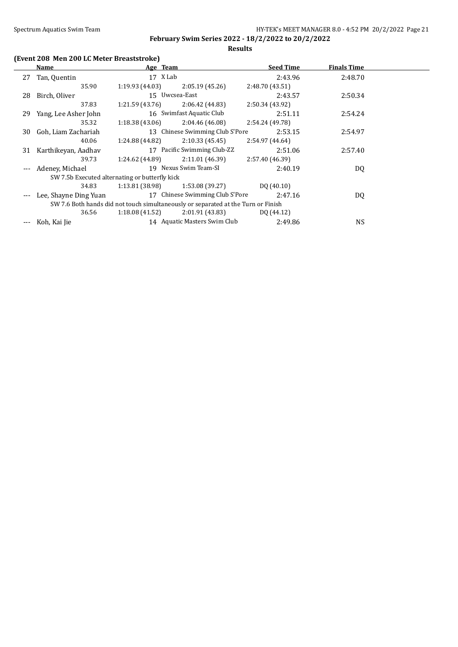**Results**

### **(Event 208 Men 200 LC Meter Breaststroke)**

|     | Name                  | Age Team                                       |                                                                                   | <b>Seed Time</b> | <b>Finals Time</b> |  |
|-----|-----------------------|------------------------------------------------|-----------------------------------------------------------------------------------|------------------|--------------------|--|
| 27  | Tan, Quentin          | 17 X Lab                                       |                                                                                   | 2:43.96          | 2:48.70            |  |
|     | 35.90                 | 1:19.93(44.03)                                 | 2:05.19(45.26)                                                                    | 2:48.70 (43.51)  |                    |  |
| 28  | Birch, Oliver         | 15 Uwcsea-East                                 |                                                                                   | 2:43.57          | 2:50.34            |  |
|     | 37.83                 | 1:21.59(43.76)                                 | 2:06.42 (44.83)                                                                   | 2:50.34 (43.92)  |                    |  |
| 29  | Yang, Lee Asher John  |                                                | 16 Swimfast Aquatic Club                                                          | 2:51.11          | 2:54.24            |  |
|     | 35.32                 | 1:18.38(43.06)                                 | 2:04.46 (46.08)                                                                   | 2:54.24 (49.78)  |                    |  |
| 30  | Goh, Liam Zachariah   |                                                | 13 Chinese Swimming Club S'Pore                                                   | 2:53.15          | 2:54.97            |  |
|     | 40.06                 | 1:24.88 (44.82)                                | 2:10.33(45.45)                                                                    | 2:54.97 (44.64)  |                    |  |
| 31  | Karthikeyan, Aadhay   |                                                | 17 Pacific Swimming Club-ZZ                                                       | 2:51.06          | 2:57.40            |  |
|     | 39.73                 | 1:24.62 (44.89)                                | 2:11.01 (46.39)                                                                   | 2:57.40 (46.39)  |                    |  |
|     | Adeney, Michael       |                                                | 19 Nexus Swim Team-SI                                                             | 2:40.19          | DQ                 |  |
|     |                       | SW 7.5b Executed alternating or butterfly kick |                                                                                   |                  |                    |  |
|     | 34.83                 | 1:13.81(38.98)                                 | 1:53.08 (39.27)                                                                   | DO(40.10)        |                    |  |
|     | Lee, Shayne Ding Yuan |                                                | 17 Chinese Swimming Club S'Pore                                                   | 2:47.16          | DQ                 |  |
|     |                       |                                                | SW 7.6 Both hands did not touch simultaneously or separated at the Turn or Finish |                  |                    |  |
|     | 36.56                 | 1:18.08(41.52)                                 | 2:01.91 (43.83)                                                                   | DQ (44.12)       |                    |  |
| --- | Koh, Kai Jie          |                                                | 14 Aquatic Masters Swim Club                                                      | 2:49.86          | <b>NS</b>          |  |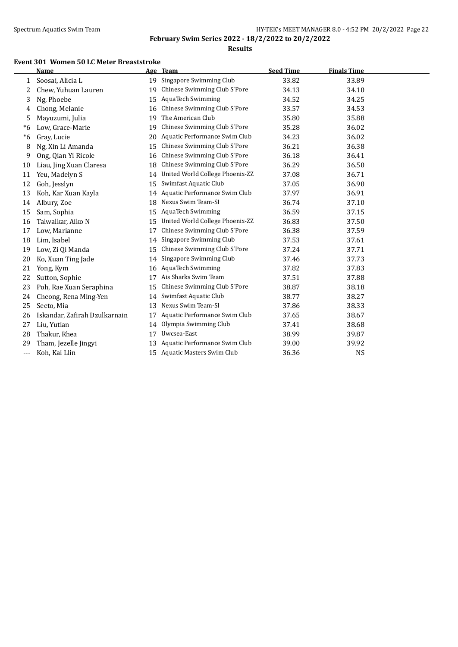L

**February Swim Series 2022 - 18/2/2022 to 20/2/2022**

**Results**

#### **Event 301 Women 50 LC Meter Breaststroke**

|       | <b>Name</b>                   |    | Age Team                        | <b>Seed Time</b> | <b>Finals Time</b> |  |
|-------|-------------------------------|----|---------------------------------|------------------|--------------------|--|
| 1     | Soosai, Alicia L              | 19 | Singapore Swimming Club         | 33.82            | 33.89              |  |
| 2     | Chew, Yuhuan Lauren           | 19 | Chinese Swimming Club S'Pore    | 34.13            | 34.10              |  |
| 3     | Ng, Phoebe                    | 15 | <b>AquaTech Swimming</b>        | 34.52            | 34.25              |  |
| 4     | Chong, Melanie                | 16 | Chinese Swimming Club S'Pore    | 33.57            | 34.53              |  |
| 5     | Mayuzumi, Julia               | 19 | The American Club               | 35.80            | 35.88              |  |
| *6    | Low, Grace-Marie              | 19 | Chinese Swimming Club S'Pore    | 35.28            | 36.02              |  |
| *6    | Gray, Lucie                   | 20 | Aquatic Performance Swim Club   | 34.23            | 36.02              |  |
| 8     | Ng, Xin Li Amanda             | 15 | Chinese Swimming Club S'Pore    | 36.21            | 36.38              |  |
| 9     | Ong, Qian Yi Ricole           | 16 | Chinese Swimming Club S'Pore    | 36.18            | 36.41              |  |
| 10    | Liau, Jing Xuan Claresa       | 18 | Chinese Swimming Club S'Pore    | 36.29            | 36.50              |  |
| 11    | Yeu, Madelyn S                | 14 | United World College Phoenix-ZZ | 37.08            | 36.71              |  |
| 12    | Goh, Jesslyn                  | 15 | Swimfast Aquatic Club           | 37.05            | 36.90              |  |
| 13    | Koh, Kar Xuan Kayla           | 14 | Aquatic Performance Swim Club   | 37.97            | 36.91              |  |
| 14    | Albury, Zoe                   | 18 | Nexus Swim Team-SI              | 36.74            | 37.10              |  |
| 15    | Sam, Sophia                   | 15 | AquaTech Swimming               | 36.59            | 37.15              |  |
| 16    | Talwalkar, Aiko N             | 15 | United World College Phoenix-ZZ | 36.83            | 37.50              |  |
| 17    | Low, Marianne                 | 17 | Chinese Swimming Club S'Pore    | 36.38            | 37.59              |  |
| 18    | Lim, Isabel                   | 14 | Singapore Swimming Club         | 37.53            | 37.61              |  |
| 19    | Low, Zi Qi Manda              | 15 | Chinese Swimming Club S'Pore    | 37.24            | 37.71              |  |
| 20    | Ko, Xuan Ting Jade            | 14 | Singapore Swimming Club         | 37.46            | 37.73              |  |
| 21    | Yong, Kym                     | 16 | <b>AquaTech Swimming</b>        | 37.82            | 37.83              |  |
| 22    | Sutton, Sophie                | 17 | Ais Sharks Swim Team            | 37.51            | 37.88              |  |
| 23    | Poh, Rae Xuan Seraphina       | 15 | Chinese Swimming Club S'Pore    | 38.87            | 38.18              |  |
| 24    | Cheong, Rena Ming-Yen         | 14 | Swimfast Aquatic Club           | 38.77            | 38.27              |  |
| 25    | Seeto, Mia                    | 13 | Nexus Swim Team-SI              | 37.86            | 38.33              |  |
| 26    | Iskandar, Zafirah Dzulkarnain | 17 | Aquatic Performance Swim Club   | 37.65            | 38.67              |  |
| 27    | Liu, Yutian                   | 14 | Olympia Swimming Club           | 37.41            | 38.68              |  |
| 28    | Thakur, Rhea                  | 17 | Uwcsea-East                     | 38.99            | 39.87              |  |
| 29    | Tham, Jezelle Jingyi          | 13 | Aquatic Performance Swim Club   | 39.00            | 39.92              |  |
| $---$ | Koh, Kai Llin                 | 15 | Aquatic Masters Swim Club       | 36.36            | <b>NS</b>          |  |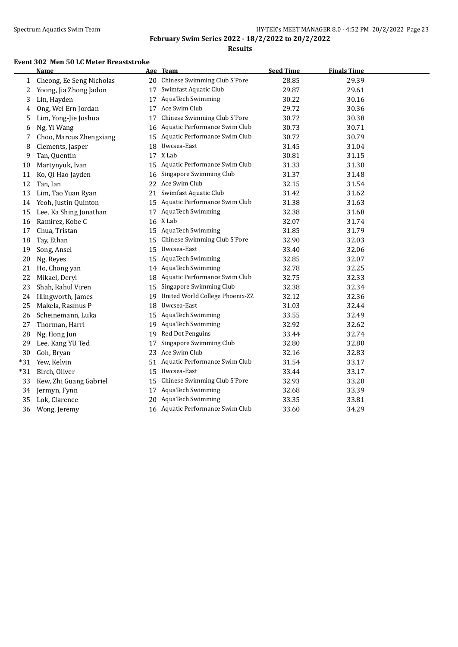**Results**

#### **Event 302 Men 50 LC Meter Breaststroke**

|       | <b>Name</b>              |    | Age Team                         | <b>Seed Time</b> | <b>Finals Time</b> |  |
|-------|--------------------------|----|----------------------------------|------------------|--------------------|--|
| 1     | Cheong, Ee Seng Nicholas | 20 | Chinese Swimming Club S'Pore     | 28.85            | 29.39              |  |
| 2     | Yoong, Jia Zhong Jadon   | 17 | Swimfast Aquatic Club            | 29.87            | 29.61              |  |
| 3     | Lin, Hayden              | 17 | <b>AquaTech Swimming</b>         | 30.22            | 30.16              |  |
| 4     | Ong, Wei Ern Jordan      | 17 | Ace Swim Club                    | 29.72            | 30.36              |  |
| 5     | Lim, Yong-Jie Joshua     | 17 | Chinese Swimming Club S'Pore     | 30.72            | 30.38              |  |
| 6     | Ng, Yi Wang              | 16 | Aquatic Performance Swim Club    | 30.73            | 30.71              |  |
| 7     | Choo, Marcus Zhengxiang  | 15 | Aquatic Performance Swim Club    | 30.72            | 30.79              |  |
| 8     | Clements, Jasper         | 18 | Uwcsea-East                      | 31.45            | 31.04              |  |
| 9     | Tan, Quentin             | 17 | X Lab                            | 30.81            | 31.15              |  |
| 10    | Martynyuk, Ivan          | 15 | Aquatic Performance Swim Club    | 31.33            | 31.30              |  |
| 11    | Ko, Qi Hao Jayden        | 16 | Singapore Swimming Club          | 31.37            | 31.48              |  |
| 12    | Tan, Ian                 | 22 | Ace Swim Club                    | 32.15            | 31.54              |  |
| 13    | Lim, Tao Yuan Ryan       | 21 | Swimfast Aquatic Club            | 31.42            | 31.62              |  |
| 14    | Yeoh, Justin Quinton     | 15 | Aquatic Performance Swim Club    | 31.38            | 31.63              |  |
| 15    | Lee, Ka Shing Jonathan   | 17 | AquaTech Swimming                | 32.38            | 31.68              |  |
| 16    | Ramirez, Kobe C          |    | 16 X Lab                         | 32.07            | 31.74              |  |
| 17    | Chua, Tristan            | 15 | AquaTech Swimming                | 31.85            | 31.79              |  |
| 18    | Tay, Ethan               | 15 | Chinese Swimming Club S'Pore     | 32.90            | 32.03              |  |
| 19    | Song, Ansel              | 15 | Uwcsea-East                      | 33.40            | 32.06              |  |
| 20    | Ng, Reyes                | 15 | AquaTech Swimming                | 32.85            | 32.07              |  |
| 21    | Ho, Chong yan            |    | 14 AquaTech Swimming             | 32.78            | 32.25              |  |
| 22    | Mikael, Deryl            | 18 | Aquatic Performance Swim Club    | 32.75            | 32.33              |  |
| 23    | Shah, Rahul Viren        | 15 | Singapore Swimming Club          | 32.38            | 32.34              |  |
| 24    | Illingworth, James       | 19 | United World College Phoenix-ZZ  | 32.12            | 32.36              |  |
| 25    | Makela, Rasmus P         | 18 | Uwcsea-East                      | 31.03            | 32.44              |  |
| 26    | Scheinemann, Luka        | 15 | <b>AquaTech Swimming</b>         | 33.55            | 32.49              |  |
| 27    | Thorman, Harri           | 19 | AquaTech Swimming                | 32.92            | 32.62              |  |
| 28    | Ng, Hong Jun             | 19 | Red Dot Penguins                 | 33.44            | 32.74              |  |
| 29    | Lee, Kang YU Ted         | 17 | Singapore Swimming Club          | 32.80            | 32.80              |  |
| 30    | Goh, Bryan               |    | 23 Ace Swim Club                 | 32.16            | 32.83              |  |
| $*31$ | Yew, Kelvin              | 51 | Aquatic Performance Swim Club    | 31.54            | 33.17              |  |
| $*31$ | Birch, Oliver            | 15 | Uwcsea-East                      | 33.44            | 33.17              |  |
| 33    | Kew, Zhi Guang Gabriel   | 15 | Chinese Swimming Club S'Pore     | 32.93            | 33.20              |  |
| 34    | Jermyn, Fynn             | 17 | <b>AquaTech Swimming</b>         | 32.68            | 33.39              |  |
| 35    | Lok, Clarence            | 20 | <b>AquaTech Swimming</b>         | 33.35            | 33.81              |  |
| 36    | Wong, Jeremy             |    | 16 Aquatic Performance Swim Club | 33.60            | 34.29              |  |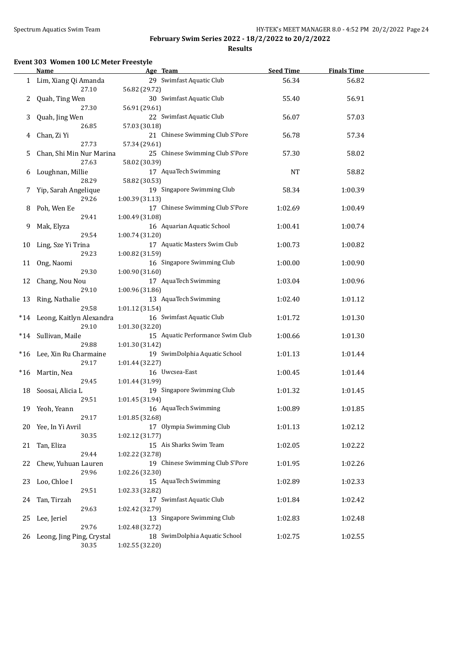$\overline{\phantom{a}}$ 

**February Swim Series 2022 - 18/2/2022 to 20/2/2022**

**Results**

### **Event 303 Women 100 LC Meter Freestyle**

|    | <b>Name</b>                  | Age Team                         | <b>Seed Time</b> | <b>Finals Time</b> |  |
|----|------------------------------|----------------------------------|------------------|--------------------|--|
|    | 1 Lim, Xiang Qi Amanda       | 29 Swimfast Aquatic Club         | 56.34            | 56.82              |  |
|    | 27.10                        | 56.82 (29.72)                    |                  |                    |  |
| 2  | Quah, Ting Wen               | 30 Swimfast Aquatic Club         | 55.40            | 56.91              |  |
|    | 27.30                        | 56.91 (29.61)                    |                  |                    |  |
| 3  | Quah, Jing Wen               | 22 Swimfast Aquatic Club         | 56.07            | 57.03              |  |
|    | 26.85                        | 57.03 (30.18)                    |                  |                    |  |
|    |                              |                                  |                  |                    |  |
| 4  | Chan, Zi Yi                  | 21 Chinese Swimming Club S'Pore  | 56.78            | 57.34              |  |
|    | 27.73                        | 57.34 (29.61)                    |                  |                    |  |
| 5  | Chan, Shi Min Nur Marina     | 25 Chinese Swimming Club S'Pore  | 57.30            | 58.02              |  |
|    | 27.63                        | 58.02 (30.39)                    |                  |                    |  |
| 6  | Loughnan, Millie             | 17 AquaTech Swimming             | NT               | 58.82              |  |
|    | 28.29                        | 58.82 (30.53)                    |                  |                    |  |
| 7  | Yip, Sarah Angelique         | 19 Singapore Swimming Club       | 58.34            | 1:00.39            |  |
|    | 29.26                        | 1:00.39 (31.13)                  |                  |                    |  |
| 8  | Poh, Wen Ee                  | 17 Chinese Swimming Club S'Pore  | 1:02.69          | 1:00.49            |  |
|    | 29.41                        | 1:00.49 (31.08)                  |                  |                    |  |
| 9  | Mak, Elyza                   | 16 Aquarian Aquatic School       | 1:00.41          | 1:00.74            |  |
|    | 29.54                        | 1:00.74 (31.20)                  |                  |                    |  |
|    | 10 Ling, Sze Yi Trina        | 17 Aquatic Masters Swim Club     | 1:00.73          | 1:00.82            |  |
|    | 29.23                        | 1:00.82 (31.59)                  |                  |                    |  |
|    | 11 Ong, Naomi                | 16 Singapore Swimming Club       | 1:00.00          | 1:00.90            |  |
|    | 29.30                        | 1:00.90(31.60)                   |                  |                    |  |
|    | 12 Chang, Nou Nou            | 17 AquaTech Swimming             | 1:03.04          | 1:00.96            |  |
|    | 29.10                        | 1:00.96 (31.86)                  |                  |                    |  |
|    | 13 Ring, Nathalie            | 13 AquaTech Swimming             | 1:02.40          | 1:01.12            |  |
|    | 29.58                        | 1:01.12 (31.54)                  |                  |                    |  |
|    |                              | 16 Swimfast Aquatic Club         |                  |                    |  |
|    | *14 Leong, Kaitlyn Alexandra |                                  | 1:01.72          | 1:01.30            |  |
|    | 29.10                        | 1:01.30 (32.20)                  |                  |                    |  |
|    | *14 Sullivan, Maile          | 15 Aquatic Performance Swim Club | 1:00.66          | 1:01.30            |  |
|    | 29.88                        | 1:01.30 (31.42)                  |                  |                    |  |
|    | *16 Lee, Xin Ru Charmaine    | 19 SwimDolphia Aquatic School    | 1:01.13          | 1:01.44            |  |
|    | 29.17                        | 1:01.44 (32.27)                  |                  |                    |  |
|    | *16 Martin, Nea              | 16 Uwcsea-East                   | 1:00.45          | 1:01.44            |  |
|    | 29.45                        | 1:01.44 (31.99)                  |                  |                    |  |
|    | 18 Soosai, Alicia L          | 19 Singapore Swimming Club       | 1:01.32          | 1:01.45            |  |
|    | 29.51                        | 1:01.45 (31.94)                  |                  |                    |  |
|    | 19 Yeoh, Yeann               | 16 AquaTech Swimming             | 1:00.89          | 1:01.85            |  |
|    | 29.17                        | 1:01.85 (32.68)                  |                  |                    |  |
| 20 | Yee, In Yi Avril             | 17 Olympia Swimming Club         | 1:01.13          | 1:02.12            |  |
|    | 30.35                        | 1:02.12 (31.77)                  |                  |                    |  |
| 21 | Tan, Eliza                   | 15 Ais Sharks Swim Team          | 1:02.05          | 1:02.22            |  |
|    | 29.44                        | 1:02.22 (32.78)                  |                  |                    |  |
| 22 | Chew, Yuhuan Lauren          | 19 Chinese Swimming Club S'Pore  | 1:01.95          | 1:02.26            |  |
|    | 29.96                        | 1:02.26 (32.30)                  |                  |                    |  |
| 23 | Loo, Chloe I                 | 15 AquaTech Swimming             | 1:02.89          | 1:02.33            |  |
|    | 29.51                        | 1:02.33 (32.82)                  |                  |                    |  |
| 24 | Tan, Tirzah                  | 17 Swimfast Aquatic Club         | 1:01.84          | 1:02.42            |  |
|    | 29.63                        | 1:02.42 (32.79)                  |                  |                    |  |
|    |                              | 13 Singapore Swimming Club       |                  |                    |  |
| 25 | Lee, Jeriel<br>29.76         |                                  | 1:02.83          | 1:02.48            |  |
|    |                              | 1:02.48 (32.72)                  |                  |                    |  |
| 26 | Leong, Jing Ping, Crystal    | 18 SwimDolphia Aquatic School    | 1:02.75          | 1:02.55            |  |
|    | 30.35                        | 1:02.55 (32.20)                  |                  |                    |  |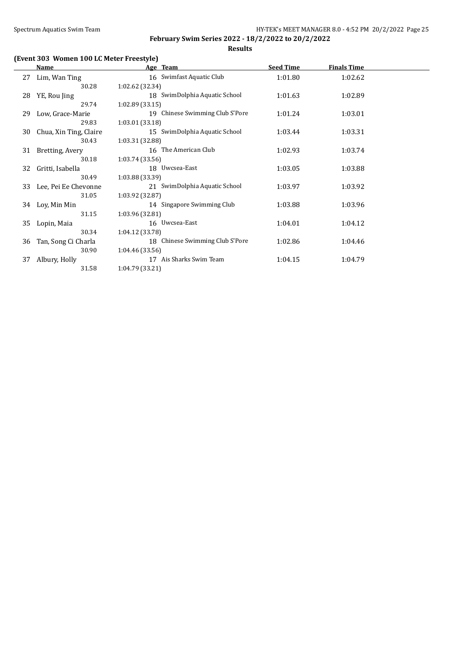**Results**

### **(Event 303 Women 100 LC Meter Freestyle)**

|     | Name                   | Age Team                        | <b>Seed Time</b> | <b>Finals Time</b> |  |
|-----|------------------------|---------------------------------|------------------|--------------------|--|
| 27  | Lim, Wan Ting          | 16 Swimfast Aquatic Club        | 1:01.80          | 1:02.62            |  |
|     | 30.28                  | 1:02.62 (32.34)                 |                  |                    |  |
| 28  | YE, Rou Jing           | 18 SwimDolphia Aquatic School   | 1:01.63          | 1:02.89            |  |
|     | 29.74                  | 1:02.89(33.15)                  |                  |                    |  |
| 29  | Low, Grace-Marie       | 19 Chinese Swimming Club S'Pore | 1:01.24          | 1:03.01            |  |
|     | 29.83                  | 1:03.01(33.18)                  |                  |                    |  |
| 30  | Chua, Xin Ting, Claire | 15 SwimDolphia Aquatic School   | 1:03.44          | 1:03.31            |  |
|     | 30.43                  | 1:03.31 (32.88)                 |                  |                    |  |
| 31  | Bretting, Avery        | 16 The American Club            | 1:02.93          | 1:03.74            |  |
|     | 30.18                  | 1:03.74 (33.56)                 |                  |                    |  |
| 32  | Gritti, Isabella       | 18 Uwcsea-East                  | 1:03.05          | 1:03.88            |  |
|     | 30.49                  | 1:03.88(33.39)                  |                  |                    |  |
| 33. | Lee, Pei Ee Chevonne   | 21 SwimDolphia Aquatic School   | 1:03.97          | 1:03.92            |  |
|     | 31.05                  | 1:03.92 (32.87)                 |                  |                    |  |
| 34  | Loy, Min Min           | 14 Singapore Swimming Club      | 1:03.88          | 1:03.96            |  |
|     | 31.15                  | 1:03.96 (32.81)                 |                  |                    |  |
| 35  | Lopin, Maia            | 16 Uwcsea-East                  | 1:04.01          | 1:04.12            |  |
|     | 30.34                  | 1:04.12(33.78)                  |                  |                    |  |
| 36  | Tan, Song Ci Charla    | 18 Chinese Swimming Club S'Pore | 1:02.86          | 1:04.46            |  |
|     | 30.90                  | 1:04.46 (33.56)                 |                  |                    |  |
| 37  | Albury, Holly          | 17 Ais Sharks Swim Team         | 1:04.15          | 1:04.79            |  |
|     | 31.58                  | 1:04.79 (33.21)                 |                  |                    |  |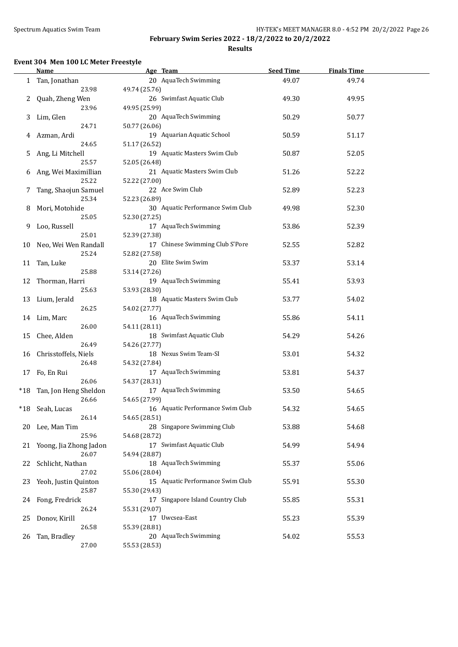$\overline{a}$ 

**February Swim Series 2022 - 18/2/2022 to 20/2/2022**

**Results**

### **Event 304 Men 100 LC Meter Freestyle**

|       | <b>Name</b>                        | Age Team                         | <b>Seed Time</b> | <b>Finals Time</b> |  |
|-------|------------------------------------|----------------------------------|------------------|--------------------|--|
|       | 1 Tan, Jonathan                    | 20 AquaTech Swimming             | 49.07            | 49.74              |  |
|       | 23.98                              | 49.74 (25.76)                    |                  |                    |  |
| 2     | Quah, Zheng Wen                    | 26 Swimfast Aquatic Club         | 49.30            | 49.95              |  |
|       | 23.96                              | 49.95 (25.99)                    |                  |                    |  |
| 3     | Lim, Glen                          | 20 AquaTech Swimming             | 50.29            | 50.77              |  |
|       | 24.71                              | 50.77 (26.06)                    |                  |                    |  |
| 4     | Azman, Ardi                        | 19 Aquarian Aquatic School       | 50.59            | 51.17              |  |
|       | 24.65                              | 51.17 (26.52)                    |                  |                    |  |
| 5     | Ang, Li Mitchell                   | 19 Aquatic Masters Swim Club     | 50.87            | 52.05              |  |
|       | 25.57                              | 52.05 (26.48)                    |                  |                    |  |
| 6     | Ang, Wei Maximillian               | 21 Aquatic Masters Swim Club     | 51.26            | 52.22              |  |
|       | 25.22                              | 52.22 (27.00)                    |                  |                    |  |
| 7     | Tang, Shaojun Samuel               | 22 Ace Swim Club                 | 52.89            | 52.23              |  |
|       | 25.34                              | 52.23 (26.89)                    |                  |                    |  |
| 8     | Mori, Motohide                     | 30 Aquatic Performance Swim Club | 49.98            | 52.30              |  |
|       | 25.05                              | 52.30 (27.25)                    |                  |                    |  |
| 9     | Loo, Russell                       | 17 AquaTech Swimming             | 53.86            | 52.39              |  |
|       | 25.01                              | 52.39 (27.38)                    |                  |                    |  |
| 10    | Neo, Wei Wen Randall               | 17 Chinese Swimming Club S'Pore  | 52.55            | 52.82              |  |
|       | 25.24                              | 52.82 (27.58)                    |                  |                    |  |
| 11    | Tan, Luke                          | 20 Elite Swim Swim               | 53.37            | 53.14              |  |
|       | 25.88                              | 53.14 (27.26)                    |                  |                    |  |
| 12    | Thorman, Harri                     | 19 AquaTech Swimming             | 55.41            | 53.93              |  |
|       | 25.63                              | 53.93 (28.30)                    |                  |                    |  |
| 13    | Lium, Jerald                       | 18 Aquatic Masters Swim Club     | 53.77            | 54.02              |  |
|       | 26.25                              | 54.02 (27.77)                    |                  |                    |  |
| 14    | Lim, Marc                          | 16 AquaTech Swimming             | 55.86            | 54.11              |  |
|       | 26.00                              | 54.11 (28.11)                    |                  |                    |  |
| 15    | Chee, Alden                        | 18 Swimfast Aquatic Club         | 54.29            | 54.26              |  |
|       | 26.49                              | 54.26 (27.77)                    |                  |                    |  |
| 16    | Chrisstoffels, Niels               | 18 Nexus Swim Team-SI            | 53.01            | 54.32              |  |
|       | 26.48                              | 54.32 (27.84)                    |                  |                    |  |
|       | Fo, En Rui                         | 17 AquaTech Swimming             | 53.81            |                    |  |
| 17    | 26.06                              | 54.37 (28.31)                    |                  | 54.37              |  |
|       |                                    | 17 AquaTech Swimming             |                  |                    |  |
|       | *18 Tan, Jon Heng Sheldon<br>26.66 |                                  | 53.50            | 54.65              |  |
|       |                                    | 54.65 (27.99)                    |                  |                    |  |
| $*18$ | Seah, Lucas                        | 16 Aquatic Performance Swim Club | 54.32            | 54.65              |  |
|       | 26.14                              | 54.65 (28.51)                    |                  |                    |  |
| 20    | Lee, Man Tim                       | 28 Singapore Swimming Club       | 53.88            | 54.68              |  |
|       | 25.96                              | 54.68 (28.72)                    |                  |                    |  |
| 21    | Yoong, Jia Zhong Jadon             | 17 Swimfast Aquatic Club         | 54.99            | 54.94              |  |
|       | 26.07                              | 54.94 (28.87)                    |                  |                    |  |
| 22    | Schlicht, Nathan                   | 18 AquaTech Swimming             | 55.37            | 55.06              |  |
|       | 27.02                              | 55.06 (28.04)                    |                  |                    |  |
| 23    | Yeoh, Justin Quinton               | 15 Aquatic Performance Swim Club | 55.91            | 55.30              |  |
|       | 25.87                              | 55.30 (29.43)                    |                  |                    |  |
| 24    | Fong, Fredrick                     | 17 Singapore Island Country Club | 55.85            | 55.31              |  |
|       | 26.24                              | 55.31 (29.07)                    |                  |                    |  |
| 25    | Donov, Kirill                      | 17 Uwcsea-East                   | 55.23            | 55.39              |  |
|       | 26.58                              | 55.39 (28.81)                    |                  |                    |  |
| 26    | Tan, Bradley                       | 20 AquaTech Swimming             | 54.02            | 55.53              |  |
|       | 27.00                              | 55.53 (28.53)                    |                  |                    |  |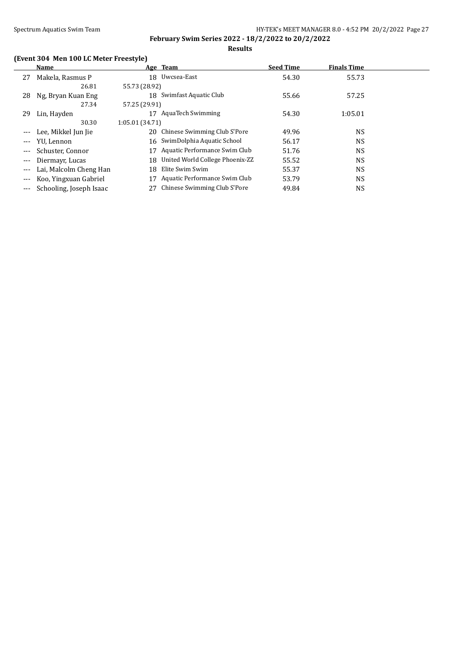### **Results**

### **(Event 304 Men 100 LC Meter Freestyle)**

|       | Name                    |                | Age Team                           | <b>Seed Time</b> | <b>Finals Time</b> |  |
|-------|-------------------------|----------------|------------------------------------|------------------|--------------------|--|
| 27    | Makela, Rasmus P        |                | 18 Uwcsea-East                     | 54.30            | 55.73              |  |
|       | 26.81                   | 55.73 (28.92)  |                                    |                  |                    |  |
| 28    | Ng, Bryan Kuan Eng      |                | 18 Swimfast Aquatic Club           | 55.66            | 57.25              |  |
|       | 27.34                   | 57.25 (29.91)  |                                    |                  |                    |  |
| 29    | Lin, Hayden             |                | AquaTech Swimming                  | 54.30            | 1:05.01            |  |
|       | 30.30                   | 1:05.01(34.71) |                                    |                  |                    |  |
| $---$ | Lee, Mikkel Jun Jie     | 20.            | Chinese Swimming Club S'Pore       | 49.96            | <b>NS</b>          |  |
| $---$ | YU, Lennon              |                | 16 SwimDolphia Aquatic School      | 56.17            | <b>NS</b>          |  |
|       | Schuster, Connor        | 17             | Aquatic Performance Swim Club      | 51.76            | <b>NS</b>          |  |
| ---   | Diermayr, Lucas         |                | 18 United World College Phoenix-ZZ | 55.52            | <b>NS</b>          |  |
| $---$ | Lai, Malcolm Cheng Han  | 18             | Elite Swim Swim                    | 55.37            | <b>NS</b>          |  |
| $---$ | Koo, Yingxuan Gabriel   | 17             | Aquatic Performance Swim Club      | 53.79            | <b>NS</b>          |  |
|       | Schooling, Joseph Isaac |                | Chinese Swimming Club S'Pore       | 49.84            | NS                 |  |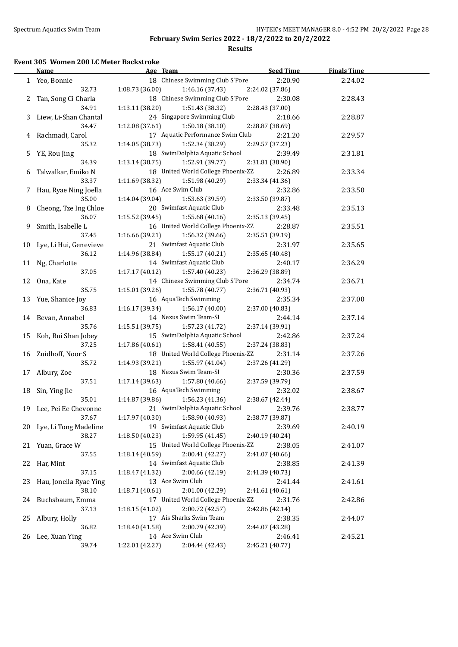**Results**

#### **Event 305 Women 200 LC Meter Backstroke**

|    | <b>Name</b>               | Age Team and the Team and the Team and the Team and the Team and the Team and the Team and the Team and the Te | <b>Seed Time</b> | <b>Finals Time</b> |  |
|----|---------------------------|----------------------------------------------------------------------------------------------------------------|------------------|--------------------|--|
|    | 1 Yeo, Bonnie             | 18 Chinese Swimming Club S'Pore                                                                                | 2:20.90          | 2:24.02            |  |
|    | 32.73                     | 1:08.73(36.00)<br>1:46.16 (37.43)                                                                              | 2:24.02 (37.86)  |                    |  |
|    | 2 Tan, Song Ci Charla     | 18 Chinese Swimming Club S'Pore                                                                                | 2:30.08          | 2:28.43            |  |
|    | 34.91                     | 1:13.11 (38.20)<br>1:51.43 (38.32)                                                                             | 2:28.43 (37.00)  |                    |  |
|    | 3 Liew, Li-Shan Chantal   | 24 Singapore Swimming Club                                                                                     | 2:18.66          | 2:28.87            |  |
|    | 34.47                     | 1:50.18 (38.10)<br>1:12.08 (37.61)                                                                             | 2:28.87 (38.69)  |                    |  |
|    | 4 Rachmadi, Carol         | 17 Aquatic Performance Swim Club                                                                               | 2:21.20          | 2:29.57            |  |
|    | 35.32                     | 1:14.05(38.73)<br>1:52.34 (38.29)                                                                              | 2:29.57 (37.23)  |                    |  |
| 5  | YE, Rou Jing              | 18 SwimDolphia Aquatic School                                                                                  | 2:39.49          | 2:31.81            |  |
|    | 34.39                     | 1:13.14(38.75)<br>1:52.91 (39.77)                                                                              | 2:31.81 (38.90)  |                    |  |
|    | 6 Talwalkar, Emiko N      | 18 United World College Phoenix-ZZ                                                                             | 2:26.89          | 2:33.34            |  |
|    | 33.37                     | 1:11.69 (38.32)<br>1:51.98 (40.29)                                                                             | 2:33.34 (41.36)  |                    |  |
|    |                           | 16 Ace Swim Club                                                                                               |                  |                    |  |
| 7. | Hau, Ryae Ning Joella     |                                                                                                                | 2:32.86          | 2:33.50            |  |
|    | 35.00                     | 1:14.04 (39.04)<br>1:53.63 (39.59)                                                                             | 2:33.50 (39.87)  |                    |  |
| 8  | Cheong, Tze Ing Chloe     | 20 Swimfast Aquatic Club                                                                                       | 2:33.48          | 2:35.13            |  |
|    | 36.07                     | 1:15.52(39.45)<br>1:55.68 (40.16)                                                                              | 2:35.13 (39.45)  |                    |  |
| 9  | Smith, Isabelle L         | 16 United World College Phoenix-ZZ                                                                             | 2:28.87          | 2:35.51            |  |
|    | 37.45                     | 1:16.66(39.21)<br>1:56.32 (39.66)                                                                              | 2:35.51 (39.19)  |                    |  |
|    | 10 Lye, Li Hui, Genevieve | 21 Swimfast Aquatic Club                                                                                       | 2:31.97          | 2:35.65            |  |
|    | 36.12                     | 1:14.96 (38.84)<br>1:55.17 (40.21)                                                                             | 2:35.65 (40.48)  |                    |  |
|    | 11 Ng, Charlotte          | 14 Swimfast Aquatic Club                                                                                       | 2:40.17          | 2:36.29            |  |
|    | 37.05                     | 1:17.17(40.12)<br>1:57.40 (40.23)                                                                              | 2:36.29 (38.89)  |                    |  |
| 12 | Ona, Kate                 | 14 Chinese Swimming Club S'Pore                                                                                | 2:34.74          | 2:36.71            |  |
|    | 35.75                     | 1:15.01(39.26)<br>1:55.78 (40.77)                                                                              | 2:36.71 (40.93)  |                    |  |
|    | 13 Yue, Shanice Joy       | 16 AquaTech Swimming                                                                                           | 2:35.34          | 2:37.00            |  |
|    | 36.83                     | 1:56.17 (40.00)<br>1:16.17(39.34)                                                                              | 2:37.00 (40.83)  |                    |  |
|    | 14 Bevan, Annabel         | 14 Nexus Swim Team-SI                                                                                          | 2:44.14          | 2:37.14            |  |
|    | 35.76                     | 1:57.23 (41.72)<br>1:15.51(39.75)                                                                              | 2:37.14 (39.91)  |                    |  |
| 15 | Koh, Rui Shan Jobey       | 15 SwimDolphia Aquatic School                                                                                  | 2:42.86          | 2:37.24            |  |
|    | 37.25                     | 1:58.41 (40.55)<br>1:17.86(40.61)                                                                              | 2:37.24 (38.83)  |                    |  |
| 16 | Zuidhoff, Noor S          | 18 United World College Phoenix-ZZ                                                                             | 2:31.14          | 2:37.26            |  |
|    | 35.72                     | 1:14.93 (39.21)<br>1:55.97 (41.04)                                                                             | 2:37.26 (41.29)  |                    |  |
| 17 | Albury, Zoe               | 18 Nexus Swim Team-SI                                                                                          | 2:30.36          | 2:37.59            |  |
|    | 37.51                     | 1:57.80 (40.66)<br>1:17.14(39.63)                                                                              | 2:37.59 (39.79)  |                    |  |
| 18 | Sin, Ying Jie             | 16 AquaTech Swimming                                                                                           | 2:32.02          | 2:38.67            |  |
|    | 35.01                     | 1:56.23 (41.36)<br>1:14.87 (39.86)                                                                             | 2:38.67 (42.44)  |                    |  |
|    | 19 Lee, Pei Ee Chevonne   | 21 SwimDolphia Aquatic School                                                                                  | 2:39.76          | 2:38.77            |  |
|    | 37.67                     | 1:17.97 (40.30)<br>1:58.90 (40.93)                                                                             | 2:38.77 (39.87)  |                    |  |
|    | 20 Lye, Li Tong Madeline  | 19 Swimfast Aquatic Club                                                                                       | 2:39.69          | 2:40.19            |  |
|    | 38.27                     | 1:59.95 (41.45)<br>1:18.50 (40.23)                                                                             | 2:40.19 (40.24)  |                    |  |
|    | 21 Yuan, Grace W          | 15 United World College Phoenix-ZZ                                                                             | 2:38.05          | 2:41.07            |  |
|    | 37.55                     | 2:00.41 (42.27)<br>1:18.14 (40.59)                                                                             | 2:41.07 (40.66)  |                    |  |
| 22 | Har, Mint                 | 14 Swimfast Aquatic Club                                                                                       | 2:38.85          | 2:41.39            |  |
|    | 37.15                     | 2:00.66 (42.19)<br>1:18.47 (41.32)                                                                             | 2:41.39 (40.73)  |                    |  |
| 23 | Hau, Jonella Ryae Ying    | 13 Ace Swim Club                                                                                               | 2:41.44          | 2:41.61            |  |
|    | 38.10                     | 2:01.00 (42.29)<br>1:18.71 (40.61)                                                                             | 2:41.61 (40.61)  |                    |  |
| 24 | Buchsbaum, Emma           | 17 United World College Phoenix-ZZ                                                                             | 2:31.76          | 2:42.86            |  |
|    | 37.13                     | 2:00.72 (42.57)<br>1:18.15 (41.02)                                                                             | 2:42.86 (42.14)  |                    |  |
| 25 | Albury, Holly             | 17 Ais Sharks Swim Team                                                                                        | 2:38.35          | 2:44.07            |  |
|    | 36.82                     | 2:00.79 (42.39)                                                                                                |                  |                    |  |
|    |                           | 1:18.40 (41.58)<br>14 Ace Swim Club                                                                            | 2:44.07 (43.28)  |                    |  |
| 26 | Lee, Xuan Ying            |                                                                                                                | 2:46.41          | 2:45.21            |  |
|    | 39.74                     | 1:22.01 (42.27)<br>2:04.44 (42.43)                                                                             | 2:45.21 (40.77)  |                    |  |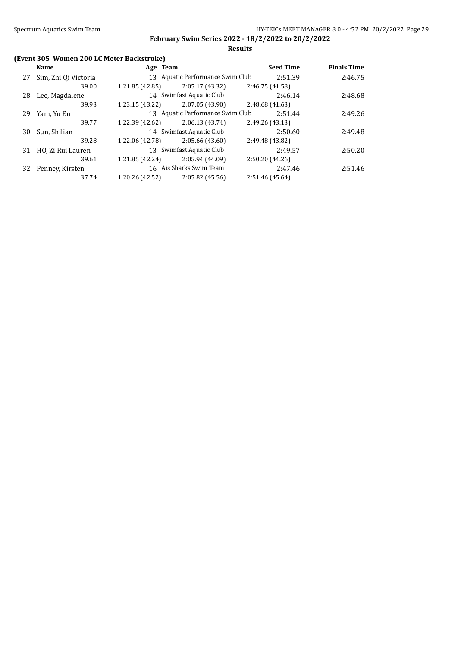### **Results**

### **(Event 305 Women 200 LC Meter Backstroke)**

|    | Name                 | Age Team        |                                  | <b>Seed Time</b> | <b>Finals Time</b> |  |
|----|----------------------|-----------------|----------------------------------|------------------|--------------------|--|
| 27 | Sim, Zhi Qi Victoria |                 | 13 Aquatic Performance Swim Club | 2:51.39          | 2:46.75            |  |
|    | 39.00                | 1:21.85(42.85)  | 2:05.17(43.32)                   | 2:46.75 (41.58)  |                    |  |
| 28 | Lee, Magdalene       |                 | 14 Swimfast Aquatic Club         | 2:46.14          | 2:48.68            |  |
|    | 39.93                | 1:23.15(43.22)  | 2:07.05(43.90)                   | 2:48.68(41.63)   |                    |  |
| 29 | Yam, Yu En           |                 | 13 Aquatic Performance Swim Club | 2:51.44          | 2:49.26            |  |
|    | 39.77                | 1:22.39 (42.62) | 2:06.13(43.74)                   | 2:49.26(43.13)   |                    |  |
| 30 | Sun. Shilian         |                 | 14 Swimfast Aquatic Club         | 2:50.60          | 2:49.48            |  |
|    | 39.28                | 1:22.06 (42.78) | 2:05.66(43.60)                   | 2:49.48 (43.82)  |                    |  |
| 31 | HO, Zi Rui Lauren    |                 | 13 Swimfast Aquatic Club         | 2:49.57          | 2:50.20            |  |
|    | 39.61                | 1:21.85 (42.24) | 2:05.94 (44.09)                  | 2:50.20(44.26)   |                    |  |
| 32 | Penney, Kirsten      |                 | 16 Ais Sharks Swim Team          | 2:47.46          | 2:51.46            |  |
|    | 37.74                | 1:20.26 (42.52) | 2:05.82(45.56)                   | 2:51.46 (45.64)  |                    |  |
|    |                      |                 |                                  |                  |                    |  |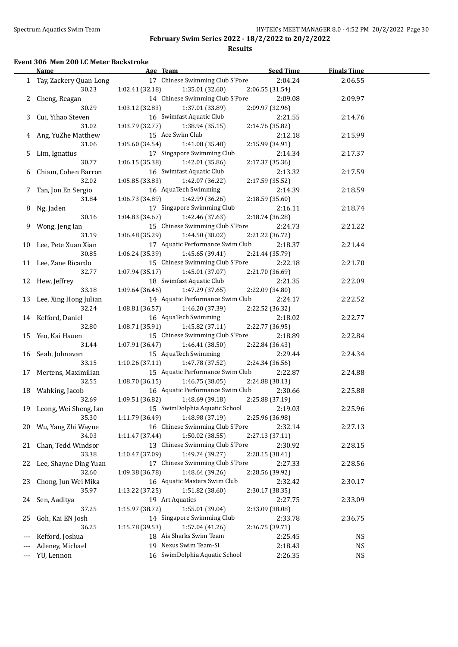**Results**

### **Event 306 Men 200 LC Meter Backstroke**

|       | <b>Name</b>                 | Age Team and the Team and the Team and the Team and the Team and the Team and the Team and the Team and the Te | <b>Seed Time</b> | <b>Finals Time</b> |  |
|-------|-----------------------------|----------------------------------------------------------------------------------------------------------------|------------------|--------------------|--|
|       | 1 Tay, Zackery Quan Long    | 17 Chinese Swimming Club S'Pore                                                                                | 2:04.24          | 2:06.55            |  |
|       | 30.23                       | 1:02.41 (32.18)<br>1:35.01 (32.60)                                                                             | 2:06.55 (31.54)  |                    |  |
| 2     | Cheng, Reagan               | 14 Chinese Swimming Club S'Pore                                                                                | 2:09.08          | 2:09.97            |  |
|       | 30.29                       | 1:37.01 (33.89)<br>1:03.12 (32.83)                                                                             | 2:09.97 (32.96)  |                    |  |
|       | 3 Cui, Yihao Steven         | 16 Swimfast Aquatic Club                                                                                       | 2:21.55          | 2:14.76            |  |
|       | 31.02                       | 1:03.79(32.77)<br>1:38.94 (35.15)                                                                              | 2:14.76 (35.82)  |                    |  |
|       | 4 Ang, YuZhe Matthew        | 15 Ace Swim Club                                                                                               | 2:12.18          | 2:15.99            |  |
|       | 31.06                       | 1:41.08 (35.48)<br>1:05.60 (34.54)                                                                             | 2:15.99 (34.91)  |                    |  |
| 5.    | Lim, Ignatius               | 17 Singapore Swimming Club                                                                                     | 2:14.34          | 2:17.37            |  |
|       | 30.77                       | 1:06.15(35.38)<br>1:42.01 (35.86)                                                                              | 2:17.37 (35.36)  |                    |  |
|       | 6 Chiam, Cohen Barron       | 16 Swimfast Aquatic Club                                                                                       | 2:13.32          | 2:17.59            |  |
|       | 32.02                       | 1:05.85(33.83)<br>1:42.07 (36.22)                                                                              | 2:17.59 (35.52)  |                    |  |
|       | 7 Tan, Jon En Sergio        | 16 AquaTech Swimming                                                                                           | 2:14.39          | 2:18.59            |  |
|       | 31.84                       | 1:06.73(34.89)<br>1:42.99 (36.26)                                                                              | 2:18.59 (35.60)  |                    |  |
| 8     | Ng, Jaden                   | 17 Singapore Swimming Club                                                                                     | 2:16.11          | 2:18.74            |  |
|       | 30.16                       | 1:42.46 (37.63)<br>1:04.83(34.67)                                                                              | 2:18.74 (36.28)  |                    |  |
| 9     | Wong, Jeng Ian              | 15 Chinese Swimming Club S'Pore                                                                                | 2:24.73          | 2:21.22            |  |
|       | 31.19                       | 1:06.48(35.29)<br>1:44.50 (38.02)                                                                              | 2:21.22 (36.72)  |                    |  |
|       | 10 Lee, Pete Xuan Xian      | 17 Aquatic Performance Swim Club                                                                               | 2:18.37          | 2:21.44            |  |
|       | 30.85                       | 1:06.24 (35.39)<br>1:45.65 (39.41)                                                                             | 2:21.44 (35.79)  |                    |  |
|       | 11 Lee, Zane Ricardo        | 15 Chinese Swimming Club S'Pore                                                                                | 2:22.18          | 2:21.70            |  |
|       | 32.77                       | 1:07.94(35.17)<br>1:45.01 (37.07)                                                                              | 2:21.70 (36.69)  |                    |  |
|       | 12 Hew, Jeffrey             | 18 Swimfast Aquatic Club                                                                                       | 2:21.35          | 2:22.09            |  |
|       | 33.18                       | 1:09.64(36.46)<br>1:47.29 (37.65)                                                                              | 2:22.09 (34.80)  |                    |  |
|       |                             | 14 Aquatic Performance Swim Club                                                                               |                  |                    |  |
|       | 13 Lee, Xing Hong Julian    |                                                                                                                | 2:24.17          | 2:22.52            |  |
|       | 32.24                       | 1:46.20 (37.39)<br>1:08.81(36.57)<br>16 AquaTech Swimming                                                      | 2:22.52 (36.32)  |                    |  |
|       | 14 Kefford, Daniel<br>32.80 |                                                                                                                | 2:18.02          | 2:22.77            |  |
|       |                             | 1:08.71(35.91)<br>1:45.82 (37.11)<br>15 Chinese Swimming Club S'Pore                                           | 2:22.77 (36.95)  |                    |  |
|       | 15 Yeo, Kai Hsuen<br>31.44  |                                                                                                                | 2:18.89          | 2:22.84            |  |
|       |                             | 1:07.91 (36.47)<br>1:46.41 (38.50)<br>15 AquaTech Swimming                                                     | 2:22.84 (36.43)  |                    |  |
|       | 16 Seah, Johnavan           |                                                                                                                | 2:29.44          | 2:24.34            |  |
|       | 33.15                       | 1:10.26(37.11)<br>1:47.78 (37.52)                                                                              | 2:24.34 (36.56)  |                    |  |
|       | 17 Mertens, Maximilian      | 15 Aquatic Performance Swim Club                                                                               | 2:22.87          | 2:24.88            |  |
|       | 32.55                       | 1:46.75 (38.05)<br>1:08.70(36.15)<br>16 Aquatic Performance Swim Club                                          | 2:24.88 (38.13)  |                    |  |
|       | 18 Wahking, Jacob           |                                                                                                                | 2:30.66          | 2:25.88            |  |
|       | 32.69                       | 1:09.51(36.82)<br>1:48.69 (39.18)                                                                              | 2:25.88 (37.19)  |                    |  |
|       | 19 Leong, Wei Sheng, Ian    | 15 SwimDolphia Aquatic School                                                                                  | 2:19.03          | 2:25.96            |  |
|       | 35.30                       | 1:48.98 (37.19)<br>1:11.79 (36.49)                                                                             | 2:25.96 (36.98)  |                    |  |
| 20    | Wu, Yang Zhi Wayne          | 16 Chinese Swimming Club S'Pore                                                                                | 2:32.14          | 2:27.13            |  |
|       | 34.03                       | 1:11.47 (37.44)<br>1:50.02 (38.55)                                                                             | 2:27.13 (37.11)  |                    |  |
| 21    | Chan, Tedd Windsor          | 13 Chinese Swimming Club S'Pore                                                                                | 2:30.92          | 2:28.15            |  |
|       | 33.38                       | 1:10.47 (37.09)<br>1:49.74 (39.27)                                                                             | 2:28.15 (38.41)  |                    |  |
| 22    | Lee, Shayne Ding Yuan       | 17 Chinese Swimming Club S'Pore                                                                                | 2:27.33          | 2:28.56            |  |
|       | 32.60                       | 1:48.64 (39.26)<br>1:09.38 (36.78)                                                                             | 2:28.56 (39.92)  |                    |  |
| 23    | Chong, Jun Wei Mika         | 16 Aquatic Masters Swim Club                                                                                   | 2:32.42          | 2:30.17            |  |
|       | 35.97                       | 1:51.82 (38.60)<br>1:13.22 (37.25)                                                                             | 2:30.17 (38.35)  |                    |  |
| 24    | Sen, Aaditya                | 19 Art Aquatics                                                                                                | 2:27.75          | 2:33.09            |  |
|       | 37.25                       | 1:55.01 (39.04)<br>1:15.97 (38.72)                                                                             | 2:33.09 (38.08)  |                    |  |
| 25    | Goh, Kai EN Josh            | 14 Singapore Swimming Club                                                                                     | 2:33.78          | 2:36.75            |  |
|       | 36.25                       | 1:57.04 (41.26)<br>1:15.78 (39.53)                                                                             | 2:36.75 (39.71)  |                    |  |
| $---$ | Kefford, Joshua             | 18 Ais Sharks Swim Team                                                                                        | 2:25.45          | <b>NS</b>          |  |
|       | Adeney, Michael             | 19 Nexus Swim Team-SI                                                                                          | 2:18.43          | <b>NS</b>          |  |
| ---   | YU, Lennon                  | 16 SwimDolphia Aquatic School                                                                                  | 2:26.35          | <b>NS</b>          |  |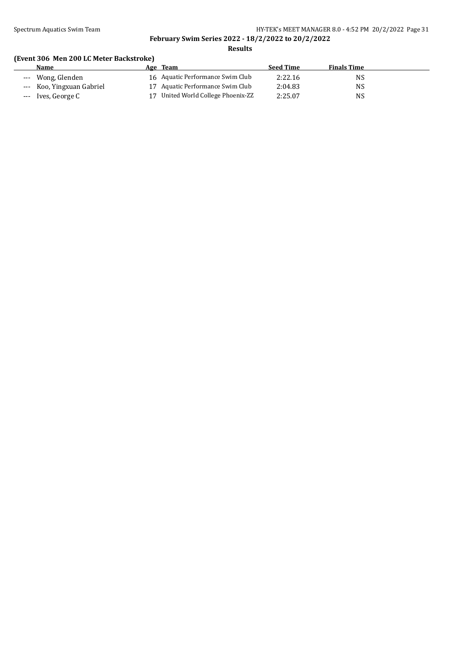### Spectrum Aquatics Swim Team **HY-TEK's MEET MANAGER 8.0 - 4:52 PM 20/2/2022** Page 31 **February Swim Series 2022 - 18/2/2022 to 20/2/2022**

**Results**

### **(Event 306 Men 200 LC Meter Backstroke)**

| <b>Name</b>               | Team<br>Age                        | <b>Seed Time</b> | <b>Finals Time</b> |  |
|---------------------------|------------------------------------|------------------|--------------------|--|
| --- Wong, Glenden         | 16 Aquatic Performance Swim Club   | 2:22.16          | NS                 |  |
| --- Koo, Yingxuan Gabriel | 17 Aquatic Performance Swim Club   | 2:04.83          | NS                 |  |
| --- Ives, George C        | 17 United World College Phoenix-ZZ | 2:25.07          | NS                 |  |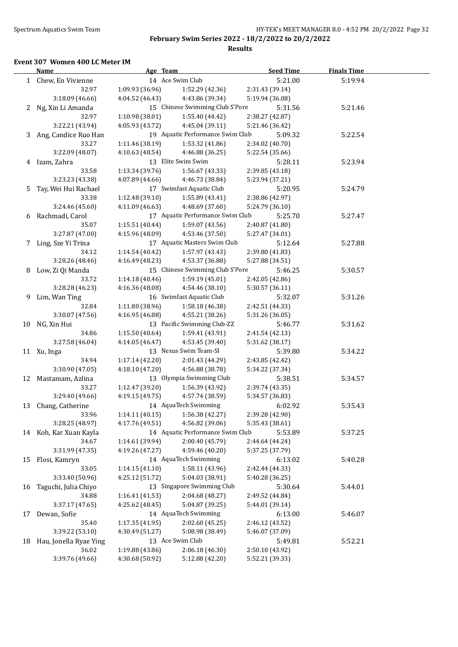**Results**

#### **Event 307 Women 400 LC Meter IM**

|    | <b>Name</b>            | Age Team                         |                                   | <b>Seed Time</b> | <b>Finals Time</b> |  |
|----|------------------------|----------------------------------|-----------------------------------|------------------|--------------------|--|
|    | 1 Chew, En Vivienne    |                                  | 14 Ace Swim Club                  | 5:21.00          | 5:19.94            |  |
|    | 32.97                  | 1:09.93 (36.96)                  | 1:52.29 (42.36)                   | 2:31.43 (39.14)  |                    |  |
|    | 3:18.09(46.66)         | 4:04.52 (46.43)                  | 4:43.86 (39.34)                   | 5:19.94 (36.08)  |                    |  |
|    | 2 Ng, Xin Li Amanda    |                                  | 15 Chinese Swimming Club S'Pore   | 5:31.56          | 5:21.46            |  |
|    | 32.97                  | 1:10.98(38.01)                   | 1:55.40 (44.42)                   | 2:38.27 (42.87)  |                    |  |
|    | 3:22.21 (43.94)        | 4:05.93 (43.72)                  | 4:45.04 (39.11)                   | 5:21.46 (36.42)  |                    |  |
|    | 3 Ang, Candice Ruo Han |                                  | 19 Aquatic Performance Swim Club  | 5:09.32          | 5:22.54            |  |
|    | 33.27                  | 1:11.46 (38.19)                  |                                   |                  |                    |  |
|    |                        |                                  | 1:53.32 (41.86)                   | 2:34.02 (40.70)  |                    |  |
|    | 3:22.09 (48.07)        | 4:10.63 (48.54)                  | 4:46.88 (36.25)                   | 5:22.54 (35.66)  |                    |  |
|    | 4 Izam, Zahra          |                                  | 13 Elite Swim Swim                | 5:28.11          | 5:23.94            |  |
|    | 33.58                  | 1:13.34 (39.76)                  | 1:56.67 (43.33)                   | 2:39.85 (43.18)  |                    |  |
|    | 3:23.23 (43.38)        | 4:07.89(44.66)                   | 4:46.73 (38.84)                   | 5:23.94 (37.21)  |                    |  |
|    | 5 Tay, Wei Hui Rachael |                                  | 17 Swimfast Aquatic Club          | 5:20.95          | 5:24.79            |  |
|    | 33.38                  | 1:12.48(39.10)                   | 1:55.89 (43.41)                   | 2:38.86 (42.97)  |                    |  |
|    | 3:24.46 (45.60)        | 4:11.09 (46.63)                  | 4:48.69 (37.60)                   | 5:24.79 (36.10)  |                    |  |
|    | 6 Rachmadi, Carol      |                                  | 17 Aquatic Performance Swim Club  | 5:25.70          | 5:27.47            |  |
|    | 35.07                  | 1:15.51(40.44)                   | 1:59.07 (43.56)                   | 2:40.87 (41.80)  |                    |  |
|    | 3:27.87 (47.00)        | 4:15.96 (48.09)                  | 4:53.46 (37.50)                   | 5:27.47 (34.01)  |                    |  |
|    | 7 Ling, Sze Yi Trina   |                                  | 17 Aquatic Masters Swim Club      | 5:12.64          | 5:27.88            |  |
|    | 34.12                  | 1:14.54 (40.42)                  | 1:57.97 (43.43)                   | 2:39.80 (41.83)  |                    |  |
|    | 3:28.26 (48.46)        | 4:16.49 (48.23)                  | 4:53.37 (36.88)                   | 5:27.88 (34.51)  |                    |  |
|    | 8 Low, Zi Qi Manda     |                                  | 15 Chinese Swimming Club S'Pore   | 5:46.25          | 5:30.57            |  |
|    | 33.72                  | 1:14.18 (40.46)                  | 1:59.19 (45.01)                   | 2:42.05 (42.86)  |                    |  |
|    | 3:28.28 (46.23)        | 4:16.36 (48.08)                  | 4:54.46 (38.10)                   | 5:30.57 (36.11)  |                    |  |
| 9. | Lim, Wan Ting          |                                  | 16 Swimfast Aquatic Club          | 5:32.07          | 5:31.26            |  |
|    | 32.84                  | 1:11.80 (38.96)                  | 1:58.18 (46.38)                   | 2:42.51 (44.33)  |                    |  |
|    | 3:30.07 (47.56)        | 4:16.95 (46.88)                  | 4:55.21 (38.26)                   | 5:31.26 (36.05)  |                    |  |
|    | 10 NG, Xin Hui         |                                  | 13 Pacific Swimming Club-ZZ       | 5:46.77          | 5:31.62            |  |
|    | 34.86                  |                                  |                                   |                  |                    |  |
|    | 3:27.58 (46.04)        | 1:15.50(40.64)<br>4:14.05(46.47) | 1:59.41 (43.91)                   | 2:41.54 (42.13)  |                    |  |
|    |                        |                                  | 4:53.45 (39.40)                   | 5:31.62 (38.17)  |                    |  |
|    | 11 Xu, Inga            |                                  | 13 Nexus Swim Team-SI             | 5:39.80          | 5:34.22            |  |
|    | 34.94                  | 1:17.14 (42.20)                  | 2:01.43 (44.29)                   | 2:43.85 (42.42)  |                    |  |
|    | 3:30.90 (47.05)        | 4:18.10 (47.20)                  | 4:56.88 (38.78)                   | 5:34.22 (37.34)  |                    |  |
|    | 12 Mastamam, Azlina    |                                  | 13 Olympia Swimming Club          | 5:38.51          | 5:34.57            |  |
|    | 33.27                  | 1:12.47 (39.20)                  | 1:56.39 (43.92)                   | 2:39.74 (43.35)  |                    |  |
|    | 3:29.40 (49.66)        | 4:19.15(49.75)                   | 4:57.74 (38.59)                   | 5:34.57 (36.83)  |                    |  |
|    | 13 Chang, Catherine    |                                  | 14 AquaTech Swimming              | 6:02.92          | 5:35.43            |  |
|    | 33.96                  |                                  | $1:14.11(40.15)$ $1:56.38(42.27)$ | 2:39.28 (42.90)  |                    |  |
|    | 3:28.25 (48.97)        | 4:17.76 (49.51)                  | 4:56.82 (39.06)                   | 5:35.43 (38.61)  |                    |  |
|    | 14 Koh, Kar Xuan Kayla |                                  | 14 Aquatic Performance Swim Club  | 5:53.89          | 5:37.25            |  |
|    | 34.67                  | 1:14.61 (39.94)                  | 2:00.40 (45.79)                   | 2:44.64 (44.24)  |                    |  |
|    | 3:31.99 (47.35)        | 4:19.26 (47.27)                  | 4:59.46 (40.20)                   | 5:37.25 (37.79)  |                    |  |
| 15 | Flosi, Kamryn          |                                  | 14 AquaTech Swimming              | 6:13.02          | 5:40.28            |  |
|    | 33.05                  | 1:14.15(41.10)                   | 1:58.11 (43.96)                   | 2:42.44 (44.33)  |                    |  |
|    | 3:33.40 (50.96)        | 4:25.12 (51.72)                  | 5:04.03 (38.91)                   | 5:40.28 (36.25)  |                    |  |
| 16 | Taguchi, Julia Chiyo   |                                  | 13 Singapore Swimming Club        | 5:30.64          | 5:44.01            |  |
|    | 34.88                  | 1:16.41 (41.53)                  | 2:04.68 (48.27)                   | 2:49.52 (44.84)  |                    |  |
|    | 3:37.17 (47.65)        | 4:25.62 (48.45)                  | 5:04.87 (39.25)                   | 5:44.01 (39.14)  |                    |  |
| 17 | Dewan, Sofie           |                                  | 14 AquaTech Swimming              | 6:13.00          | 5:46.07            |  |
|    | 35.40                  | 1:17.35 (41.95)                  | 2:02.60 (45.25)                   | 2:46.12 (43.52)  |                    |  |
|    | 3:39.22 (53.10)        | 4:30.49 (51.27)                  | 5:08.98 (38.49)                   | 5:46.07 (37.09)  |                    |  |
| 18 | Hau, Jonella Ryae Ying |                                  | 13 Ace Swim Club                  | 5:49.81          | 5:52.21            |  |
|    | 36.02                  | 1:19.88 (43.86)                  | 2:06.18 (46.30)                   | 2:50.10 (43.92)  |                    |  |
|    | 3:39.76 (49.66)        | 4:30.68 (50.92)                  | 5:12.88 (42.20)                   | 5:52.21 (39.33)  |                    |  |
|    |                        |                                  |                                   |                  |                    |  |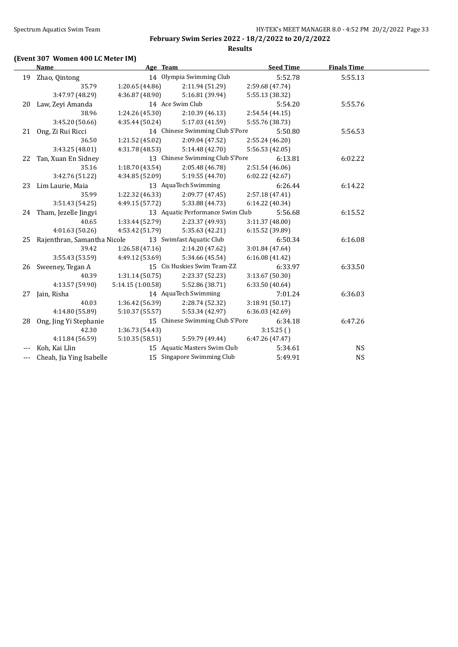**February Swim Series 2022 - 18/2/2022 to 20/2/2022 Results**

#### **(Event 307 Women 400 LC Meter IM)**

**Name Age Team Seed Time Finals Time** 19 Zhao, Qintong 14 Olympia Swimming Club 5:52.78 5:55.13 35.79 1:20.65 (44.86) 2:11.94 (51.29) 2:59.68 (47.74) 3:47.97 (48.29) 4:36.87 (48.90) 5:16.81 (39.94) 5:55.13 (38.32) 20 Law, Zeyi Amanda 14 Ace Swim Club 5:54.20 5:55.76 38.96 1:24.26 (45.30) 2:10.39 (46.13) 2:54.54 (44.15) 3:45.20 (50.66) 4:35.44 (50.24) 5:17.03 (41.59) 5:55.76 (38.73) 21 Ong, Zi Rui Ricci 14 Chinese Swimming Club S'Pore 5:50.80 5:56.53 36.50 1:21.52 (45.02) 2:09.04 (47.52) 2:55.24 (46.20) 3:43.25 (48.01) 4:31.78 (48.53) 5:14.48 (42.70) 5:56.53 (42.05) 22 Tan, Xuan En Sidney 13 Chinese Swimming Club S'Pore 6:13.81 6:02.22 35.16 1:18.70 (43.54) 2:05.48 (46.78) 2:51.54 (46.06) 3:42.76 (51.22) 4:34.85 (52.09) 5:19.55 (44.70) 6:02.22 (42.67) 23 Lim Laurie, Maia 13 AquaTech Swimming 6:26.44 6:14.22 35.99 1:22.32 (46.33) 2:09.77 (47.45) 2:57.18 (47.41) 3:51.43 (54.25) 4:49.15 (57.72) 5:33.88 (44.73) 6:14.22 (40.34) 24 Tham, Jezelle Jingyi 13 Aquatic Performance Swim Club 5:56.68 6:15.52 40.65 1:33.44 (52.79) 2:23.37 (49.93) 3:11.37 (48.00) 4:01.63 (50.26) 4:53.42 (51.79) 5:35.63 (42.21) 6:15.52 (39.89) 25 Rajenthran, Samantha Nicole 13 Swimfast Aquatic Club 6:50.34 6:16.08 39.42 1:26.58 (47.16) 2:14.20 (47.62) 3:01.84 (47.64) 3:55.43 (53.59) 4:49.12 (53.69) 5:34.66 (45.54) 6:16.08 (41.42) 26 Sweeney, Tegan A 15 Cis Huskies Swim Team-ZZ 6:33.97 6:33.50 40.39 1:31.14 (50.75) 2:23.37 (52.23) 3:13.67 (50.30) 4:13.57 (59.90) 5:14.15 (1:00.58) 5:52.86 (38.71) 6:33.50 (40.64) 27 Jain, Risha 14 AquaTech Swimming 7:01.24 6:36.03 40.03 1:36.42 (56.39) 2:28.74 (52.32) 3:18.91 (50.17) 4:14.80 (55.89) 5:10.37 (55.57) 5:53.34 (42.97) 6:36.03 (42.69) 28 Ong, Jing Yi Stephanie 15 Chinese Swimming Club S'Pore 6:34.18 6:47.26 42.30 1:36.73 (54.43) 3:15.25 ( ) 4:11.84 (56.59) 5:10.35 (58.51) 5:59.79 (49.44) 6:47.26 (47.47) --- Koh, Kai Llin 15 Aquatic Masters Swim Club 5:34.61 NS --- Cheah, Jia Ying Isabelle 15 Singapore Swimming Club 5:49.91 NS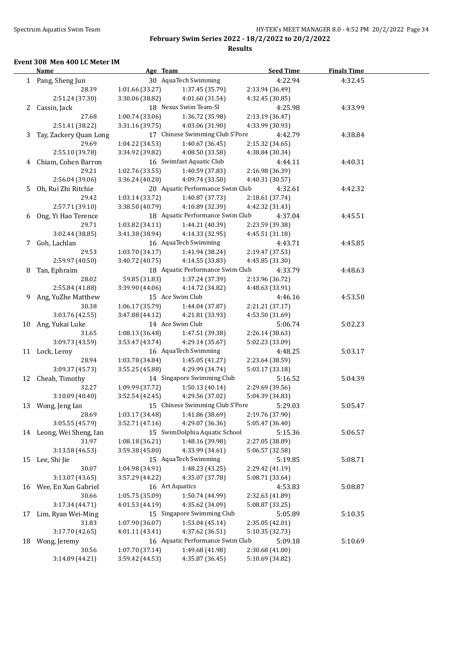**Results**

#### **Event 308 Men 400 LC Meter IM**

|    | <b>Name</b>                |                 | Age Team                                         | <b>Seed Time</b>                   | <b>Finals Time</b> |  |
|----|----------------------------|-----------------|--------------------------------------------------|------------------------------------|--------------------|--|
|    | 1 Pang, Sheng Jun          |                 | 30 AquaTech Swimming                             | 4:22.94                            | 4:32.45            |  |
|    | 28.39                      | 1:01.66(33.27)  | 1:37.45 (35.79)                                  | 2:13.94 (36.49)                    |                    |  |
|    | 2:51.24 (37.30)            | 3:30.06 (38.82) | 4:01.60 (31.54)                                  | 4:32.45 (30.85)                    |                    |  |
|    | 2 Cassin, Jack             |                 | 18 Nexus Swim Team-SI                            | 4:25.98                            | 4:33.99            |  |
|    | 27.68                      | 1:00.74 (33.06) | 1:36.72 (35.98)                                  | 2:13.19 (36.47)                    |                    |  |
|    | 2:51.41 (38.22)            | 3:31.16 (39.75) | 4:03.06 (31.90)                                  | 4:33.99 (30.93)                    |                    |  |
| 3  | Tay, Zackery Quan Long     |                 | 17 Chinese Swimming Club S'Pore                  | 4:42.79                            | 4:38.84            |  |
|    | 29.69                      | 1:04.22 (34.53) | 1:40.67 (36.45)                                  | 2:15.32 (34.65)                    |                    |  |
|    | 2:55.10 (39.78)            | 3:34.92 (39.82) | 4:08.50 (33.58)                                  | 4:38.84 (30.34)                    |                    |  |
|    | 4 Chiam, Cohen Barron      |                 | 16 Swimfast Aquatic Club                         | 4:44.11                            | 4:40.31            |  |
|    | 29.21                      | 1:02.76(33.55)  | 1:40.59 (37.83)                                  | 2:16.98 (36.39)                    |                    |  |
|    | 2:56.04 (39.06)            | 3:36.24 (40.20) | 4:09.74 (33.50)                                  | 4:40.31 (30.57)                    |                    |  |
| 5. | Oh, Rui Zhi Ritchie        |                 | 20 Aquatic Performance Swim Club                 | 4:32.61                            | 4:42.32            |  |
|    | 29.42                      | 1:03.14(33.72)  | 1:40.87 (37.73)                                  | 2:18.61 (37.74)                    |                    |  |
|    | 2:57.71 (39.10)            | 3:38.50 (40.79) | 4:10.89 (32.39)                                  | 4:42.32 (31.43)                    |                    |  |
|    | 6 Ong, Yi Hao Terence      |                 | 18 Aquatic Performance Swim Club                 | 4:37.04                            | 4:45.51            |  |
|    | 29.71                      | 1:03.82 (34.11) | 1:44.21 (40.39)                                  | 2:23.59 (39.38)                    |                    |  |
|    | 3:02.44 (38.85)            | 3:41.38 (38.94) | 4:14.33 (32.95)                                  | 4:45.51 (31.18)                    |                    |  |
|    | 7 Goh, Lachlan             |                 | 16 AquaTech Swimming                             | 4:43.71                            | 4:45.85            |  |
|    | 29.53                      | 1:03.70 (34.17) | 1:41.94 (38.24)                                  | 2:19.47 (37.53)                    |                    |  |
|    | 2:59.97 (40.50)            | 3:40.72 (40.75) | 4:14.55 (33.83)                                  | 4:45.85 (31.30)                    |                    |  |
| 8  | Tan, Ephraim               |                 | 18 Aquatic Performance Swim Club                 | 4:33.79                            | 4:48.63            |  |
|    | 28.02                      | 59.85 (31.83)   | 1:37.24 (37.39)                                  | 2:13.96 (36.72)                    |                    |  |
|    | 2:55.84 (41.88)            | 3:39.90(44.06)  | 4:14.72 (34.82)                                  | 4:48.63 (33.91)                    |                    |  |
| 9  | Ang, YuZhe Matthew         |                 | 15 Ace Swim Club                                 | 4:46.16                            | 4:53.50            |  |
|    | 30.38                      | 1:06.17 (35.79) | 1:44.04 (37.87)                                  | 2:21.21 (37.17)                    |                    |  |
|    | 3:03.76 (42.55)            | 3:47.88 (44.12) | 4:21.81 (33.93)                                  | 4:53.50 (31.69)                    |                    |  |
|    | 10 Ang, Yukai Luke         |                 | 14 Ace Swim Club                                 | 5:06.74                            | 5:02.23            |  |
|    | 31.65                      | 1:08.13 (36.48) | 1:47.51 (39.38)                                  |                                    |                    |  |
|    | 3:09.73 (43.59)            | 3:53.47(43.74)  | 4:29.14 (35.67)                                  | 2:26.14 (38.63)<br>5:02.23 (33.09) |                    |  |
|    |                            |                 | 16 AquaTech Swimming                             | 4:48.25                            |                    |  |
|    | 11 Lock, Leroy<br>28.94    |                 |                                                  |                                    | 5:03.17            |  |
|    | 3:09.37 (45.73)            | 1:03.78 (34.84) | 1:45.05 (41.27)                                  | 2:23.64 (38.59)                    |                    |  |
|    |                            | 3:55.25 (45.88) | 4:29.99 (34.74)<br>14 Singapore Swimming Club    | 5:03.17 (33.18)                    |                    |  |
|    | 12 Cheah, Timothy<br>32.27 | 1:09.99 (37.72) |                                                  | 5:16.52<br>2:29.69 (39.56)         | 5:04.39            |  |
|    | 3:10.09(40.40)             | 3:52.54(42.45)  | 1:50.13(40.14)<br>4:29.56 (37.02)                | 5:04.39 (34.83)                    |                    |  |
|    |                            |                 | 15 Chinese Swimming Club S'Pore                  | 5:29.03                            |                    |  |
|    | 13 Wong, Jeng Ian<br>28.69 |                 | 1:03.17 (34.48) 1:41.86 (38.69)                  | 2:19.76 (37.90)                    | 5:05.47            |  |
|    |                            |                 |                                                  |                                    |                    |  |
|    | 3:05.55 (45.79)            | 3:52.71 (47.16) | 4:29.07 (36.36)<br>15 SwimDolphia Aquatic School | 5:05.47 (36.40)                    |                    |  |
|    | 14 Leong, Wei Sheng, Ian   |                 |                                                  | 5:15.36                            | 5:06.57            |  |
|    | 31.97                      | 1:08.18 (36.21) | 1:48.16 (39.98)                                  | 2:27.05 (38.89)                    |                    |  |
|    | 3:13.58 (46.53)            | 3:59.38 (45.80) | 4:33.99 (34.61)<br>15 AquaTech Swimming          | 5:06.57 (32.58)                    |                    |  |
| 15 | Lee, Shi Jie               |                 |                                                  | 5:19.85                            | 5:08.71            |  |
|    | 30.07                      | 1:04.98 (34.91) | 1:48.23 (43.25)                                  | 2:29.42 (41.19)                    |                    |  |
|    | 3:13.07 (43.65)            | 3:57.29 (44.22) | 4:35.07 (37.78)                                  | 5:08.71 (33.64)                    |                    |  |
| 16 | Wee, En Xun Gabriel        |                 | 16 Art Aquatics                                  | 4:53.83                            | 5:08.87            |  |
|    | 30.66                      | 1:05.75 (35.09) | 1:50.74 (44.99)                                  | 2:32.63 (41.89)                    |                    |  |
|    | 3:17.34 (44.71)            | 4:01.53 (44.19) | 4:35.62 (34.09)                                  | 5:08.87 (33.25)                    |                    |  |
| 17 | Lim, Ryan Wei-Ming         |                 | 15 Singapore Swimming Club                       | 5:05.89                            | 5:10.35            |  |
|    | 31.83                      | 1:07.90 (36.07) | 1:53.04 (45.14)                                  | 2:35.05 (42.01)                    |                    |  |
|    | 3:17.70 (42.65)            | 4:01.11 (43.41) | 4:37.62 (36.51)                                  | 5:10.35 (32.73)                    |                    |  |
| 18 | Wong, Jeremy               |                 | 16 Aquatic Performance Swim Club                 | 5:09.18                            | 5:10.69            |  |
|    | 30.56                      | 1:07.70 (37.14) | 1:49.68 (41.98)                                  | 2:30.68 (41.00)                    |                    |  |
|    | 3:14.89 (44.21)            | 3:59.42 (44.53) | 4:35.87 (36.45)                                  | 5:10.69 (34.82)                    |                    |  |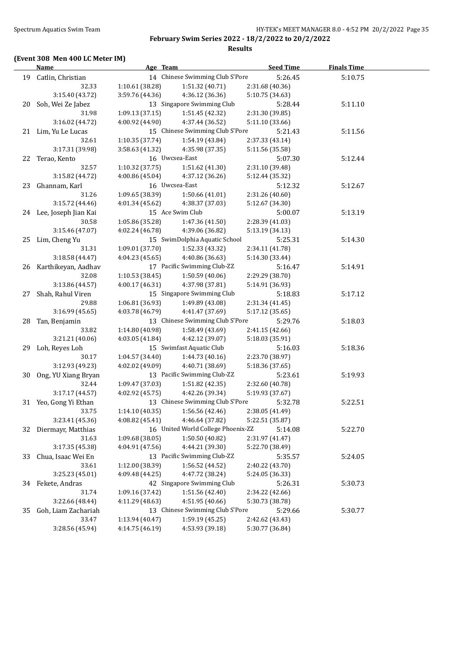### **(Event 308 Men 400 LC Meter IM)**

**Results**

|      | <b>Name</b>             | Age Team        |                                    | <b>Seed Time</b> | <b>Finals Time</b> |  |
|------|-------------------------|-----------------|------------------------------------|------------------|--------------------|--|
|      | 19 Catlin, Christian    |                 | 14 Chinese Swimming Club S'Pore    | 5:26.45          | 5:10.75            |  |
|      | 32.33                   | 1:10.61 (38.28) | 1:51.32 (40.71)                    | 2:31.68 (40.36)  |                    |  |
|      | 3:15.40 (43.72)         | 3:59.76 (44.36) | 4:36.12 (36.36)                    | 5:10.75 (34.63)  |                    |  |
|      | 20 Soh, Wei Ze Jabez    |                 | 13 Singapore Swimming Club         | 5:28.44          | 5:11.10            |  |
|      | 31.98                   | 1:09.13(37.15)  | 1:51.45 (42.32)                    | 2:31.30 (39.85)  |                    |  |
|      | 3:16.02 (44.72)         | 4:00.92 (44.90) | 4:37.44 (36.52)                    | 5:11.10 (33.66)  |                    |  |
|      | 21 Lim, Yu Le Lucas     |                 | 15 Chinese Swimming Club S'Pore    | 5:21.43          | 5:11.56            |  |
|      | 32.61                   | 1:10.35 (37.74) | 1:54.19 (43.84)                    | 2:37.33 (43.14)  |                    |  |
|      | 3:17.31 (39.98)         | 3:58.63 (41.32) | 4:35.98 (37.35)                    | 5:11.56 (35.58)  |                    |  |
|      | 22 Terao, Kento         |                 | 16 Uwcsea-East                     | 5:07.30          | 5:12.44            |  |
|      | 32.57                   | 1:10.32(37.75)  | 1:51.62 (41.30)                    | 2:31.10 (39.48)  |                    |  |
|      | 3:15.82 (44.72)         | 4:00.86 (45.04) | 4:37.12 (36.26)                    | 5:12.44 (35.32)  |                    |  |
| 23   | Ghannam, Karl           |                 | 16 Uwcsea-East                     | 5:12.32          | 5:12.67            |  |
|      | 31.26                   | 1:09.65 (38.39) | 1:50.66 (41.01)                    | 2:31.26 (40.60)  |                    |  |
|      | 3:15.72 (44.46)         | 4:01.34 (45.62) | 4:38.37 (37.03)                    | 5:12.67 (34.30)  |                    |  |
|      | 24 Lee, Joseph Jian Kai |                 | 15 Ace Swim Club                   | 5:00.07          | 5:13.19            |  |
|      | 30.58                   | 1:05.86 (35.28) | 1:47.36 (41.50)                    | 2:28.39 (41.03)  |                    |  |
|      | 3:15.46 (47.07)         | 4:02.24 (46.78) | 4:39.06 (36.82)                    | 5:13.19 (34.13)  |                    |  |
| 25   | Lim, Cheng Yu           |                 | 15 SwimDolphia Aquatic School      | 5:25.31          | 5:14.30            |  |
|      | 31.31                   | 1:09.01(37.70)  | 1:52.33 (43.32)                    | 2:34.11 (41.78)  |                    |  |
|      | 3:18.58(44.47)          | 4:04.23 (45.65) | 4:40.86 (36.63)                    | 5:14.30 (33.44)  |                    |  |
|      | 26 Karthikeyan, Aadhav  |                 | 17 Pacific Swimming Club-ZZ        | 5:16.47          | 5:14.91            |  |
|      | 32.08                   | 1:10.53(38.45)  | 1:50.59(40.06)                     | 2:29.29 (38.70)  |                    |  |
|      | 3:13.86 (44.57)         | 4:00.17 (46.31) | 4:37.98 (37.81)                    | 5:14.91 (36.93)  |                    |  |
| 27   | Shah, Rahul Viren       |                 | 15 Singapore Swimming Club         | 5:18.83          | 5:17.12            |  |
|      | 29.88                   | 1:06.81 (36.93) | 1:49.89 (43.08)                    | 2:31.34 (41.45)  |                    |  |
|      | 3:16.99(45.65)          | 4:03.78 (46.79) | 4:41.47 (37.69)                    | 5:17.12 (35.65)  |                    |  |
| 28   | Tan, Benjamin           |                 | 13 Chinese Swimming Club S'Pore    | 5:29.76          | 5:18.03            |  |
|      | 33.82                   | 1:14.80 (40.98) | 1:58.49 (43.69)                    | 2:41.15 (42.66)  |                    |  |
|      | 3:21.21 (40.06)         | 4:03.05 (41.84) | 4:42.12 (39.07)                    | 5:18.03 (35.91)  |                    |  |
| 29   | Loh, Reyes Loh          |                 | 15 Swimfast Aquatic Club           | 5:16.03          | 5:18.36            |  |
|      | 30.17                   | 1:04.57 (34.40) | 1:44.73 (40.16)                    | 2:23.70 (38.97)  |                    |  |
|      | 3:12.93 (49.23)         | 4:02.02 (49.09) | 4:40.71 (38.69)                    | 5:18.36 (37.65)  |                    |  |
| 30 - | Ong, YU Xiang Bryan     |                 | 13 Pacific Swimming Club-ZZ        | 5:23.61          | 5:19.93            |  |
|      | 32.44                   | 1:09.47 (37.03) | 1:51.82 (42.35)                    | 2:32.60 (40.78)  |                    |  |
|      | 3:17.17 (44.57)         | 4:02.92 (45.75) | 4:42.26 (39.34)                    | 5:19.93 (37.67)  |                    |  |
|      | 31 Yeo, Gong Yi Ethan   |                 | 13 Chinese Swimming Club S'Pore    | 5:32.78          | 5:22.51            |  |
|      | 33.75                   | 1:14.10 (40.35) | 1:56.56 (42.46)                    | 2:38.05 (41.49)  |                    |  |
|      | 3:23.41 (45.36)         | 4:08.82 (45.41) | 4:46.64 (37.82)                    | 5:22.51 (35.87)  |                    |  |
| 32   | Diermayr, Matthias      |                 | 16 United World College Phoenix-ZZ | 5:14.08          | 5:22.70            |  |
|      | 31.63                   | 1:09.68 (38.05) | 1:50.50 (40.82)                    | 2:31.97 (41.47)  |                    |  |
|      | 3:17.35 (45.38)         | 4:04.91 (47.56) | 4:44.21 (39.30)                    | 5:22.70 (38.49)  |                    |  |
| 33   | Chua, Isaac Wei En      |                 | 13 Pacific Swimming Club-ZZ        | 5:35.57          | 5:24.05            |  |
|      | 33.61                   | 1:12.00 (38.39) | 1:56.52 (44.52)                    | 2:40.22 (43.70)  |                    |  |
|      | 3:25.23 (45.01)         | 4:09.48 (44.25) | 4:47.72 (38.24)                    | 5:24.05 (36.33)  |                    |  |
| 34   | Fekete, Andras          |                 | 42 Singapore Swimming Club         | 5:26.31          | 5:30.73            |  |
|      | 31.74                   | 1:09.16 (37.42) | 1:51.56 (42.40)                    | 2:34.22 (42.66)  |                    |  |
|      | 3:22.66 (48.44)         | 4:11.29 (48.63) | 4:51.95 (40.66)                    | 5:30.73 (38.78)  |                    |  |
| 35   | Goh, Liam Zachariah     |                 | 13 Chinese Swimming Club S'Pore    | 5:29.66          | 5:30.77            |  |
|      | 33.47                   | 1:13.94 (40.47) | 1:59.19(45.25)                     | 2:42.62 (43.43)  |                    |  |
|      | 3:28.56 (45.94)         | 4:14.75 (46.19) | 4:53.93 (39.18)                    | 5:30.77 (36.84)  |                    |  |
|      |                         |                 |                                    |                  |                    |  |